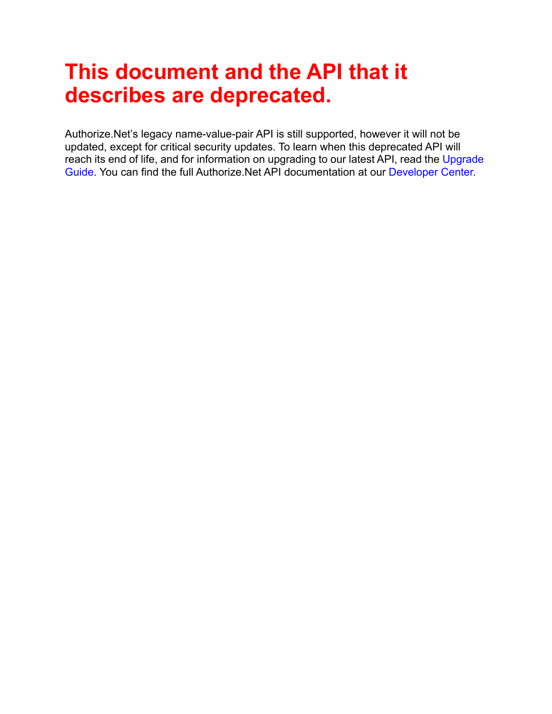# **This document and the API that it describes are deprecated.**

Authorize.Net's legacy name-value-pair API is still supported, however it will not be updated, except for critical security updates. To learn when this deprecated API will reach its end of life, and for information on upgrading to our latest API, read the [Upgrade](http://developer.authorize.net/api/upgrade_guide/)  [Guide.](http://developer.authorize.net/api/upgrade_guide/) You can find the full Authorize.Net API documentation at our [Developer Center.](http://developer.authorize.net/api/)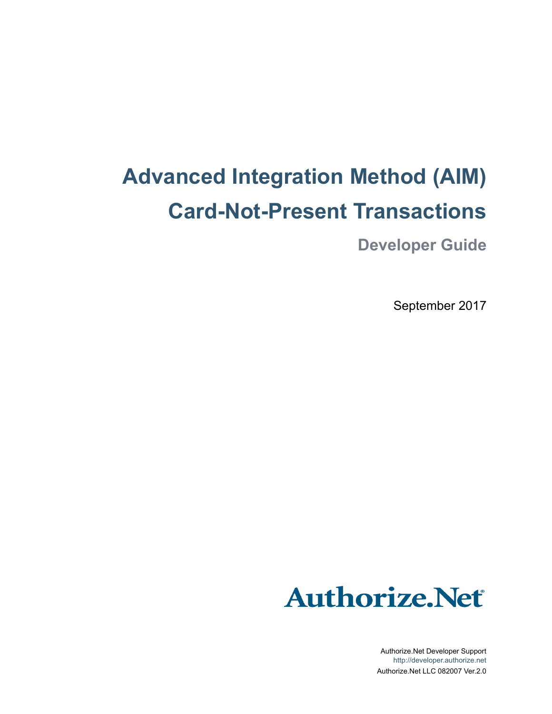# **Advanced Integration Method (AIM) Card-Not-Present Transactions**

**Developer Guide**

September 2017



Authorize.Net Developer Support <http://developer.authorize.net> Authorize.Net LLC 082007 Ver.2.0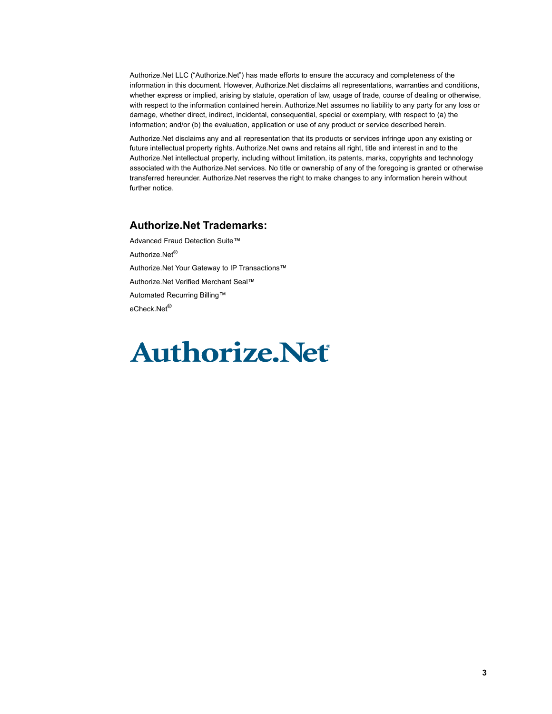Authorize.Net LLC ("Authorize.Net") has made efforts to ensure the accuracy and completeness of the information in this document. However, Authorize.Net disclaims all representations, warranties and conditions, whether express or implied, arising by statute, operation of law, usage of trade, course of dealing or otherwise, with respect to the information contained herein. Authorize.Net assumes no liability to any party for any loss or damage, whether direct, indirect, incidental, consequential, special or exemplary, with respect to (a) the information; and/or (b) the evaluation, application or use of any product or service described herein.

Authorize.Net disclaims any and all representation that its products or services infringe upon any existing or future intellectual property rights. Authorize.Net owns and retains all right, title and interest in and to the Authorize.Net intellectual property, including without limitation, its patents, marks, copyrights and technology associated with the Authorize.Net services. No title or ownership of any of the foregoing is granted or otherwise transferred hereunder. Authorize.Net reserves the right to make changes to any information herein without further notice.

#### **Authorize.Net Trademarks:**

Advanced Fraud Detection Suite™ Authorize.Net® Authorize.Net Your Gateway to IP Transactions™ Authorize.Net Verified Merchant Seal™ Automated Recurring Billing™ eCheck.Net®

# **Authorize, Net**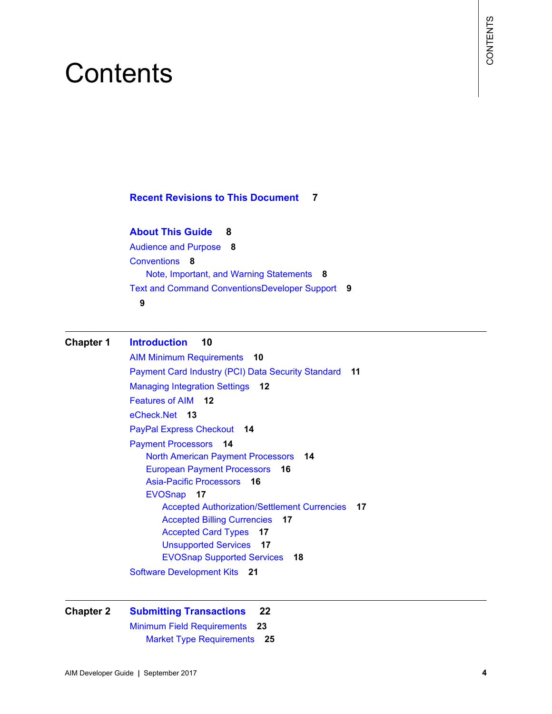# **Contents**

#### **[Recent Revisions to This Document](#page-6-0) 7**

#### **[About This Guide](#page-7-0) 8**

[Audience and Purpose](#page-7-1) **8** [Conventions](#page-7-2) **8** [Note, Important, and Warning Statements](#page-7-3) **8** [Text and Command ConventionsDeveloper Support](#page-8-0) **9 [9](#page-8-1)**

#### **[Chapter 1](#page-9-0) [Introduction](#page-9-1) 10**

**CONTENTS**<br>
ABout This Guide 8<br>
ABout This Guide 8<br>
AADout This Guide 8<br>
ACONTENTS CONTENTS AND TRIMATE SURFACE BOOK CONTENTS AND MINOR THE SURFACE OF SURFACE BOOK CONTENTS (1973)<br>
The and Contents and Velering State Septe [AIM Minimum Requirements](#page-9-2) **10** [Payment Card Industry \(PCI\) Data Security Standard](#page-10-0) **11** [Managing Integration Settings](#page-11-0) **12** [Features of AIM](#page-11-1) **12** [eCheck.Net](#page-12-0) **13** [PayPal Express Checkout](#page-13-0) **14** [Payment Processors](#page-13-1) **14** [North American Payment Processors](#page-13-2) **14** [European Payment Processors](#page-15-0) **16** [Asia-Pacific Processors](#page-15-1) **16** [EVOSnap](#page-16-0) **17** [Accepted Authorization/Settlement Currencies](#page-16-1) **17** [Accepted Billing Currencies](#page-16-2) **17** [Accepted Card Types](#page-16-3) **17** [Unsupported Services](#page-16-4) **17** [EVOSnap Supported Services](#page-17-0) **18** [Software Development Kits](#page-20-0) **21**

#### **[Chapter 2](#page-21-0) [Submitting Transactions](#page-21-1) 22**

[Minimum Field Requirements](#page-22-0) **23** [Market Type Requirements](#page-24-0) **25**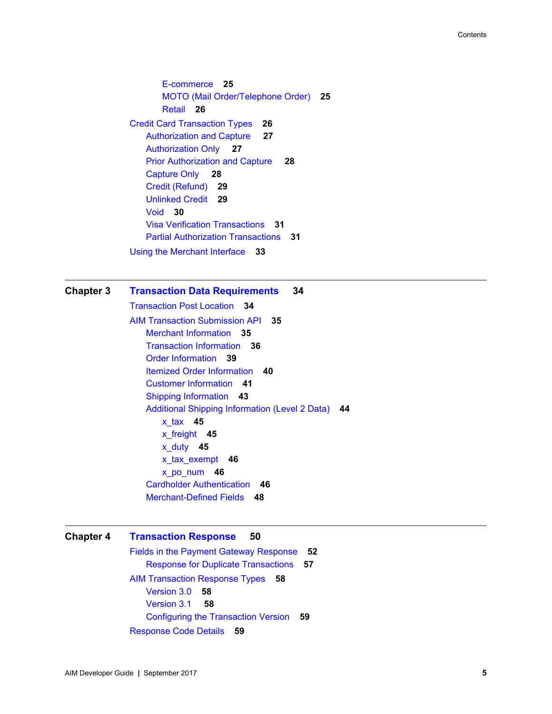[E-commerce](#page-24-1) **25** [MOTO \(Mail Order/Telephone Order\)](#page-24-2) **25** [Retail](#page-25-0) **26** [Credit Card Transaction Types](#page-25-1) **26** [Authorization and Capture](#page-26-0) **27** [Authorization Only](#page-26-1) **27** [Prior Authorization and Capture](#page-27-0) **28** [Capture Only](#page-27-1) **28** [Credit \(Refund\)](#page-28-0) **29** [Unlinked Credit](#page-28-1) **29** [Void](#page-29-0) **30** [Visa Verification Transactions](#page-30-0) **31** [Partial Authorization Transactions](#page-30-1) **31** [Using the Merchant Interface](#page-32-0) **33**

#### **[Chapter 3](#page-33-0) [Transaction Data Requirements](#page-33-1) 34**

[Transaction Post Location](#page-33-2) **34** [AIM Transaction Submission API](#page-34-0) **35** [Merchant Information](#page-34-1) **35** [Transaction Information](#page-35-0) **36** [Order Information](#page-38-0) **39** [Itemized Order Information](#page-39-0) **40** [Customer Information](#page-40-0) **41** [Shipping Information](#page-42-0) **43** [Additional Shipping Information \(Level 2 Data\)](#page-43-0) **44** [x\\_tax](#page-44-0) **45** [x\\_freight](#page-44-1) **45** [x\\_duty](#page-44-2) **45** [x\\_tax\\_exempt](#page-45-0) **46** [x\\_po\\_num](#page-45-1) **46** [Cardholder Authentication](#page-45-2) **46** [Merchant-Defined Fields](#page-47-0) **48**

#### **[Chapter 4](#page-49-0) [Transaction Response](#page-49-1) 50**

[Fields in the Payment Gateway Response](#page-51-0) **52** [Response for Duplicate Transactions](#page-56-0) **57** [AIM Transaction Response Types](#page-57-0) **58** [Version 3.0](#page-57-1) **58** [Version 3.1](#page-57-2) **58** [Configuring the Transaction Version](#page-58-0) **59** [Response Code Details](#page-58-1) **59**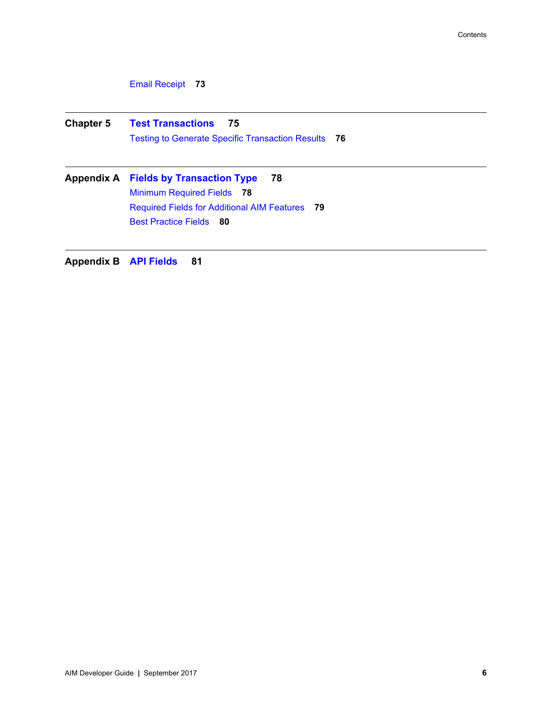[Email Receipt](#page-72-0) **73**

**[Chapter 5](#page-74-0) [Test Transactions](#page-74-1) 75** [Testing to Generate Specific Transaction Results](#page-75-0) **76**

**[Appendix A](#page-77-0) [Fields by Transaction Type](#page-77-1) 78** [Minimum Required Fields](#page-77-2) **78** [Required Fields for Additional AIM Features](#page-78-0) **79** [Best Practice Fields](#page-79-0) **80**

**[Appendix B](#page-80-0) [API Fields](#page-80-1) 81**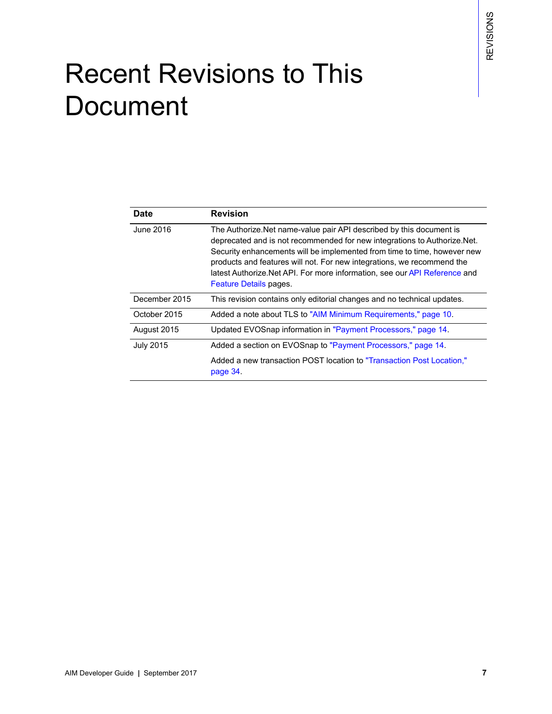# <span id="page-6-0"></span>Recent Revisions to This **Document**

| Date             | <b>Revision</b>                                                                                                                                                                                                                                                                                                                                                                                                 |
|------------------|-----------------------------------------------------------------------------------------------------------------------------------------------------------------------------------------------------------------------------------------------------------------------------------------------------------------------------------------------------------------------------------------------------------------|
| June 2016        | The Authorize. Net name-value pair API described by this document is<br>deprecated and is not recommended for new integrations to Authorize. Net.<br>Security enhancements will be implemented from time to time, however new<br>products and features will not. For new integrations, we recommend the<br>latest Authorize. Net API. For more information, see our API Reference and<br>Feature Details pages. |
| December 2015    | This revision contains only editorial changes and no technical updates.                                                                                                                                                                                                                                                                                                                                         |
| October 2015     | Added a note about TLS to "AIM Minimum Requirements," page 10.                                                                                                                                                                                                                                                                                                                                                  |
| August 2015      | Updated EVOSnap information in "Payment Processors," page 14.                                                                                                                                                                                                                                                                                                                                                   |
| <b>July 2015</b> | Added a section on EVOSnap to "Payment Processors," page 14.                                                                                                                                                                                                                                                                                                                                                    |
|                  | Added a new transaction POST location to "Transaction Post Location."<br>page 34.                                                                                                                                                                                                                                                                                                                               |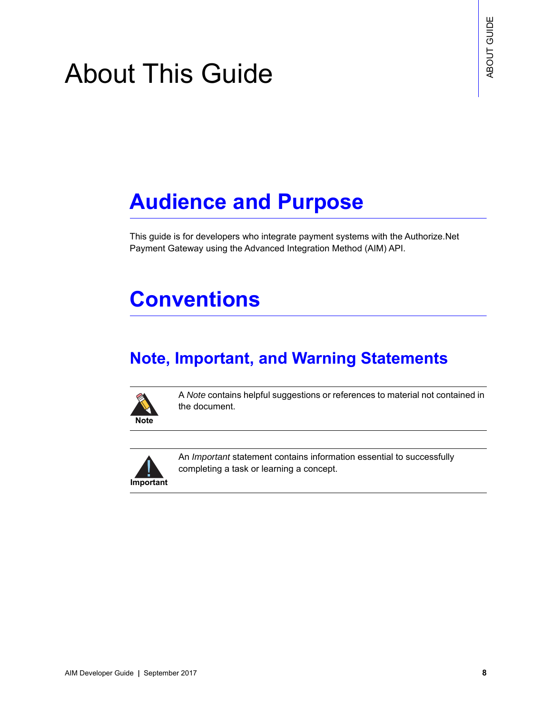# <span id="page-7-0"></span>About This Guide

# <span id="page-7-1"></span>**Audience and Purpose**

This guide is for developers who integrate payment systems with the Authorize.Net Payment Gateway using the Advanced Integration Method (AIM) API.

# <span id="page-7-2"></span>**Conventions**

## <span id="page-7-3"></span>**Note, Important, and Warning Statements**



A *Note* contains helpful suggestions or references to material not contained in the document.



An *Important* statement contains information essential to successfully completing a task or learning a concept.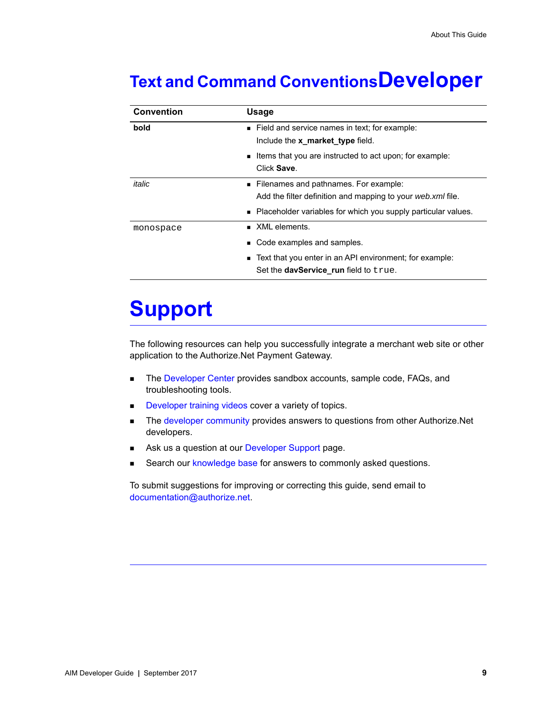## <span id="page-8-0"></span>**Text and Command ConventionsDeveloper**

| <b>Convention</b> | <b>Usage</b>                                                    |
|-------------------|-----------------------------------------------------------------|
| bold              | Field and service names in text; for example:                   |
|                   | Include the x market type field.                                |
|                   | Items that you are instructed to act upon; for example:         |
|                   | Click Save.                                                     |
| italic            | • Filenames and pathnames. For example:                         |
|                   | Add the filter definition and mapping to your web.xml file.     |
|                   | ■ Placeholder variables for which you supply particular values. |
| monospace         | XML elements.                                                   |
|                   | Code examples and samples.                                      |
|                   | Text that you enter in an API environment; for example:         |
|                   | Set the <b>davService</b> run field to true.                    |

# **Support**

The following resources can help you successfully integrate a merchant web site or other application to the Authorize.Net Payment Gateway.

- The [Developer Center](http://developer.authorize.net ) provides sandbox accounts, sample code, FAQs, and troubleshooting tools.
- [Developer training videos](http://developer.authorize.net/training/) cover a variety of topics.
- **The [developer community](http://community.developer.authorize.net) provides answers to questions from other Authorize.Net** developers.
- Ask us a question at our [Developer Support](http://developer.authorize.net/support ) page.
- Search our [knowledge base](https://support.authorize.net/authkb/index?page=home) for answers to commonly asked questions.

<span id="page-8-1"></span>To submit suggestions for improving or correcting this guide, send email to documentation@authorize.net.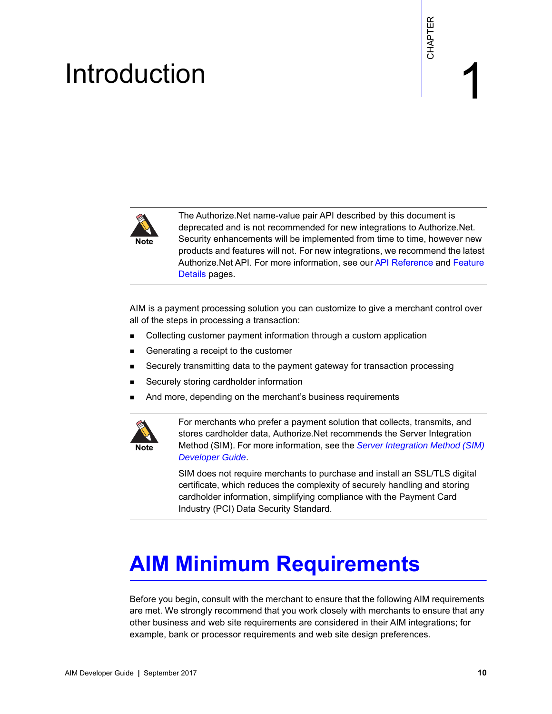# example: the contraction of the contraction  $\begin{bmatrix} \frac{16}{5} \\ \frac{16}{5} \end{bmatrix}$

<span id="page-9-0"></span>

<span id="page-9-1"></span>**EXAMPLE SECTION CONTROVER AND INTERFERENCE IN A CONSUMERATION CONTROVER CONTROVER CONTROVERS CONTROVERS (SCENE<br>
Secretive Guide and the intermediated for the intermediate in the intermediate intermediate intermediate the** The Authorize.Net name-value pair API described by this document is deprecated and is not recommended for new integrations to Authorize.Net. Security enhancements will be implemented from time to time, however new products and features will not. For new integrations, we recommend the latest Authorize.Net API. For more information, see our [API Reference](http://developer.authorize.net/api/reference/features/payment_transactions.html) and Feature [Details](http://developer.authorize.net/api/reference/features/payment_transactions.html) pages.

AIM is a payment processing solution you can customize to give a merchant control over all of the steps in processing a transaction:

- Collecting customer payment information through a custom application
- Generating a receipt to the customer
- Securely transmitting data to the payment gateway for transaction processing
- Securely storing cardholder information
- And more, depending on the merchant's business requirements



For merchants who prefer a payment solution that collects, transmits, and stores cardholder data, Authorize.Net recommends the Server Integration Method (SIM). For more information, see the *[Server Integration Method \(SIM\)](http://www.authorize.net/support/SIM_guide.pdf)  [Developer Guide](http://www.authorize.net/support/SIM_guide.pdf)*.

SIM does not require merchants to purchase and install an SSL/TLS digital certificate, which reduces the complexity of securely handling and storing cardholder information, simplifying compliance with the Payment Card Industry (PCI) Data Security Standard.

# <span id="page-9-3"></span><span id="page-9-2"></span>**AIM Minimum Requirements**

Before you begin, consult with the merchant to ensure that the following AIM requirements are met. We strongly recommend that you work closely with merchants to ensure that any other business and web site requirements are considered in their AIM integrations; for example, bank or processor requirements and web site design preferences.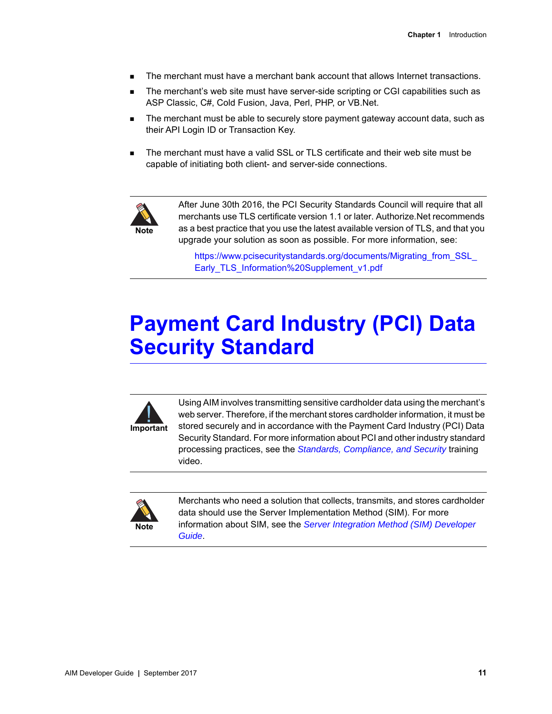- The merchant must have a merchant bank account that allows Internet transactions.
- The merchant's web site must have server-side scripting or CGI capabilities such as ASP Classic, C#, Cold Fusion, Java, Perl, PHP, or VB.Net.
- The merchant must be able to securely store payment gateway account data, such as their API Login ID or Transaction Key.
- The merchant must have a valid SSL or TLS certificate and their web site must be capable of initiating both client- and server-side connections.



After June 30th 2016, the PCI Security Standards Council will require that all merchants use TLS certificate version 1.1 or later. Authorize.Net recommends as a best practice that you use the latest available version of TLS, and that you upgrade your solution as soon as possible. For more information, see:

https://www.pcisecuritystandards.org/documents/Migrating from SSL [Early\\_TLS\\_Information%20Supplement\\_v1.pdf](https://www.pcisecuritystandards.org/documents/Migrating_from_SSL_Early_TLS_Information%20Supplement_v1.pdf)

# <span id="page-10-0"></span>**Payment Card Industry (PCI) Data Security Standard**



Using AIM involves transmitting sensitive cardholder data using the merchant's web server. Therefore, if the merchant stores cardholder information, it must be stored securely and in accordance with the Payment Card Industry (PCI) Data Security Standard. For more information about PCI and other industry standard processing practices, see the *[Standards, Compliance, and Security](https://www.youtube.com/watch?v=UhXRT_QM_uE)* training video.



Merchants who need a solution that collects, transmits, and stores cardholder data should use the Server Implementation Method (SIM). For more information about SIM, see the *[Server Integration Method \(SIM\) Developer](http://www.authorize.net/support/SIM_guide.pdf)  [Guide](http://www.authorize.net/support/SIM_guide.pdf)*.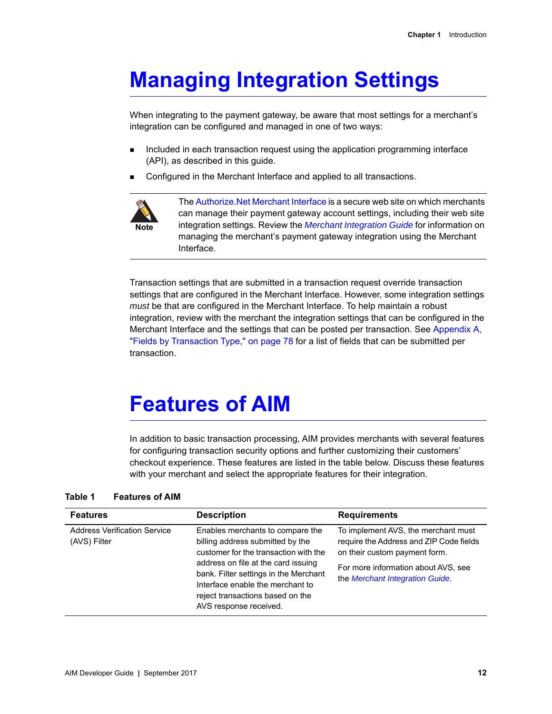# <span id="page-11-0"></span>**Managing Integration Settings**

When integrating to the payment gateway, be aware that most settings for a merchant's integration can be configured and managed in one of two ways:

- Included in each transaction request using the application programming interface (API), as described in this guide.
- Configured in the Merchant Interface and applied to all transactions.



The [Authorize.Net Merchant Interface](https://account.authorize.net) is a secure web site on which merchants can manage their payment gateway account settings, including their web site integration settings. Review the *[Merchant Integration Guide](http://www.authorize.net/support/merchant/)* for information on managing the merchant's payment gateway integration using the Merchant Interface.

Transaction settings that are submitted in a transaction request override transaction settings that are configured in the Merchant Interface. However, some integration settings *must* be that are configured in the Merchant Interface. To help maintain a robust integration, review with the merchant the integration settings that can be configured in the Merchant Interface and the settings that can be posted per transaction. See [Appendix A,](#page-77-3)  ["Fields by Transaction Type," on page 78](#page-77-3) for a list of fields that can be submitted per transaction.

# <span id="page-11-1"></span>**Features of AIM**

In addition to basic transaction processing, AIM provides merchants with several features for configuring transaction security options and further customizing their customers' checkout experience. These features are listed in the table below. Discuss these features with your merchant and select the appropriate features for their integration.

| <b>Features of AIM</b><br>Table 1 |  |
|-----------------------------------|--|
|-----------------------------------|--|

| <b>Features</b>                                     | <b>Description</b>                                                                                                                                                                                                                                                                              | <b>Requirements</b>                                                                                                                                                                       |
|-----------------------------------------------------|-------------------------------------------------------------------------------------------------------------------------------------------------------------------------------------------------------------------------------------------------------------------------------------------------|-------------------------------------------------------------------------------------------------------------------------------------------------------------------------------------------|
| <b>Address Verification Service</b><br>(AVS) Filter | Enables merchants to compare the<br>billing address submitted by the<br>customer for the transaction with the<br>address on file at the card issuing<br>bank. Filter settings in the Merchant<br>Interface enable the merchant to<br>reject transactions based on the<br>AVS response received. | To implement AVS, the merchant must<br>require the Address and ZIP Code fields<br>on their custom payment form.<br>For more information about AVS, see<br>the Merchant Integration Guide. |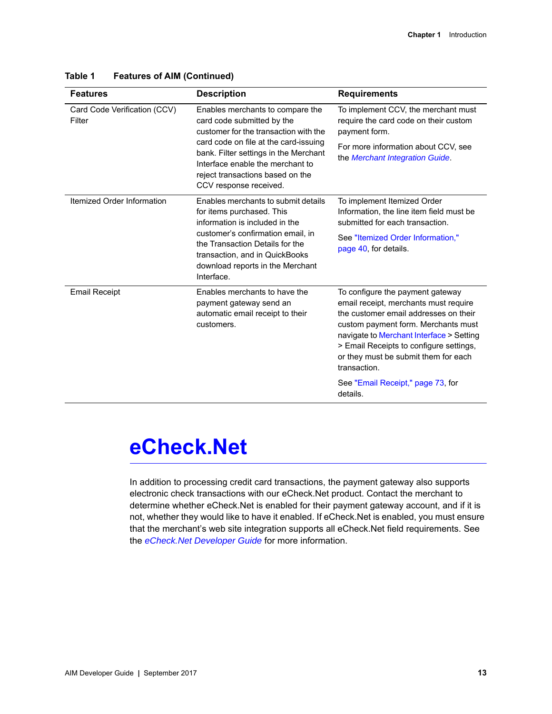| Enables merchants to compare the<br>card code submitted by the                                                                                                                                                                                                 | To implement CCV, the merchant must                                                                                                                                                                                                                                                                                                                       |
|----------------------------------------------------------------------------------------------------------------------------------------------------------------------------------------------------------------------------------------------------------------|-----------------------------------------------------------------------------------------------------------------------------------------------------------------------------------------------------------------------------------------------------------------------------------------------------------------------------------------------------------|
| customer for the transaction with the<br>card code on file at the card-issuing<br>bank. Filter settings in the Merchant<br>Interface enable the merchant to<br>reject transactions based on the<br>CCV response received.                                      | require the card code on their custom<br>payment form.<br>For more information about CCV, see<br>the Merchant Integration Guide.                                                                                                                                                                                                                          |
| Enables merchants to submit details<br>for items purchased. This<br>information is included in the<br>customer's confirmation email, in<br>the Transaction Details for the<br>transaction, and in QuickBooks<br>download reports in the Merchant<br>Interface. | To implement Itemized Order<br>Information, the line item field must be<br>submitted for each transaction.<br>See "Itemized Order Information,"<br>page 40, for details.                                                                                                                                                                                  |
| Enables merchants to have the<br>payment gateway send an<br>automatic email receipt to their<br>customers.                                                                                                                                                     | To configure the payment gateway<br>email receipt, merchants must require<br>the customer email addresses on their<br>custom payment form. Merchants must<br>navigate to Merchant Interface > Setting<br>> Email Receipts to configure settings,<br>or they must be submit them for each<br>transaction.<br>See "Email Receipt," page 73, for<br>details. |
|                                                                                                                                                                                                                                                                |                                                                                                                                                                                                                                                                                                                                                           |

#### **Table 1 Features of AIM (Continued)**

# <span id="page-12-0"></span>**eCheck.Net**

In addition to processing credit card transactions, the payment gateway also supports electronic check transactions with our eCheck.Net product. Contact the merchant to determine whether eCheck.Net is enabled for their payment gateway account, and if it is not, whether they would like to have it enabled. If eCheck.Net is enabled, you must ensure that the merchant's web site integration supports all eCheck.Net field requirements. See the *[eCheck.Net Developer Guide](http://www.authorize.net/support/eCheck.pdf)* for more information.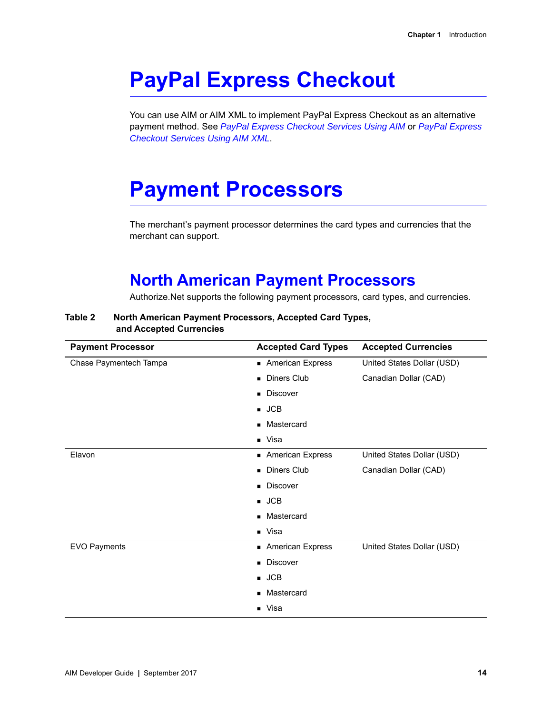# <span id="page-13-0"></span>**PayPal Express Checkout**

You can use AIM or AIM XML to implement PayPal Express Checkout as an alternative payment method. See *[PayPal Express Checkout Services Using AIM](http://www.authorize.net/support/PayPal_NVP_guide.pdf)* or *[PayPal Express](http://www.authorize.net/support/PayPal_XML_guide.pdf)  [Checkout Services Using AIM XML](http://www.authorize.net/support/PayPal_XML_guide.pdf)*.

# <span id="page-13-3"></span><span id="page-13-1"></span>**Payment Processors**

The merchant's payment processor determines the card types and currencies that the merchant can support.

## <span id="page-13-2"></span>**North American Payment Processors**

Authorize.Net supports the following payment processors, card types, and currencies.

#### **Table 2 North American Payment Processors, Accepted Card Types, and Accepted Currencies**

| <b>Payment Processor</b> | <b>Accepted Card Types</b>   | <b>Accepted Currencies</b> |
|--------------------------|------------------------------|----------------------------|
| Chase Paymentech Tampa   | American Express             | United States Dollar (USD) |
|                          | <b>Diners Club</b><br>٠      | Canadian Dollar (CAD)      |
|                          | <b>Discover</b><br>٠         |                            |
|                          | $\blacksquare$ JCB           |                            |
|                          | Mastercard<br>▪              |                            |
|                          | $\blacksquare$ Visa          |                            |
| Elavon                   | American Express             | United States Dollar (USD) |
|                          | <b>Diners Club</b><br>٠      | Canadian Dollar (CAD)      |
|                          | <b>Discover</b>              |                            |
|                          | $\blacksquare$ JCB           |                            |
|                          | Mastercard                   |                            |
|                          | $\blacksquare$ Visa          |                            |
| <b>EVO Payments</b>      | <b>American Express</b><br>٠ | United States Dollar (USD) |
|                          | Discover<br>٠                |                            |
|                          | $\blacksquare$ JCB           |                            |
|                          | Mastercard                   |                            |
|                          | Visa<br>$\blacksquare$       |                            |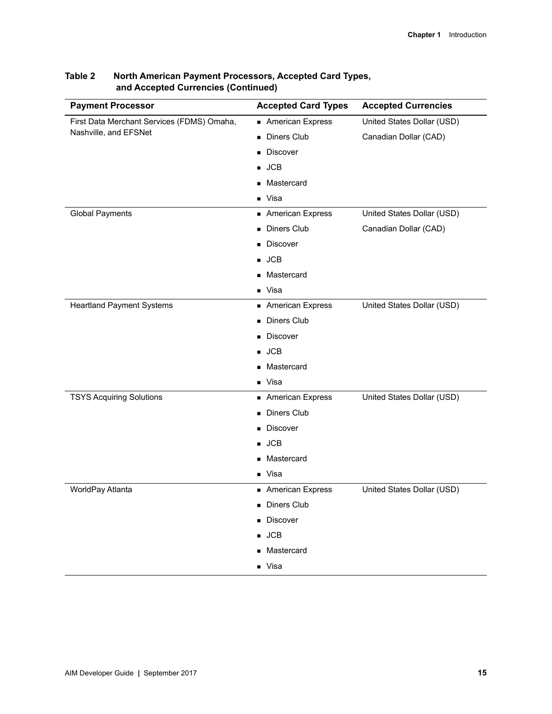| <b>Payment Processor</b>                   | <b>Accepted Card Types</b> | <b>Accepted Currencies</b> |
|--------------------------------------------|----------------------------|----------------------------|
| First Data Merchant Services (FDMS) Omaha, | American Express           | United States Dollar (USD) |
| Nashville, and EFSNet                      | Diners Club<br>п           | Canadian Dollar (CAD)      |
|                                            | <b>Discover</b>            |                            |
|                                            | <b>JCB</b>                 |                            |
|                                            | Mastercard                 |                            |
|                                            | ■ Visa                     |                            |
| <b>Global Payments</b>                     | <b>American Express</b>    | United States Dollar (USD) |
|                                            | <b>Diners Club</b>         | Canadian Dollar (CAD)      |
|                                            | <b>Discover</b>            |                            |
|                                            | <b>JCB</b>                 |                            |
|                                            | Mastercard<br>■            |                            |
|                                            | ■ Visa                     |                            |
| <b>Heartland Payment Systems</b>           | American Express           | United States Dollar (USD) |
|                                            | <b>Diners Club</b>         |                            |
|                                            | <b>Discover</b>            |                            |
|                                            | <b>JCB</b>                 |                            |
|                                            | Mastercard                 |                            |
|                                            | ■ Visa                     |                            |
| <b>TSYS Acquiring Solutions</b>            | <b>American Express</b>    | United States Dollar (USD) |
|                                            | <b>Diners Club</b>         |                            |
|                                            | <b>Discover</b>            |                            |
|                                            | <b>JCB</b><br>■            |                            |
|                                            | Mastercard<br>■            |                            |
|                                            | ■ Visa                     |                            |
| WorldPay Atlanta                           | American Express           | United States Dollar (USD) |
|                                            | <b>Diners Club</b>         |                            |
|                                            | <b>Discover</b>            |                            |
|                                            | $\blacksquare$ JCB         |                            |
|                                            | ■ Mastercard               |                            |
|                                            | ■ Visa                     |                            |

#### **Table 2 North American Payment Processors, Accepted Card Types, and Accepted Currencies (Continued)**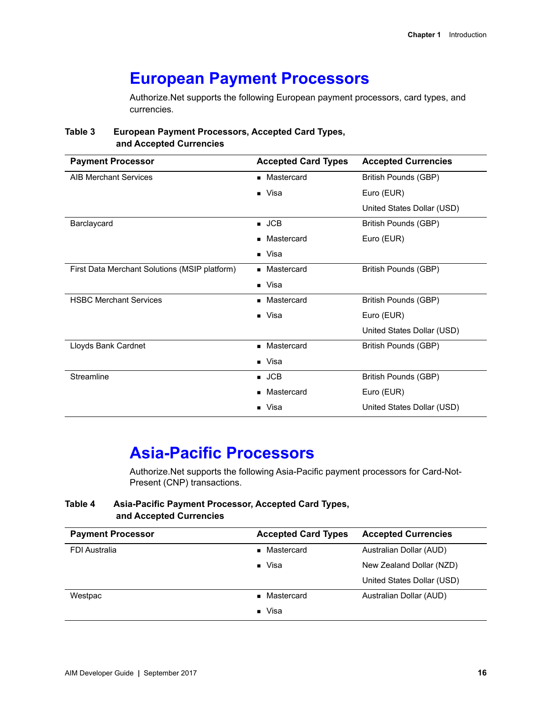## <span id="page-15-0"></span>**European Payment Processors**

Authorize.Net supports the following European payment processors, card types, and currencies.

#### **Table 3 European Payment Processors, Accepted Card Types, and Accepted Currencies**

| <b>Payment Processor</b>                      | <b>Accepted Card Types</b> | <b>Accepted Currencies</b> |
|-----------------------------------------------|----------------------------|----------------------------|
| <b>AIB Merchant Services</b>                  | • Mastercard               | British Pounds (GBP)       |
|                                               | ■ Visa                     | Euro (EUR)                 |
|                                               |                            | United States Dollar (USD) |
| Barclaycard                                   | $\blacksquare$ JCB         | British Pounds (GBP)       |
|                                               | Mastercard                 | Euro (EUR)                 |
|                                               | $\blacksquare$ Visa        |                            |
| First Data Merchant Solutions (MSIP platform) | Mastercard                 | British Pounds (GBP)       |
|                                               | $\blacksquare$ Visa        |                            |
| <b>HSBC Merchant Services</b>                 | Mastercard                 | British Pounds (GBP)       |
|                                               | $\blacksquare$ Visa        | Euro (EUR)                 |
|                                               |                            | United States Dollar (USD) |
| Lloyds Bank Cardnet                           | Mastercard<br>٠            | British Pounds (GBP)       |
|                                               | $\blacksquare$ Visa        |                            |
| Streamline                                    | $\blacksquare$ JCB         | British Pounds (GBP)       |
|                                               | Mastercard                 | Euro (EUR)                 |
|                                               | Visa                       | United States Dollar (USD) |

## <span id="page-15-1"></span>**Asia-Pacific Processors**

Authorize.Net supports the following Asia-Pacific payment processors for Card-Not-Present (CNP) transactions.

#### **Table 4 Asia-Pacific Payment Processor, Accepted Card Types, and Accepted Currencies**

| <b>Payment Processor</b> | <b>Accepted Card Types</b>   | <b>Accepted Currencies</b> |
|--------------------------|------------------------------|----------------------------|
| <b>FDI Australia</b>     | Mastercard                   | Australian Dollar (AUD)    |
|                          | $\blacksquare$ Visa          | New Zealand Dollar (NZD)   |
|                          |                              | United States Dollar (USD) |
| Westpac                  | Mastercard<br>$\blacksquare$ | Australian Dollar (AUD)    |
|                          | Visa<br>$\blacksquare$       |                            |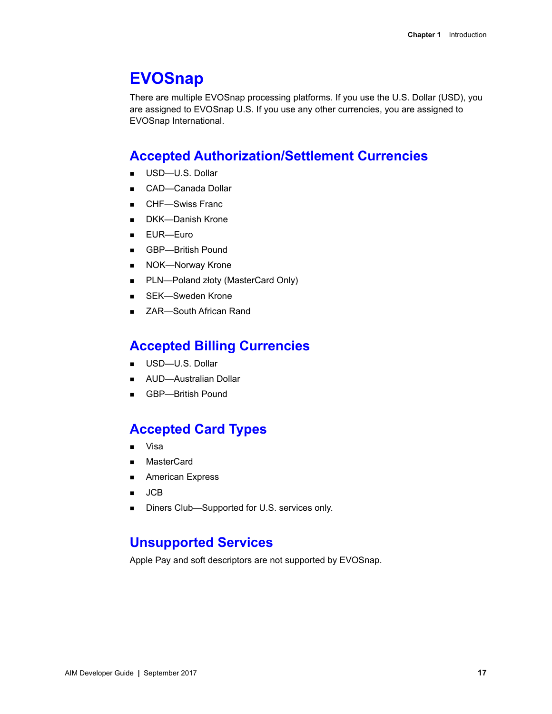## <span id="page-16-0"></span>**EVOSnap**

There are multiple EVOSnap processing platforms. If you use the U.S. Dollar (USD), you are assigned to EVOSnap U.S. If you use any other currencies, you are assigned to EVOSnap International.

## <span id="page-16-1"></span>**Accepted Authorization/Settlement Currencies**

- USD-U.S. Dollar
- CAD-Canada Dollar
- CHF—Swiss Franc
- DKK—Danish Krone
- EUR—Euro
- GBP—British Pound
- **NOK-Norway Krone**
- PLN—Poland złoty (MasterCard Only)
- SEK—Sweden Krone
- ZAR—South African Rand

## <span id="page-16-2"></span>**Accepted Billing Currencies**

- USD-U.S. Dollar
- **AUD-Australian Dollar**
- GBP-British Pound

## <span id="page-16-3"></span>**Accepted Card Types**

- Visa
- MasterCard
- **American Express**
- $\blacksquare$  JCB
- Diners Club—Supported for U.S. services only.

## <span id="page-16-4"></span>**Unsupported Services**

Apple Pay and soft descriptors are not supported by EVOSnap.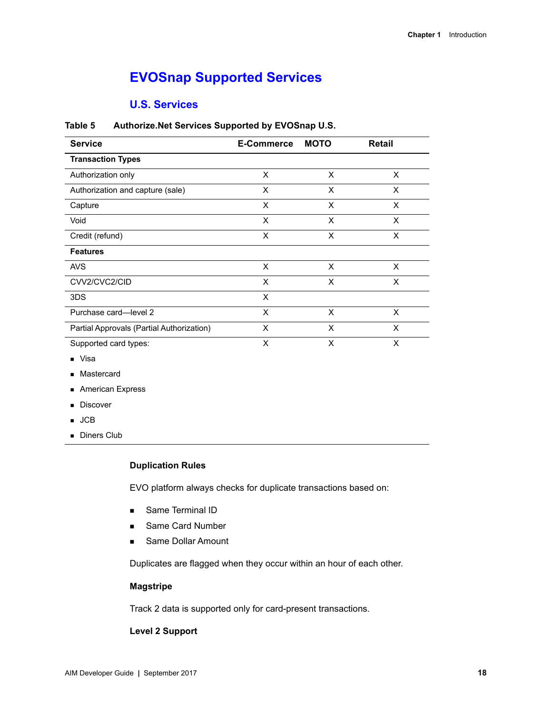## <span id="page-17-0"></span>**EVOSnap Supported Services**

#### **U.S. Services**

| <b>Service</b>                            | <b>E-Commerce</b> | <b>MOTO</b> | Retail |
|-------------------------------------------|-------------------|-------------|--------|
| <b>Transaction Types</b>                  |                   |             |        |
| Authorization only                        | X                 | X           | X      |
| Authorization and capture (sale)          | X                 | X           | X      |
| Capture                                   | X                 | X           | X      |
| Void                                      | X                 | X           | X      |
| Credit (refund)                           | X                 | X           | X      |
| <b>Features</b>                           |                   |             |        |
| <b>AVS</b>                                | X                 | X           | X      |
| CVV2/CVC2/CID                             | X                 | X           | X      |
| 3DS                                       | X                 |             |        |
| Purchase card-level 2                     | X                 | X           | X      |
| Partial Approvals (Partial Authorization) | X                 | X           | X      |
| Supported card types:                     | X                 | X           | X      |

#### **Table 5 Authorize.Net Services Supported by EVOSnap U.S.**

- **v**isa
- **Mastercard**
- **American Express**
- **Discover**
- JCB
- **Diners Club**

#### **Duplication Rules**

EVO platform always checks for duplicate transactions based on:

- **Same Terminal ID**
- Same Card Number
- **Same Dollar Amount**

Duplicates are flagged when they occur within an hour of each other.

#### **Magstripe**

Track 2 data is supported only for card-present transactions.

#### **Level 2 Support**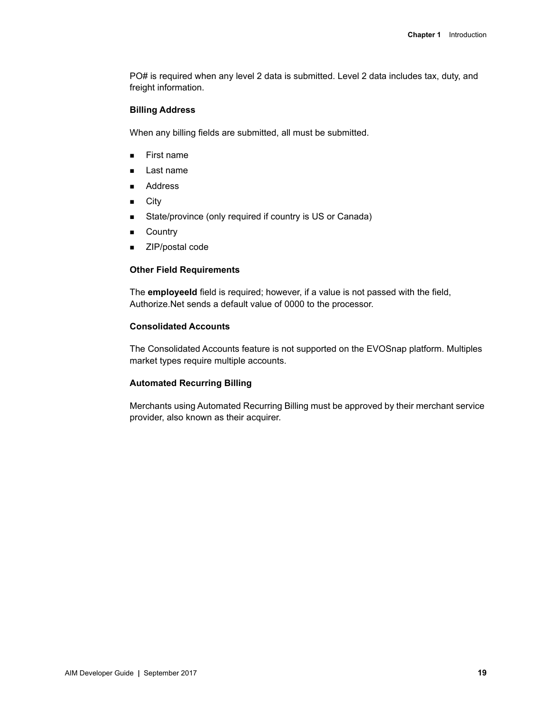PO# is required when any level 2 data is submitted. Level 2 data includes tax, duty, and freight information.

#### **Billing Address**

When any billing fields are submitted, all must be submitted.

- **First name**
- Last name
- **Address**
- **City**
- State/province (only required if country is US or Canada)
- **E** Country
- ZIP/postal code

#### **Other Field Requirements**

The **employeeId** field is required; however, if a value is not passed with the field, Authorize.Net sends a default value of 0000 to the processor.

#### **Consolidated Accounts**

The Consolidated Accounts feature is not supported on the EVOSnap platform. Multiples market types require multiple accounts.

#### **Automated Recurring Billing**

Merchants using Automated Recurring Billing must be approved by their merchant service provider, also known as their acquirer.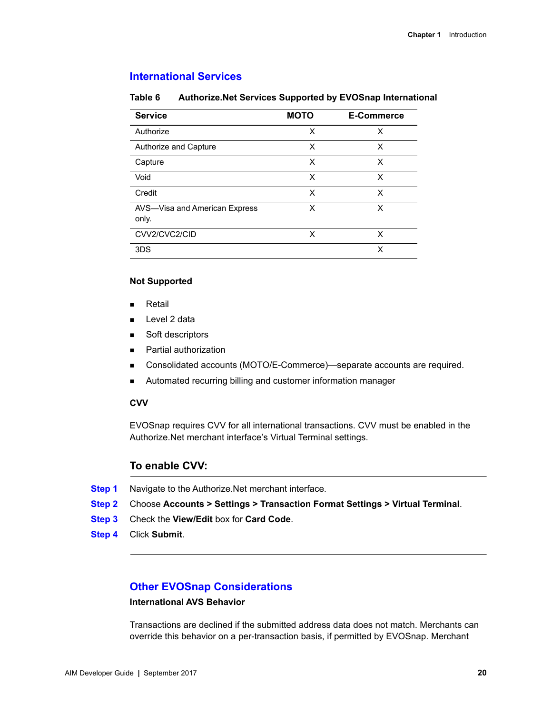#### **International Services**

#### **Table 6 Authorize.Net Services Supported by EVOSnap International**

| <b>Service</b>                         | <b>MOTO</b> | <b>E-Commerce</b> |
|----------------------------------------|-------------|-------------------|
| Authorize                              | x           | X                 |
| Authorize and Capture                  | X           | X                 |
| Capture                                | x           | X                 |
| Void                                   | X           | X                 |
| Credit                                 | x           | X                 |
| AVS-Visa and American Express<br>only. | x           | x                 |
| CVV2/CVC2/CID                          | x           | X                 |
| 3DS                                    |             | х                 |

#### **Not Supported**

- **Retail**
- **Level 2 data**
- Soft descriptors
- **Partial authorization**
- Consolidated accounts (MOTO/E-Commerce)—separate accounts are required.
- Automated recurring billing and customer information manager

#### **CVV**

EVOSnap requires CVV for all international transactions. CVV must be enabled in the Authorize.Net merchant interface's Virtual Terminal settings.

#### **To enable CVV:**

- **Step 1** Navigate to the Authorize.Net merchant interface.
- **Step 2** Choose **Accounts > Settings > Transaction Format Settings > Virtual Terminal**.
- **Step 3** Check the **View/Edit** box for **Card Code**.
- **Step 4** Click **Submit**.

#### **Other EVOSnap Considerations**

#### **International AVS Behavior**

Transactions are declined if the submitted address data does not match. Merchants can override this behavior on a per-transaction basis, if permitted by EVOSnap. Merchant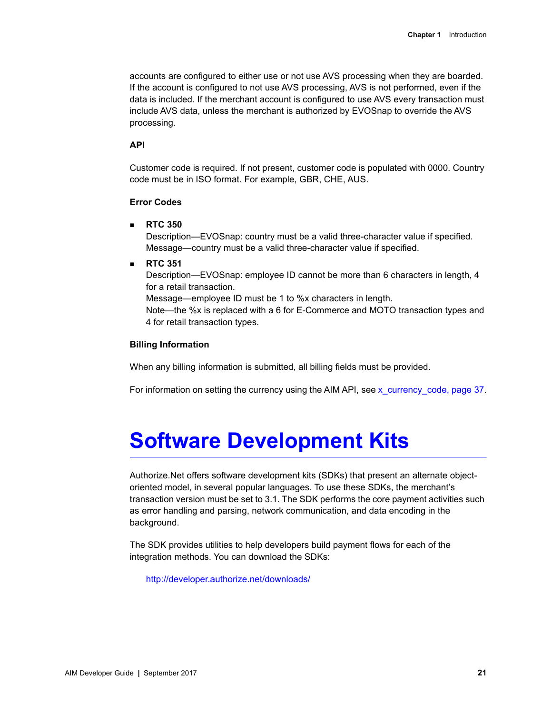accounts are configured to either use or not use AVS processing when they are boarded. If the account is configured to not use AVS processing, AVS is not performed, even if the data is included. If the merchant account is configured to use AVS every transaction must include AVS data, unless the merchant is authorized by EVOSnap to override the AVS processing.

#### **API**

Customer code is required. If not present, customer code is populated with 0000. Country code must be in ISO format. For example, GBR, CHE, AUS.

#### **Error Codes**

**RTC 350**

Description—EVOSnap: country must be a valid three-character value if specified. Message—country must be a valid three-character value if specified.

**RTC 351**

Description—EVOSnap: employee ID cannot be more than 6 characters in length, 4 for a retail transaction.

Message—employee ID must be 1 to %x characters in length.

Note—the %x is replaced with a 6 for E-Commerce and MOTO transaction types and 4 for retail transaction types.

#### **Billing Information**

When any billing information is submitted, all billing fields must be provided.

For information on setting the currency using the AIM API, see x currency code, page 37.

# <span id="page-20-0"></span>**Software Development Kits**

Authorize.Net offers software development kits (SDKs) that present an alternate objectoriented model, in several popular languages. To use these SDKs, the merchant's transaction version must be set to 3.1. The SDK performs the core payment activities such as error handling and parsing, network communication, and data encoding in the background.

The SDK provides utilities to help developers build payment flows for each of the integration methods. You can download the SDKs:

<http://developer.authorize.net/downloads/>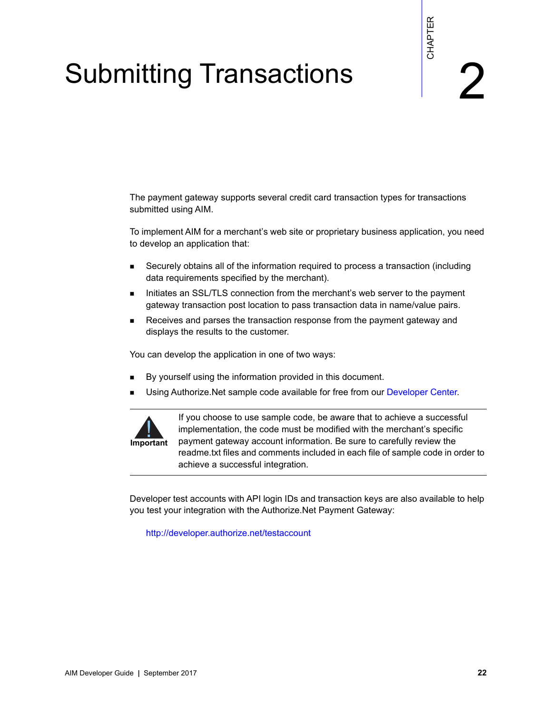# **Submitting Transactions**

<span id="page-21-0"></span>The payment gateway supports several credit card transaction types for transactions submitted using AIM.

To implement AIM for a merchant's web site or proprietary business application, you need to develop an application that:

- Securely obtains all of the information required to process a transaction (including data requirements specified by the merchant).
- Initiates an SSL/TLS connection from the merchant's web server to the payment gateway transaction post location to pass transaction data in name/value pairs.
- **Receives and parses the transaction response from the payment gateway and** displays the results to the customer.

You can develop the application in one of two ways:

- By yourself using the information provided in this document.
- Using Authorize.Net sample code available for free from our [Developer Center.](http://developer.authorize.net/)



<span id="page-21-1"></span>The payment gateway supports around condit card transaction types for transactions<br>
accommod using AM.<br>
To implement AM for a mechanist web site or propriesty business applicable, you need<br>
i. Security obtains all of the i If you choose to use sample code, be aware that to achieve a successful implementation, the code must be modified with the merchant's specific payment gateway account information. Be sure to carefully review the readme.txt files and comments included in each file of sample code in order to achieve a successful integration.

Developer test accounts with API login IDs and transaction keys are also available to help you test your integration with the Authorize.Net Payment Gateway:

<http://developer.authorize.net/testaccount>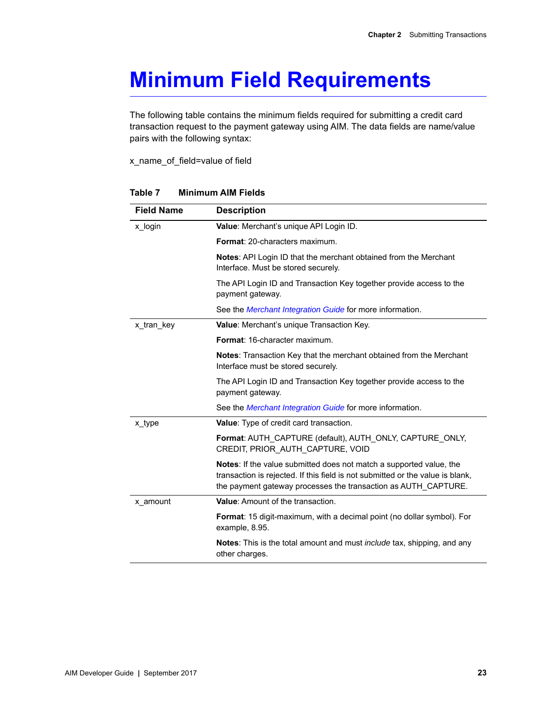# <span id="page-22-0"></span>**Minimum Field Requirements**

The following table contains the minimum fields required for submitting a credit card transaction request to the payment gateway using AIM. The data fields are name/value pairs with the following syntax:

x\_name\_of\_field=value of field

| <b>Field Name</b> | <b>Description</b>                                                                                                                                                                                                             |
|-------------------|--------------------------------------------------------------------------------------------------------------------------------------------------------------------------------------------------------------------------------|
| x_login           | Value: Merchant's unique API Login ID.                                                                                                                                                                                         |
|                   | <b>Format: 20-characters maximum.</b>                                                                                                                                                                                          |
|                   | <b>Notes:</b> API Login ID that the merchant obtained from the Merchant<br>Interface. Must be stored securely.                                                                                                                 |
|                   | The API Login ID and Transaction Key together provide access to the<br>payment gateway.                                                                                                                                        |
|                   | See the <i>Merchant Integration Guide</i> for more information.                                                                                                                                                                |
| x_tran_key        | Value: Merchant's unique Transaction Key.                                                                                                                                                                                      |
|                   | Format: 16-character maximum.                                                                                                                                                                                                  |
|                   | <b>Notes:</b> Transaction Key that the merchant obtained from the Merchant<br>Interface must be stored securely.                                                                                                               |
|                   | The API Login ID and Transaction Key together provide access to the<br>payment gateway.                                                                                                                                        |
|                   | See the <i>Merchant Integration Guide</i> for more information.                                                                                                                                                                |
| x_type            | Value: Type of credit card transaction.                                                                                                                                                                                        |
|                   | Format: AUTH_CAPTURE (default), AUTH_ONLY, CAPTURE_ONLY,<br>CREDIT, PRIOR AUTH CAPTURE, VOID                                                                                                                                   |
|                   | <b>Notes:</b> If the value submitted does not match a supported value, the<br>transaction is rejected. If this field is not submitted or the value is blank,<br>the payment gateway processes the transaction as AUTH CAPTURE. |
| x amount          | Value: Amount of the transaction.                                                                                                                                                                                              |
|                   | Format: 15 digit-maximum, with a decimal point (no dollar symbol). For<br>example, 8.95.                                                                                                                                       |
|                   | <b>Notes:</b> This is the total amount and must <i>include</i> tax, shipping, and any<br>other charges.                                                                                                                        |

#### **Table 7 Minimum AIM Fields**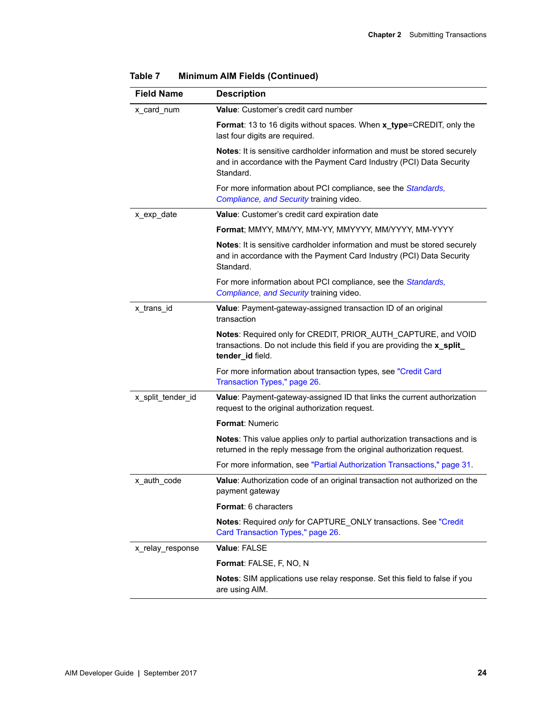| <b>Field Name</b> | <b>Description</b>                                                                                                                                             |
|-------------------|----------------------------------------------------------------------------------------------------------------------------------------------------------------|
| x_card_num        | Value: Customer's credit card number                                                                                                                           |
|                   | Format: 13 to 16 digits without spaces. When x_type=CREDIT, only the<br>last four digits are required.                                                         |
|                   | Notes: It is sensitive cardholder information and must be stored securely<br>and in accordance with the Payment Card Industry (PCI) Data Security<br>Standard. |
|                   | For more information about PCI compliance, see the Standards,<br>Compliance, and Security training video.                                                      |
| x_exp_date        | Value: Customer's credit card expiration date                                                                                                                  |
|                   | Format; MMYY, MM/YY, MM-YY, MMYYYY, MM/YYYY, MM-YYYY                                                                                                           |
|                   | Notes: It is sensitive cardholder information and must be stored securely<br>and in accordance with the Payment Card Industry (PCI) Data Security<br>Standard. |
|                   | For more information about PCI compliance, see the Standards,<br>Compliance, and Security training video.                                                      |
| x_trans_id        | Value: Payment-gateway-assigned transaction ID of an original<br>transaction                                                                                   |
|                   | Notes: Required only for CREDIT, PRIOR_AUTH_CAPTURE, and VOID<br>transactions. Do not include this field if you are providing the x_split_<br>tender_id field. |
|                   | For more information about transaction types, see "Credit Card<br>Transaction Types," page 26.                                                                 |
| x_split_tender_id | Value: Payment-gateway-assigned ID that links the current authorization<br>request to the original authorization request.                                      |
|                   | Format: Numeric                                                                                                                                                |
|                   | Notes: This value applies only to partial authorization transactions and is<br>returned in the reply message from the original authorization request.          |
|                   | For more information, see "Partial Authorization Transactions," page 31.                                                                                       |
| x_auth_code       | Value: Authorization code of an original transaction not authorized on the<br>payment gateway                                                                  |
|                   | <b>Format: 6 characters</b>                                                                                                                                    |
|                   | Notes: Required only for CAPTURE_ONLY transactions. See "Credit<br>Card Transaction Types," page 26.                                                           |
| x relay response  | Value: FALSE                                                                                                                                                   |
|                   | Format: FALSE, F, NO, N                                                                                                                                        |
|                   | Notes: SIM applications use relay response. Set this field to false if you<br>are using AIM.                                                                   |

| Table 7 |  | <b>Minimum AIM Fields (Continued)</b> |
|---------|--|---------------------------------------|
|         |  |                                       |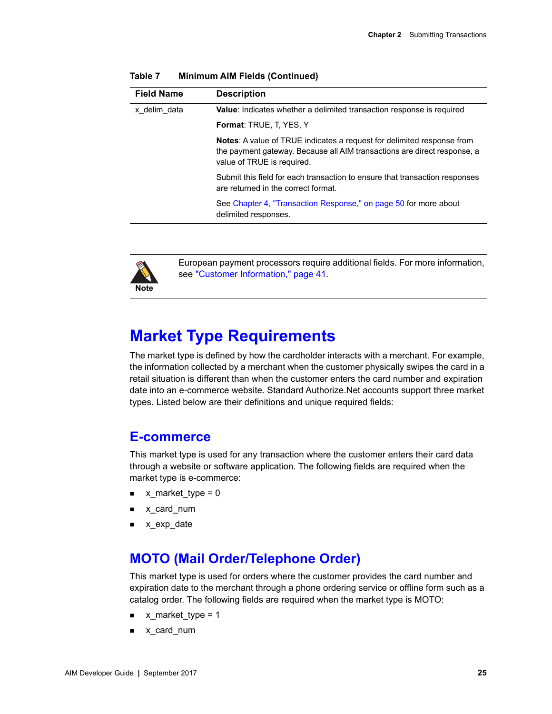| <b>Description</b>                                                                                                                                                                      | <b>Field Name</b> |
|-----------------------------------------------------------------------------------------------------------------------------------------------------------------------------------------|-------------------|
| <b>Value:</b> Indicates whether a delimited transaction response is required                                                                                                            | x delim data      |
| <b>Format: TRUE, T. YES, Y</b>                                                                                                                                                          |                   |
| <b>Notes:</b> A value of TRUE indicates a request for delimited response from<br>the payment gateway. Because all AIM transactions are direct response, a<br>value of TRUE is required. |                   |
| Submit this field for each transaction to ensure that transaction responses<br>are returned in the correct format.                                                                      |                   |
| See Chapter 4, "Transaction Response," on page 50 for more about<br>delimited responses.                                                                                                |                   |
|                                                                                                                                                                                         |                   |



European payment processors require additional fields. For more information, see ["Customer Information," page 41.](#page-40-1)

## <span id="page-24-0"></span>**Market Type Requirements**

The market type is defined by how the cardholder interacts with a merchant. For example, the information collected by a merchant when the customer physically swipes the card in a retail situation is different than when the customer enters the card number and expiration date into an e-commerce website. Standard Authorize.Net accounts support three market types. Listed below are their definitions and unique required fields:

#### <span id="page-24-1"></span>**E-commerce**

This market type is used for any transaction where the customer enters their card data through a website or software application. The following fields are required when the market type is e-commerce:

- $\blacksquare$  x\_market\_type = 0
- x\_card\_num
- x\_exp\_date

## <span id="page-24-2"></span>**MOTO (Mail Order/Telephone Order)**

This market type is used for orders where the customer provides the card number and expiration date to the merchant through a phone ordering service or offline form such as a catalog order. The following fields are required when the market type is MOTO:

- x\_market\_type = 1
- x\_card\_num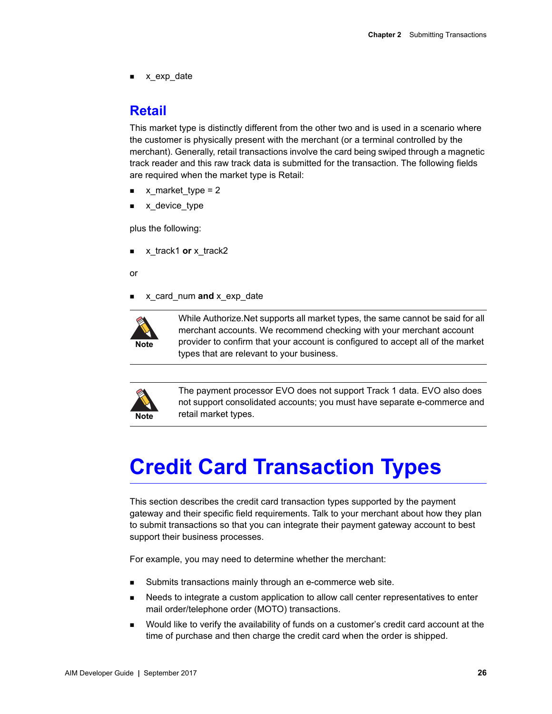x\_exp\_date

## <span id="page-25-0"></span>**Retail**

This market type is distinctly different from the other two and is used in a scenario where the customer is physically present with the merchant (or a terminal controlled by the merchant). Generally, retail transactions involve the card being swiped through a magnetic track reader and this raw track data is submitted for the transaction. The following fields are required when the market type is Retail:

- x market type  $= 2$
- x\_device\_type

plus the following:

x\_track1 **or** x\_track2

or

x\_card\_num **and** x\_exp\_date



While Authorize.Net supports all market types, the same cannot be said for all merchant accounts. We recommend checking with your merchant account provider to confirm that your account is configured to accept all of the market types that are relevant to your business.



The payment processor EVO does not support Track 1 data. EVO also does not support consolidated accounts; you must have separate e-commerce and retail market types.

# <span id="page-25-1"></span>**Credit Card Transaction Types**

This section describes the credit card transaction types supported by the payment gateway and their specific field requirements. Talk to your merchant about how they plan to submit transactions so that you can integrate their payment gateway account to best support their business processes.

For example, you may need to determine whether the merchant:

- Submits transactions mainly through an e-commerce web site.
- Needs to integrate a custom application to allow call center representatives to enter mail order/telephone order (MOTO) transactions.
- Would like to verify the availability of funds on a customer's credit card account at the time of purchase and then charge the credit card when the order is shipped.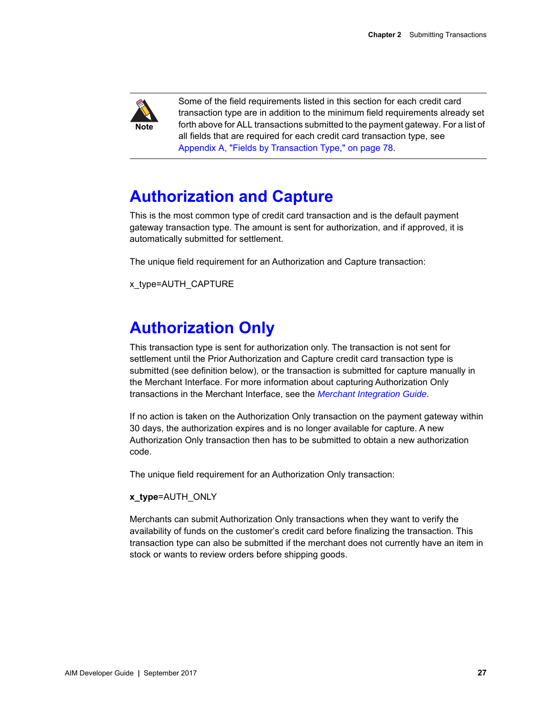

Some of the field requirements listed in this section for each credit card transaction type are in addition to the minimum field requirements already set forth above for ALL transactions submitted to the payment gateway. For a list of all fields that are required for each credit card transaction type, see [Appendix A, "Fields by Transaction Type," on page 78](#page-77-3).

## <span id="page-26-0"></span>**Authorization and Capture**

This is the most common type of credit card transaction and is the default payment gateway transaction type. The amount is sent for authorization, and if approved, it is automatically submitted for settlement.

The unique field requirement for an Authorization and Capture transaction:

x\_type=AUTH\_CAPTURE

## <span id="page-26-1"></span>**Authorization Only**

This transaction type is sent for authorization only. The transaction is not sent for settlement until the Prior Authorization and Capture credit card transaction type is submitted (see definition below), or the transaction is submitted for capture manually in the Merchant Interface. For more information about capturing Authorization Only transactions in the Merchant Interface, see the *[Merchant Integration Guide](http://www.authorize.net/support/merchant/)*.

If no action is taken on the Authorization Only transaction on the payment gateway within 30 days, the authorization expires and is no longer available for capture. A new Authorization Only transaction then has to be submitted to obtain a new authorization code.

The unique field requirement for an Authorization Only transaction:

#### **x\_type**=AUTH\_ONLY

Merchants can submit Authorization Only transactions when they want to verify the availability of funds on the customer's credit card before finalizing the transaction. This transaction type can also be submitted if the merchant does not currently have an item in stock or wants to review orders before shipping goods.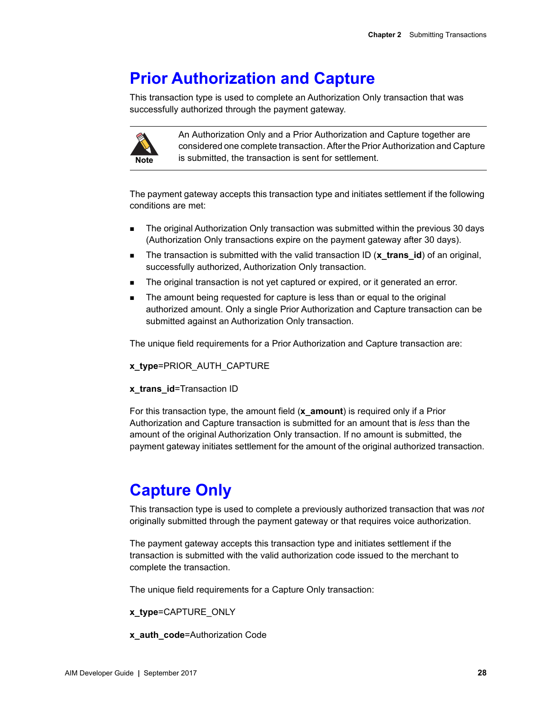## <span id="page-27-0"></span>**Prior Authorization and Capture**

This transaction type is used to complete an Authorization Only transaction that was successfully authorized through the payment gateway.



An Authorization Only and a Prior Authorization and Capture together are considered one complete transaction. After the Prior Authorization and Capture is submitted, the transaction is sent for settlement.

The payment gateway accepts this transaction type and initiates settlement if the following conditions are met:

- The original Authorization Only transaction was submitted within the previous 30 days (Authorization Only transactions expire on the payment gateway after 30 days).
- The transaction is submitted with the valid transaction ID (**x\_trans\_id**) of an original, successfully authorized, Authorization Only transaction.
- The original transaction is not yet captured or expired, or it generated an error.
- The amount being requested for capture is less than or equal to the original authorized amount. Only a single Prior Authorization and Capture transaction can be submitted against an Authorization Only transaction.

The unique field requirements for a Prior Authorization and Capture transaction are:

**x\_type**=PRIOR\_AUTH\_CAPTURE

#### **x\_trans\_id**=Transaction ID

For this transaction type, the amount field (**x\_amount**) is required only if a Prior Authorization and Capture transaction is submitted for an amount that is *less* than the amount of the original Authorization Only transaction. If no amount is submitted, the payment gateway initiates settlement for the amount of the original authorized transaction.

## <span id="page-27-1"></span>**Capture Only**

This transaction type is used to complete a previously authorized transaction that was *not* originally submitted through the payment gateway or that requires voice authorization.

The payment gateway accepts this transaction type and initiates settlement if the transaction is submitted with the valid authorization code issued to the merchant to complete the transaction.

The unique field requirements for a Capture Only transaction:

#### **x\_type**=CAPTURE\_ONLY

**x\_auth\_code**=Authorization Code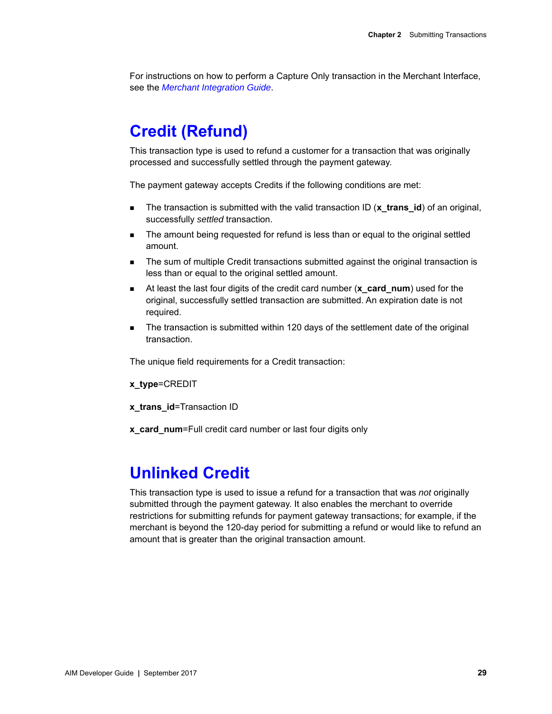For instructions on how to perform a Capture Only transaction in the Merchant Interface, see the *[Merchant Integration Guide](http://www.authorize.net/support/merchant/)*.

## <span id="page-28-0"></span>**Credit (Refund)**

This transaction type is used to refund a customer for a transaction that was originally processed and successfully settled through the payment gateway.

The payment gateway accepts Credits if the following conditions are met:

- The transaction is submitted with the valid transaction ID (**x\_trans\_id**) of an original, successfully *settled* transaction.
- The amount being requested for refund is less than or equal to the original settled amount.
- **The sum of multiple Credit transactions submitted against the original transaction is** less than or equal to the original settled amount.
- At least the last four digits of the credit card number (**x\_card\_num**) used for the original, successfully settled transaction are submitted. An expiration date is not required.
- **The transaction is submitted within 120 days of the settlement date of the original** transaction.

The unique field requirements for a Credit transaction:

**x\_type**=CREDIT

**x\_trans\_id**=Transaction ID

**x\_card\_num**=Full credit card number or last four digits only

## <span id="page-28-1"></span>**Unlinked Credit**

This transaction type is used to issue a refund for a transaction that was *not* originally submitted through the payment gateway. It also enables the merchant to override restrictions for submitting refunds for payment gateway transactions; for example, if the merchant is beyond the 120-day period for submitting a refund or would like to refund an amount that is greater than the original transaction amount.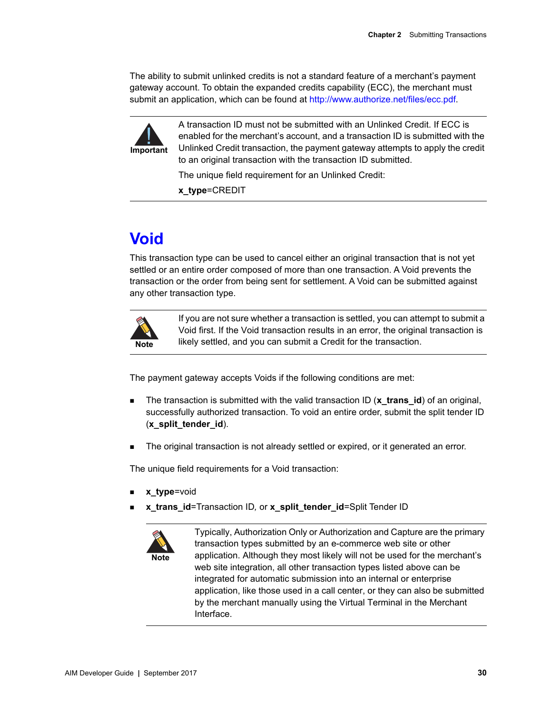The ability to submit unlinked credits is not a standard feature of a merchant's payment gateway account. To obtain the expanded credits capability (ECC), the merchant must submit an application, which can be found at [http://www.authorize.net/files/ecc.pdf.](http://www.authorize.net/files/ecc.pdf)



A transaction ID must not be submitted with an Unlinked Credit. If ECC is enabled for the merchant's account, and a transaction ID is submitted with the Unlinked Credit transaction, the payment gateway attempts to apply the credit to an original transaction with the transaction ID submitted.

The unique field requirement for an Unlinked Credit:

**x\_type**=CREDIT

## <span id="page-29-0"></span>**Void**

This transaction type can be used to cancel either an original transaction that is not yet settled or an entire order composed of more than one transaction. A Void prevents the transaction or the order from being sent for settlement. A Void can be submitted against any other transaction type.



If you are not sure whether a transaction is settled, you can attempt to submit a Void first. If the Void transaction results in an error, the original transaction is likely settled, and you can submit a Credit for the transaction.

The payment gateway accepts Voids if the following conditions are met:

- The transaction is submitted with the valid transaction ID (**x\_trans\_id**) of an original, successfully authorized transaction. To void an entire order, submit the split tender ID (**x\_split\_tender\_id**).
- The original transaction is not already settled or expired, or it generated an error.

The unique field requirements for a Void transaction:

- **x\_type**=void
- **x\_trans\_id**=Transaction ID*,* or **x\_split\_tender\_id**=Split Tender ID



Typically, Authorization Only or Authorization and Capture are the primary transaction types submitted by an e-commerce web site or other application. Although they most likely will not be used for the merchant's web site integration, all other transaction types listed above can be integrated for automatic submission into an internal or enterprise application, like those used in a call center, or they can also be submitted by the merchant manually using the Virtual Terminal in the Merchant Interface.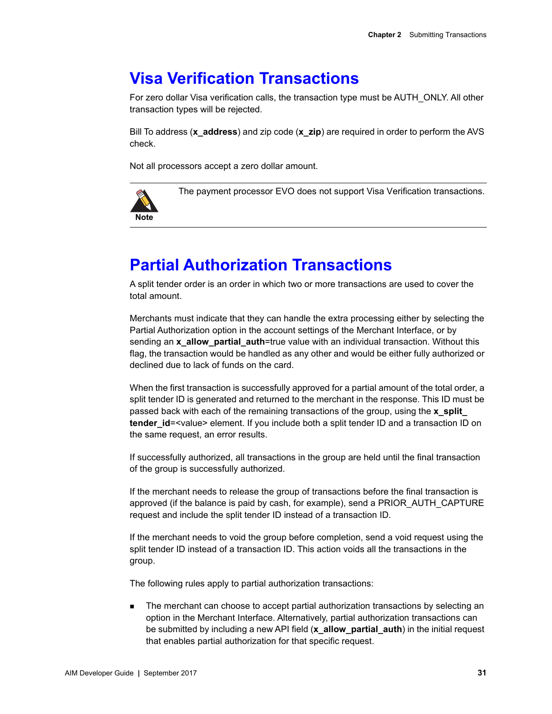## <span id="page-30-0"></span>**Visa Verification Transactions**

For zero dollar Visa verification calls, the transaction type must be AUTH\_ONLY. All other transaction types will be rejected.

Bill To address (**x\_address**) and zip code (**x\_zip**) are required in order to perform the AVS check.

Not all processors accept a zero dollar amount.



The payment processor EVO does not support Visa Verification transactions.

## <span id="page-30-2"></span><span id="page-30-1"></span>**Partial Authorization Transactions**

A split tender order is an order in which two or more transactions are used to cover the total amount.

Merchants must indicate that they can handle the extra processing either by selecting the Partial Authorization option in the account settings of the Merchant Interface, or by sending an **x\_allow\_partial\_auth**=true value with an individual transaction. Without this flag, the transaction would be handled as any other and would be either fully authorized or declined due to lack of funds on the card.

When the first transaction is successfully approved for a partial amount of the total order, a split tender ID is generated and returned to the merchant in the response. This ID must be passed back with each of the remaining transactions of the group, using the **x\_split\_ tender id**=<value> element. If you include both a split tender ID and a transaction ID on the same request, an error results.

If successfully authorized, all transactions in the group are held until the final transaction of the group is successfully authorized.

If the merchant needs to release the group of transactions before the final transaction is approved (if the balance is paid by cash, for example), send a PRIOR\_AUTH\_CAPTURE request and include the split tender ID instead of a transaction ID.

If the merchant needs to void the group before completion, send a void request using the split tender ID instead of a transaction ID. This action voids all the transactions in the group.

The following rules apply to partial authorization transactions:

 The merchant can choose to accept partial authorization transactions by selecting an option in the Merchant Interface. Alternatively, partial authorization transactions can be submitted by including a new API field (**x\_allow\_partial\_auth**) in the initial request that enables partial authorization for that specific request.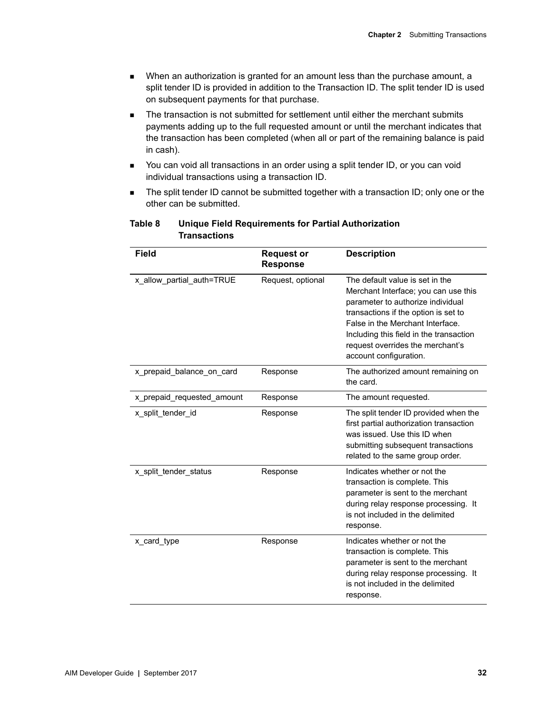- When an authorization is granted for an amount less than the purchase amount, a split tender ID is provided in addition to the Transaction ID. The split tender ID is used on subsequent payments for that purchase.
- The transaction is not submitted for settlement until either the merchant submits payments adding up to the full requested amount or until the merchant indicates that the transaction has been completed (when all or part of the remaining balance is paid in cash).
- You can void all transactions in an order using a split tender ID, or you can void individual transactions using a transaction ID.
- **The split tender ID cannot be submitted together with a transaction ID; only one or the** other can be submitted.

| <b>Field</b>               | <b>Request or</b><br><b>Response</b> | <b>Description</b>                                                                                                                                                                                                                                                                                |  |
|----------------------------|--------------------------------------|---------------------------------------------------------------------------------------------------------------------------------------------------------------------------------------------------------------------------------------------------------------------------------------------------|--|
| x_allow_partial_auth=TRUE  | Request, optional                    | The default value is set in the<br>Merchant Interface; you can use this<br>parameter to authorize individual<br>transactions if the option is set to<br>False in the Merchant Interface.<br>Including this field in the transaction<br>request overrides the merchant's<br>account configuration. |  |
| x prepaid balance on card  | Response                             | The authorized amount remaining on<br>the card.                                                                                                                                                                                                                                                   |  |
| x_prepaid_requested_amount | Response                             | The amount requested.                                                                                                                                                                                                                                                                             |  |
| x split tender id          | Response                             | The split tender ID provided when the<br>first partial authorization transaction<br>was issued. Use this ID when<br>submitting subsequent transactions<br>related to the same group order.                                                                                                        |  |
| x_split_tender_status      | Response                             | Indicates whether or not the<br>transaction is complete. This<br>parameter is sent to the merchant<br>during relay response processing. It<br>is not included in the delimited<br>response.                                                                                                       |  |
| x card type                | Response                             | Indicates whether or not the<br>transaction is complete. This<br>parameter is sent to the merchant<br>during relay response processing. It<br>is not included in the delimited<br>response.                                                                                                       |  |

#### **Table 8 Unique Field Requirements for Partial Authorization Transactions**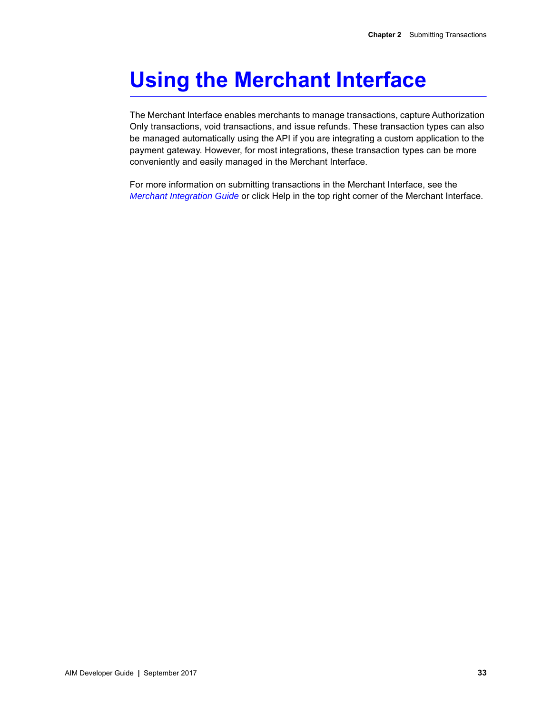# <span id="page-32-0"></span>**Using the Merchant Interface**

The Merchant Interface enables merchants to manage transactions, capture Authorization Only transactions, void transactions, and issue refunds. These transaction types can also be managed automatically using the API if you are integrating a custom application to the payment gateway. However, for most integrations, these transaction types can be more conveniently and easily managed in the Merchant Interface.

For more information on submitting transactions in the Merchant Interface, see the *[Merchant Integration Guide](http://www.authorize.net/support/merchant/)* or click Help in the top right corner of the Merchant Interface.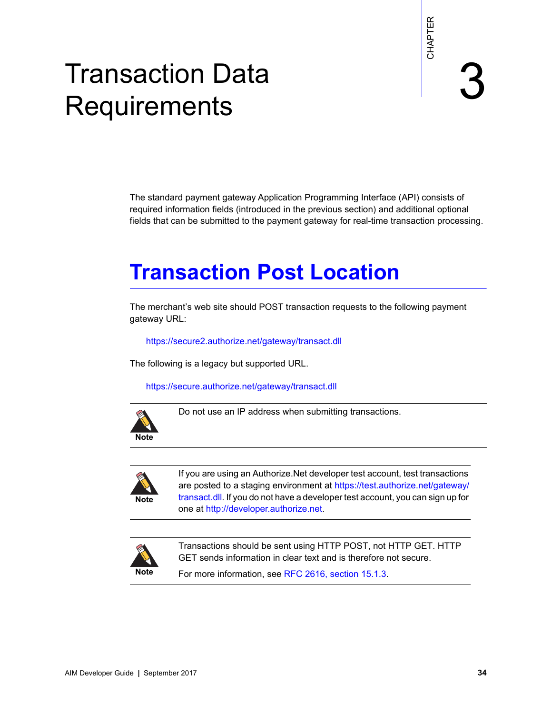<span id="page-33-0"></span>

# Transaction Data **Requirements**

The standard payment gateway Application Programming Interface (API) consists of required information fields (introduced in the previous section) and additional optional fields that can be submitted to the payment gateway for real-time transaction processing.

# <span id="page-33-3"></span><span id="page-33-2"></span>**Transaction Post Location**

The merchant's web site should POST transaction requests to the following payment gateway URL:

<https://secure2.authorize.net/gateway/transact.dll>

The following is a legacy but supported URL.

https://secure.authorize.net/gateway/transact.dll



Do not use an IP address when submitting transactions.



<span id="page-33-1"></span>Transaction Data<br>
Requirements<br>
The standard payment galaxys Activistics (Apple consists of<br>
required information fields (hyvalication Programming interface (AP) consists of<br>
required information fields (hyvalication the p If you are using an Authorize.Net developer test account, test transactions are posted to a staging environment at [https://test.authorize.net/gateway/](https://test.authorize.net/gateway/transact.dll) [transact.dll](https://test.authorize.net/gateway/transact.dll). If you do not have a developer test account, you can sign up for one at <http://developer.authorize.net>.



Transactions should be sent using HTTP POST, not HTTP GET. HTTP GET sends information in clear text and is therefore not secure.

For more information, see [RFC 2616, section 15.1.3.](http://www.w3.org/Protocols/rfc2616/rfc2616-sec15.html)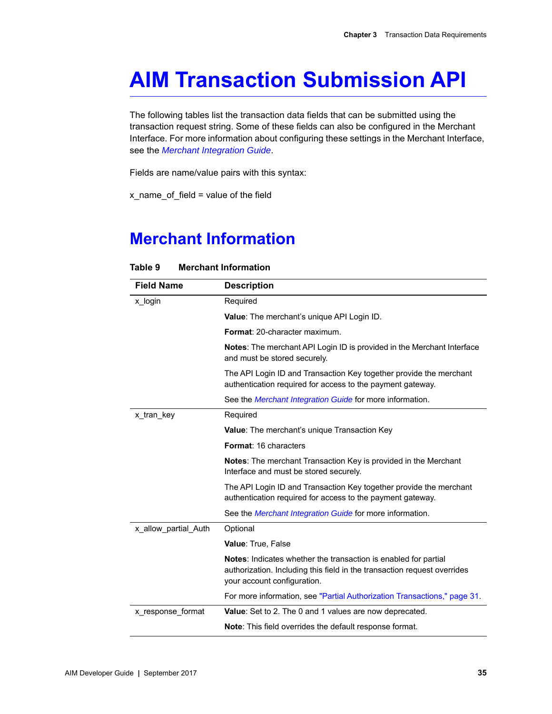# <span id="page-34-0"></span>**AIM Transaction Submission API**

The following tables list the transaction data fields that can be submitted using the transaction request string. Some of these fields can also be configured in the Merchant Interface. For more information about configuring these settings in the Merchant Interface, see the *[Merchant Integration Guide](http://www.authorize.net/support/merchant/)*.

Fields are name/value pairs with this syntax:

 $x$  name of field = value of the field

## <span id="page-34-1"></span>**Merchant Information**

| <b>Field Name</b>    | <b>Description</b>                                                                                                                                                         |
|----------------------|----------------------------------------------------------------------------------------------------------------------------------------------------------------------------|
| x login              | Required                                                                                                                                                                   |
|                      | Value: The merchant's unique API Login ID.                                                                                                                                 |
|                      | Format: 20-character maximum.                                                                                                                                              |
|                      | <b>Notes:</b> The merchant API Login ID is provided in the Merchant Interface<br>and must be stored securely.                                                              |
|                      | The API Login ID and Transaction Key together provide the merchant<br>authentication required for access to the payment gateway.                                           |
|                      | See the <i>Merchant Integration Guide</i> for more information.                                                                                                            |
| x_tran_key           | Required                                                                                                                                                                   |
|                      | <b>Value:</b> The merchant's unique Transaction Key                                                                                                                        |
|                      | Format: 16 characters                                                                                                                                                      |
|                      | <b>Notes:</b> The merchant Transaction Key is provided in the Merchant<br>Interface and must be stored securely.                                                           |
|                      | The API Login ID and Transaction Key together provide the merchant<br>authentication required for access to the payment gateway.                                           |
|                      | See the <i>Merchant Integration Guide</i> for more information.                                                                                                            |
| x allow partial Auth | Optional                                                                                                                                                                   |
|                      | Value: True, False                                                                                                                                                         |
|                      | Notes: Indicates whether the transaction is enabled for partial<br>authorization. Including this field in the transaction request overrides<br>your account configuration. |
|                      | For more information, see "Partial Authorization Transactions," page 31.                                                                                                   |
| x_response_format    | Value: Set to 2. The 0 and 1 values are now deprecated.                                                                                                                    |
|                      | <b>Note:</b> This field overrides the default response format.                                                                                                             |

#### **Table 9 Merchant Information**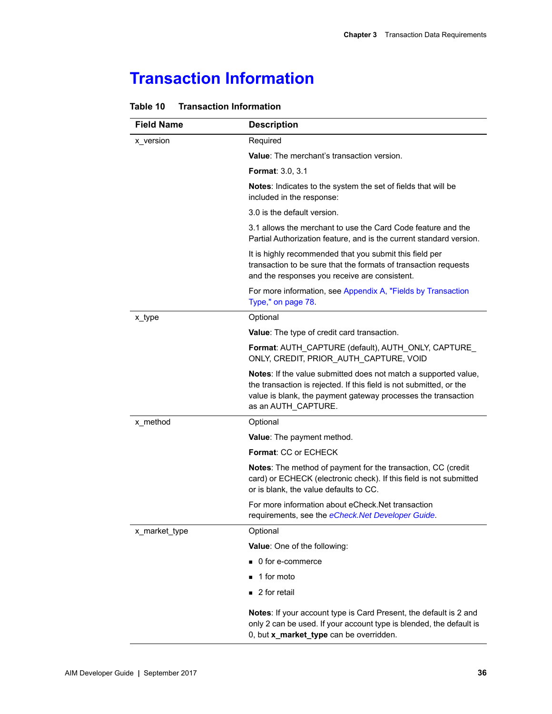## <span id="page-35-0"></span>**Transaction Information**

| <b>Field Name</b> | <b>Description</b>                                                                                                                                                                                                             |
|-------------------|--------------------------------------------------------------------------------------------------------------------------------------------------------------------------------------------------------------------------------|
| x version         | Required                                                                                                                                                                                                                       |
|                   | <b>Value:</b> The merchant's transaction version.                                                                                                                                                                              |
|                   | <b>Format: 3.0, 3.1</b>                                                                                                                                                                                                        |
|                   | Notes: Indicates to the system the set of fields that will be<br>included in the response:                                                                                                                                     |
|                   | 3.0 is the default version.                                                                                                                                                                                                    |
|                   | 3.1 allows the merchant to use the Card Code feature and the<br>Partial Authorization feature, and is the current standard version.                                                                                            |
|                   | It is highly recommended that you submit this field per<br>transaction to be sure that the formats of transaction requests<br>and the responses you receive are consistent.                                                    |
|                   | For more information, see Appendix A, "Fields by Transaction<br>Type," on page 78.                                                                                                                                             |
| x_type            | Optional                                                                                                                                                                                                                       |
|                   | Value: The type of credit card transaction.                                                                                                                                                                                    |
|                   | Format: AUTH CAPTURE (default), AUTH ONLY, CAPTURE<br>ONLY, CREDIT, PRIOR_AUTH_CAPTURE, VOID                                                                                                                                   |
|                   | Notes: If the value submitted does not match a supported value,<br>the transaction is rejected. If this field is not submitted, or the<br>value is blank, the payment gateway processes the transaction<br>as an AUTH_CAPTURE. |
| x_method          | Optional                                                                                                                                                                                                                       |
|                   | Value: The payment method.                                                                                                                                                                                                     |
|                   | Format: CC or ECHECK                                                                                                                                                                                                           |
|                   | Notes: The method of payment for the transaction, CC (credit<br>card) or ECHECK (electronic check). If this field is not submitted<br>or is blank, the value defaults to CC.                                                   |
|                   | For more information about eCheck.Net transaction<br>requirements, see the eCheck.Net Developer Guide.                                                                                                                         |
| x market type     | Optional                                                                                                                                                                                                                       |
|                   | Value: One of the following:                                                                                                                                                                                                   |
|                   | ■ 0 for e-commerce                                                                                                                                                                                                             |
|                   | 1 for moto                                                                                                                                                                                                                     |
|                   | 2 for retail                                                                                                                                                                                                                   |
|                   | <b>Notes:</b> If your account type is Card Present, the default is 2 and<br>only 2 can be used. If your account type is blended, the default is<br>0, but x_market_type can be overridden.                                     |

#### **Table 10 Transaction Information**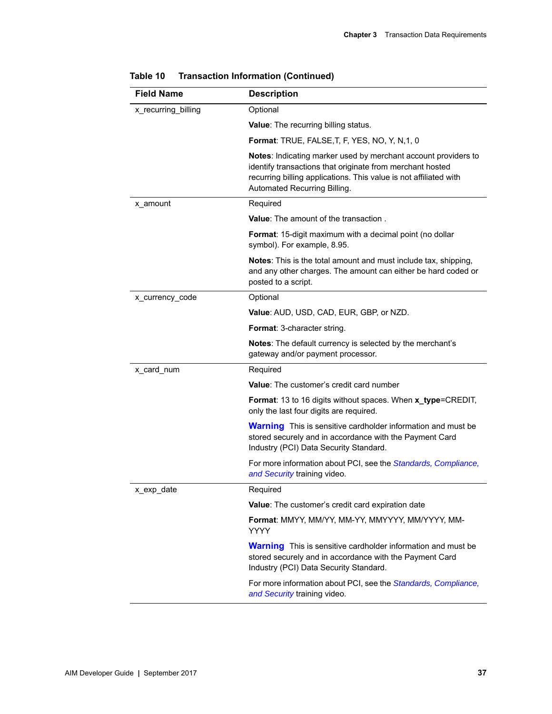| <b>Field Name</b>   | <b>Description</b>                                                                                                                                                                                                               |
|---------------------|----------------------------------------------------------------------------------------------------------------------------------------------------------------------------------------------------------------------------------|
| x_recurring_billing | Optional                                                                                                                                                                                                                         |
|                     | Value: The recurring billing status.                                                                                                                                                                                             |
|                     | Format: TRUE, FALSE, T, F, YES, NO, Y, N, 1, 0                                                                                                                                                                                   |
|                     | Notes: Indicating marker used by merchant account providers to<br>identify transactions that originate from merchant hosted<br>recurring billing applications. This value is not affiliated with<br>Automated Recurring Billing. |
| x amount            | Required                                                                                                                                                                                                                         |
|                     | <b>Value:</b> The amount of the transaction.                                                                                                                                                                                     |
|                     | Format: 15-digit maximum with a decimal point (no dollar<br>symbol). For example, 8.95.                                                                                                                                          |
|                     | Notes: This is the total amount and must include tax, shipping,<br>and any other charges. The amount can either be hard coded or<br>posted to a script.                                                                          |
| x currency code     | Optional                                                                                                                                                                                                                         |
|                     | Value: AUD, USD, CAD, EUR, GBP, or NZD.                                                                                                                                                                                          |
|                     | Format: 3-character string.                                                                                                                                                                                                      |
|                     | Notes: The default currency is selected by the merchant's<br>gateway and/or payment processor.                                                                                                                                   |
| x_card_num          | Required                                                                                                                                                                                                                         |
|                     | <b>Value:</b> The customer's credit card number                                                                                                                                                                                  |
|                     | Format: 13 to 16 digits without spaces. When x_type=CREDIT,<br>only the last four digits are required.                                                                                                                           |
|                     | <b>Warning</b> This is sensitive cardholder information and must be<br>stored securely and in accordance with the Payment Card<br>Industry (PCI) Data Security Standard.                                                         |
|                     | For more information about PCI, see the Standards, Compliance,<br>and Security training video.                                                                                                                                   |
| x_exp_date          | Required                                                                                                                                                                                                                         |
|                     | Value: The customer's credit card expiration date                                                                                                                                                                                |
|                     | Format: MMYY, MM/YY, MM-YY, MMYYYY, MM/YYYY, MM-<br>YYYY                                                                                                                                                                         |
|                     | <b>Warning</b> This is sensitive cardholder information and must be<br>stored securely and in accordance with the Payment Card<br>Industry (PCI) Data Security Standard.                                                         |
|                     | For more information about PCI, see the <i>Standards</i> , <i>Compliance</i> ,<br>and Security training video.                                                                                                                   |

| Table 10 | <b>Transaction Information (Continued)</b> |  |  |
|----------|--------------------------------------------|--|--|
|----------|--------------------------------------------|--|--|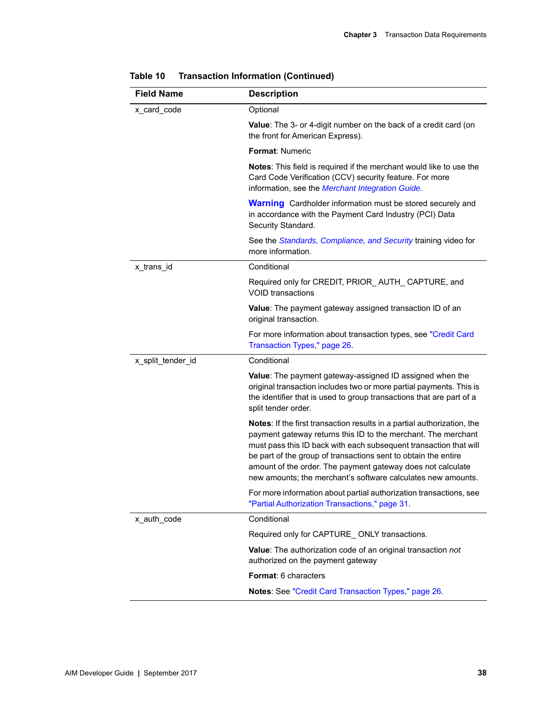| <b>Field Name</b> | <b>Description</b>                                                                                                                                                                                                                                                                                                                                                                                             |
|-------------------|----------------------------------------------------------------------------------------------------------------------------------------------------------------------------------------------------------------------------------------------------------------------------------------------------------------------------------------------------------------------------------------------------------------|
| x_card_code       | Optional                                                                                                                                                                                                                                                                                                                                                                                                       |
|                   | Value: The 3- or 4-digit number on the back of a credit card (on<br>the front for American Express).                                                                                                                                                                                                                                                                                                           |
|                   | <b>Format: Numeric</b>                                                                                                                                                                                                                                                                                                                                                                                         |
|                   | Notes: This field is required if the merchant would like to use the<br>Card Code Verification (CCV) security feature. For more<br>information, see the Merchant Integration Guide.                                                                                                                                                                                                                             |
|                   | <b>Warning</b> Cardholder information must be stored securely and<br>in accordance with the Payment Card Industry (PCI) Data<br>Security Standard.                                                                                                                                                                                                                                                             |
|                   | See the Standards, Compliance, and Security training video for<br>more information.                                                                                                                                                                                                                                                                                                                            |
| x trans id        | Conditional                                                                                                                                                                                                                                                                                                                                                                                                    |
|                   | Required only for CREDIT, PRIOR_AUTH_CAPTURE, and<br><b>VOID</b> transactions                                                                                                                                                                                                                                                                                                                                  |
|                   | Value: The payment gateway assigned transaction ID of an<br>original transaction.                                                                                                                                                                                                                                                                                                                              |
|                   | For more information about transaction types, see "Credit Card<br>Transaction Types," page 26.                                                                                                                                                                                                                                                                                                                 |
| x_split_tender_id | Conditional                                                                                                                                                                                                                                                                                                                                                                                                    |
|                   | Value: The payment gateway-assigned ID assigned when the<br>original transaction includes two or more partial payments. This is<br>the identifier that is used to group transactions that are part of a<br>split tender order.                                                                                                                                                                                 |
|                   | Notes: If the first transaction results in a partial authorization, the<br>payment gateway returns this ID to the merchant. The merchant<br>must pass this ID back with each subsequent transaction that will<br>be part of the group of transactions sent to obtain the entire<br>amount of the order. The payment gateway does not calculate<br>new amounts; the merchant's software calculates new amounts. |
|                   | For more information about partial authorization transactions, see<br>"Partial Authorization Transactions," page 31.                                                                                                                                                                                                                                                                                           |
| x_auth_code       | Conditional                                                                                                                                                                                                                                                                                                                                                                                                    |
|                   | Required only for CAPTURE_ONLY transactions.                                                                                                                                                                                                                                                                                                                                                                   |
|                   | Value: The authorization code of an original transaction not<br>authorized on the payment gateway                                                                                                                                                                                                                                                                                                              |
|                   | Format: 6 characters                                                                                                                                                                                                                                                                                                                                                                                           |
|                   | Notes: See "Credit Card Transaction Types," page 26.                                                                                                                                                                                                                                                                                                                                                           |

| Table 10 | <b>Transaction Information (Continued)</b> |  |  |
|----------|--------------------------------------------|--|--|
|----------|--------------------------------------------|--|--|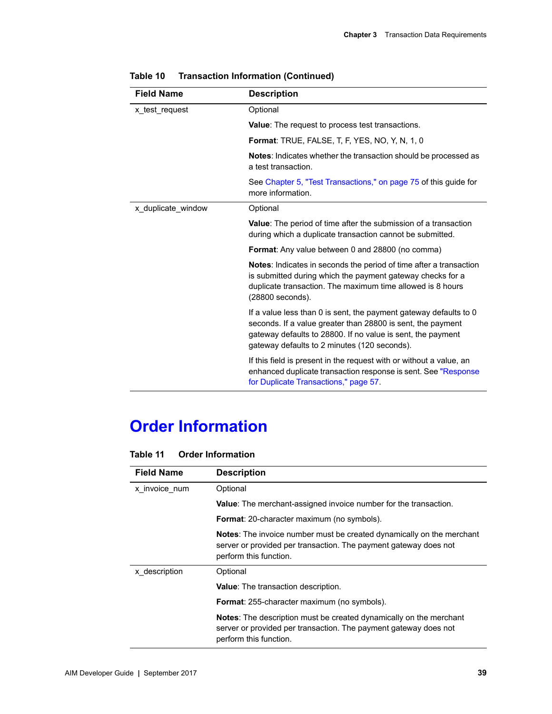| <b>Field Name</b>  | <b>Description</b>                                                                                                                                                                                                                              |
|--------------------|-------------------------------------------------------------------------------------------------------------------------------------------------------------------------------------------------------------------------------------------------|
| x test request     | Optional                                                                                                                                                                                                                                        |
|                    | <b>Value:</b> The request to process test transactions.                                                                                                                                                                                         |
|                    | <b>Format: TRUE, FALSE, T, F, YES, NO, Y, N, 1, 0</b>                                                                                                                                                                                           |
|                    | <b>Notes:</b> Indicates whether the transaction should be processed as<br>a test transaction.                                                                                                                                                   |
|                    | See Chapter 5, "Test Transactions," on page 75 of this guide for<br>more information.                                                                                                                                                           |
| x duplicate window | Optional                                                                                                                                                                                                                                        |
|                    | <b>Value:</b> The period of time after the submission of a transaction<br>during which a duplicate transaction cannot be submitted.                                                                                                             |
|                    | <b>Format:</b> Any value between 0 and 28800 (no comma)                                                                                                                                                                                         |
|                    | <b>Notes:</b> Indicates in seconds the period of time after a transaction<br>is submitted during which the payment gateway checks for a<br>duplicate transaction. The maximum time allowed is 8 hours<br>(28800 seconds).                       |
|                    | If a value less than 0 is sent, the payment gateway defaults to 0<br>seconds. If a value greater than 28800 is sent, the payment<br>gateway defaults to 28800. If no value is sent, the payment<br>gateway defaults to 2 minutes (120 seconds). |
|                    | If this field is present in the request with or without a value, an<br>enhanced duplicate transaction response is sent. See "Response"<br>for Duplicate Transactions," page 57.                                                                 |

| Table 10 | <b>Transaction Information (Continued)</b> |  |  |
|----------|--------------------------------------------|--|--|
|----------|--------------------------------------------|--|--|

# **Order Information**

| Table 11 | <b>Order Information</b> |
|----------|--------------------------|
|          |                          |

| <b>Field Name</b> | <b>Description</b>                                                                                                                                                      |
|-------------------|-------------------------------------------------------------------------------------------------------------------------------------------------------------------------|
| x invoice num     | Optional                                                                                                                                                                |
|                   | <b>Value:</b> The merchant-assigned invoice number for the transaction.                                                                                                 |
|                   | <b>Format:</b> 20-character maximum (no symbols).                                                                                                                       |
|                   | Notes: The invoice number must be created dynamically on the merchant<br>server or provided per transaction. The payment gateway does not<br>perform this function.     |
| x description     | Optional                                                                                                                                                                |
|                   | <b>Value:</b> The transaction description.                                                                                                                              |
|                   | <b>Format:</b> 255-character maximum (no symbols).                                                                                                                      |
|                   | <b>Notes:</b> The description must be created dynamically on the merchant<br>server or provided per transaction. The payment gateway does not<br>perform this function. |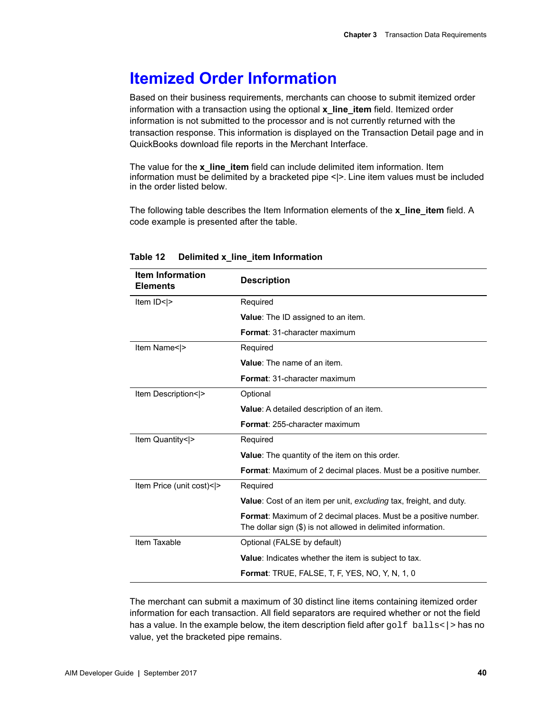# **Itemized Order Information**

Based on their business requirements, merchants can choose to submit itemized order information with a transaction using the optional **x\_line\_item** field. Itemized order information is not submitted to the processor and is not currently returned with the transaction response. This information is displayed on the Transaction Detail page and in QuickBooks download file reports in the Merchant Interface.

The value for the **x\_line\_item** field can include delimited item information. Item information must be delimited by a bracketed pipe <|>. Line item values must be included in the order listed below.

The following table describes the Item Information elements of the **x\_line\_item** field. A code example is presented after the table.

| <b>Item Information</b><br><b>Elements</b> | <b>Description</b>                                                                                                                      |
|--------------------------------------------|-----------------------------------------------------------------------------------------------------------------------------------------|
| Item ID< >                                 | Required                                                                                                                                |
|                                            | <b>Value:</b> The ID assigned to an item.                                                                                               |
|                                            | Format: 31-character maximum                                                                                                            |
| Item Name< >                               | Required                                                                                                                                |
|                                            | Value: The name of an item.                                                                                                             |
|                                            | <b>Format: 31-character maximum</b>                                                                                                     |
| Item Description< >                        | Optional                                                                                                                                |
|                                            | Value: A detailed description of an item.                                                                                               |
|                                            | <b>Format: 255-character maximum</b>                                                                                                    |
| Item Quantity< >                           | Required                                                                                                                                |
|                                            | <b>Value:</b> The quantity of the item on this order.                                                                                   |
|                                            | <b>Format:</b> Maximum of 2 decimal places. Must be a positive number.                                                                  |
| Item Price (unit cost)< >                  | Required                                                                                                                                |
|                                            | <b>Value:</b> Cost of an item per unit, excluding tax, freight, and duty.                                                               |
|                                            | <b>Format:</b> Maximum of 2 decimal places. Must be a positive number.<br>The dollar sign (\$) is not allowed in delimited information. |
| Item Taxable                               | Optional (FALSE by default)                                                                                                             |
|                                            | Value: Indicates whether the item is subject to tax.                                                                                    |
|                                            | <b>Format:</b> TRUE, FALSE, T, F, YES, NO, Y, N, 1, 0                                                                                   |

### **Table 12 Delimited x\_line\_item Information**

The merchant can submit a maximum of 30 distinct line items containing itemized order information for each transaction. All field separators are required whether or not the field has a value. In the example below, the item description field after  $golf$  balls $\langle$  > has no value, yet the bracketed pipe remains.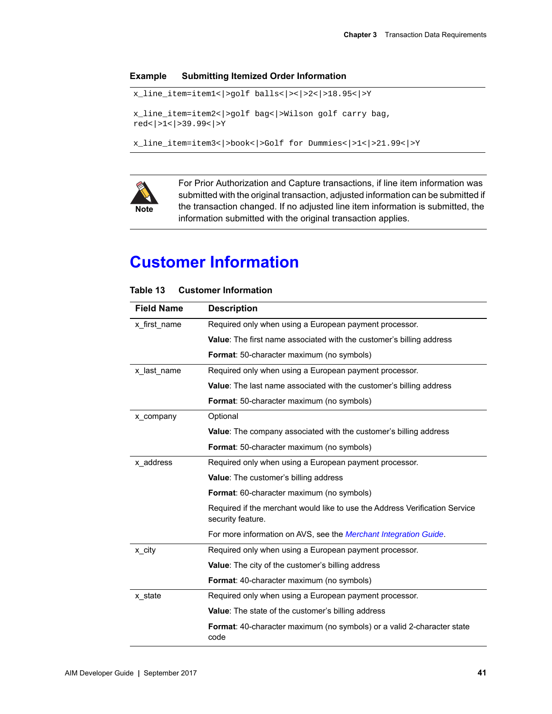### **Example Submitting Itemized Order Information**

```
x_line_item=item1<|>golf balls<|><|>2<|>18.95<|>Y
x_line_item=item2<|>golf bag<|>Wilson golf carry bag, 
red<|>1<|>39.99<|>Y
x_line_item=item3<|>book<|>Golf for Dummies<|>1<|>21.99<|>Y
```


For Prior Authorization and Capture transactions, if line item information was submitted with the original transaction, adjusted information can be submitted if the transaction changed. If no adjusted line item information is submitted, the information submitted with the original transaction applies.

# **Customer Information**

| <b>Field Name</b> | <b>Description</b>                                                                               |
|-------------------|--------------------------------------------------------------------------------------------------|
| x first name      | Required only when using a European payment processor.                                           |
|                   | <b>Value:</b> The first name associated with the customer's billing address                      |
|                   | <b>Format:</b> 50-character maximum (no symbols)                                                 |
| x last name       | Required only when using a European payment processor.                                           |
|                   | Value: The last name associated with the customer's billing address                              |
|                   | <b>Format:</b> 50-character maximum (no symbols)                                                 |
| x company         | Optional                                                                                         |
|                   | <b>Value:</b> The company associated with the customer's billing address                         |
|                   | <b>Format:</b> 50-character maximum (no symbols)                                                 |
| x address         | Required only when using a European payment processor.                                           |
|                   | <b>Value:</b> The customer's billing address                                                     |
|                   | <b>Format:</b> 60-character maximum (no symbols)                                                 |
|                   | Required if the merchant would like to use the Address Verification Service<br>security feature. |
|                   | For more information on AVS, see the Merchant Integration Guide.                                 |
| x city            | Required only when using a European payment processor.                                           |
|                   | <b>Value:</b> The city of the customer's billing address                                         |
|                   | <b>Format:</b> 40-character maximum (no symbols)                                                 |
| x_state           | Required only when using a European payment processor.                                           |
|                   | <b>Value:</b> The state of the customer's billing address                                        |
|                   | Format: 40-character maximum (no symbols) or a valid 2-character state<br>code                   |

### **Table 13 Customer Information**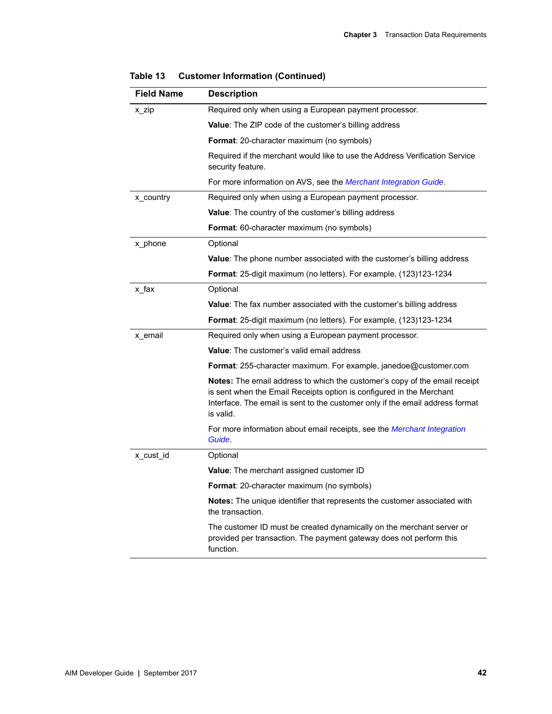| <b>Field Name</b> | <b>Description</b>                                                                                                                                                                                                                                      |
|-------------------|---------------------------------------------------------------------------------------------------------------------------------------------------------------------------------------------------------------------------------------------------------|
| x zip             | Required only when using a European payment processor.                                                                                                                                                                                                  |
|                   | <b>Value:</b> The ZIP code of the customer's billing address                                                                                                                                                                                            |
|                   | <b>Format</b> : 20-character maximum (no symbols)                                                                                                                                                                                                       |
|                   | Required if the merchant would like to use the Address Verification Service<br>security feature.                                                                                                                                                        |
|                   | For more information on AVS, see the <i>Merchant Integration Guide</i> .                                                                                                                                                                                |
| x_country         | Required only when using a European payment processor.                                                                                                                                                                                                  |
|                   | <b>Value:</b> The country of the customer's billing address                                                                                                                                                                                             |
|                   | <b>Format:</b> 60-character maximum (no symbols)                                                                                                                                                                                                        |
| x_phone           | Optional                                                                                                                                                                                                                                                |
|                   | <b>Value:</b> The phone number associated with the customer's billing address                                                                                                                                                                           |
|                   | <b>Format</b> : 25-digit maximum (no letters). For example, (123)123-1234                                                                                                                                                                               |
| x fax             | Optional                                                                                                                                                                                                                                                |
|                   | <b>Value:</b> The fax number associated with the customer's billing address                                                                                                                                                                             |
|                   | <b>Format:</b> 25-digit maximum (no letters). For example, (123)123-1234                                                                                                                                                                                |
| x email           | Required only when using a European payment processor.                                                                                                                                                                                                  |
|                   | <b>Value:</b> The customer's valid email address                                                                                                                                                                                                        |
|                   | <b>Format:</b> 255-character maximum. For example, janedoe@customer.com                                                                                                                                                                                 |
|                   | <b>Notes:</b> The email address to which the customer's copy of the email receipt<br>is sent when the Email Receipts option is configured in the Merchant<br>Interface. The email is sent to the customer only if the email address format<br>is valid. |
|                   | For more information about email receipts, see the <i>Merchant Integration</i><br>Guide.                                                                                                                                                                |
| x cust id         | Optional                                                                                                                                                                                                                                                |
|                   | Value: The merchant assigned customer ID                                                                                                                                                                                                                |
|                   | Format: 20-character maximum (no symbols)                                                                                                                                                                                                               |
|                   | Notes: The unique identifier that represents the customer associated with<br>the transaction.                                                                                                                                                           |
|                   | The customer ID must be created dynamically on the merchant server or<br>provided per transaction. The payment gateway does not perform this<br>function.                                                                                               |

**Table 13 Customer Information (Continued)**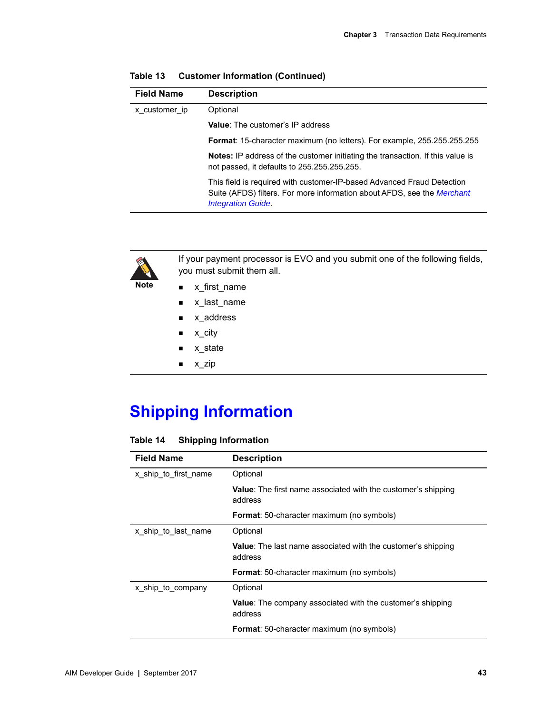| <b>Field Name</b> | <b>Description</b>                                                                                                                                                             |
|-------------------|--------------------------------------------------------------------------------------------------------------------------------------------------------------------------------|
| x customer ip     | Optional                                                                                                                                                                       |
|                   | <b>Value:</b> The customer's IP address                                                                                                                                        |
|                   | Format: 15-character maximum (no letters). For example, 255.255.255.255                                                                                                        |
|                   | <b>Notes:</b> IP address of the customer initiating the transaction. If this value is<br>not passed, it defaults to 255.255.255.255.                                           |
|                   | This field is required with customer-IP-based Advanced Fraud Detection<br>Suite (AFDS) filters. For more information about AFDS, see the Merchant<br><b>Integration Guide.</b> |

| Table 13 |  | <b>Customer Information (Continued)</b> |  |  |
|----------|--|-----------------------------------------|--|--|
|----------|--|-----------------------------------------|--|--|



If your payment processor is EVO and you submit one of the following fields, you must submit them all.

- **x\_first\_name**
- x\_last\_name
- **x\_address**
- x\_city
- x\_state
- $x_zip$

# **Shipping Information**

### **Table 14 Shipping Information**

| <b>Field Name</b>    | <b>Description</b>                                                              |
|----------------------|---------------------------------------------------------------------------------|
| x ship to first name | Optional                                                                        |
|                      | <b>Value:</b> The first name associated with the customer's shipping<br>address |
|                      | <b>Format:</b> 50-character maximum (no symbols)                                |
| x ship to last name  | Optional                                                                        |
|                      | <b>Value:</b> The last name associated with the customer's shipping<br>address  |
|                      | <b>Format:</b> 50-character maximum (no symbols)                                |
| x ship to company    | Optional                                                                        |
|                      | Value: The company associated with the customer's shipping<br>address           |
|                      | Format: 50-character maximum (no symbols)                                       |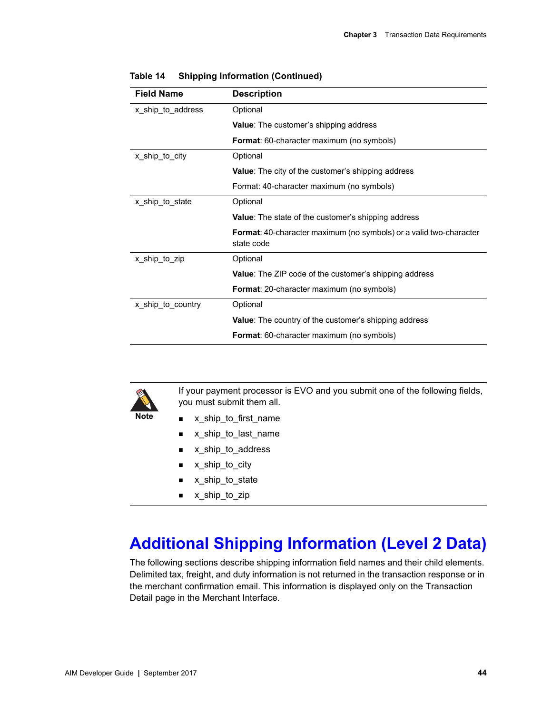| <b>Field Name</b> | <b>Description</b>                                                               |
|-------------------|----------------------------------------------------------------------------------|
| x ship to address | Optional                                                                         |
|                   | <b>Value:</b> The customer's shipping address                                    |
|                   | <b>Format:</b> 60-character maximum (no symbols)                                 |
| x_ship_to_city    | Optional                                                                         |
|                   | <b>Value:</b> The city of the customer's shipping address                        |
|                   | Format: 40-character maximum (no symbols)                                        |
| x_ship_to_state   | Optional                                                                         |
|                   | <b>Value:</b> The state of the customer's shipping address                       |
|                   | Format: 40-character maximum (no symbols) or a valid two-character<br>state code |
| x_ship_to_zip     | Optional                                                                         |
|                   | <b>Value:</b> The ZIP code of the customer's shipping address                    |
|                   | <b>Format:</b> 20-character maximum (no symbols)                                 |
| x_ship_to_country | Optional                                                                         |
|                   | <b>Value:</b> The country of the customer's shipping address                     |
|                   | <b>Format:</b> 60-character maximum (no symbols)                                 |

**Table 14 Shipping Information (Continued)**



If your payment processor is EVO and you submit one of the following fields, you must submit them all.

- x\_ship\_to\_first\_name
	- x\_ship\_to\_last\_name
	- x\_ship\_to\_address
	- x\_ship\_to\_city
	- **x\_ship\_to\_state**
	- x\_ship\_to\_zip

# **Additional Shipping Information (Level 2 Data)**

The following sections describe shipping information field names and their child elements. Delimited tax, freight, and duty information is not returned in the transaction response or in the merchant confirmation email. This information is displayed only on the Transaction Detail page in the Merchant Interface.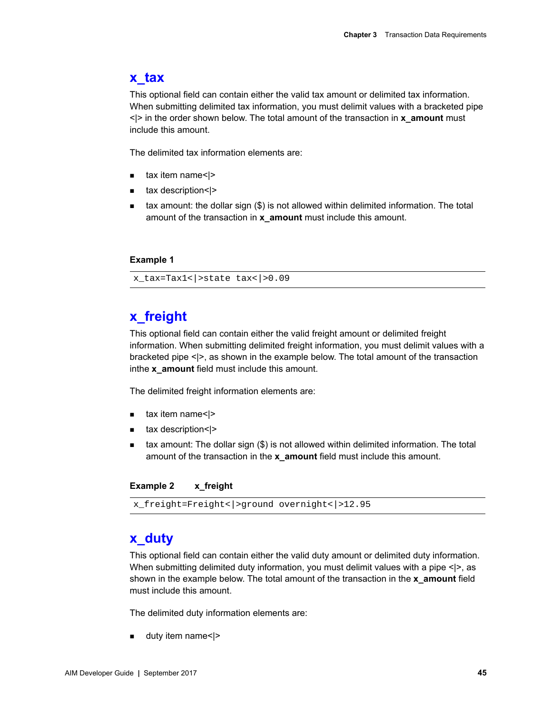# **x\_tax**

This optional field can contain either the valid tax amount or delimited tax information. When submitting delimited tax information, you must delimit values with a bracketed pipe <|> in the order shown below. The total amount of the transaction in **x\_amount** must include this amount.

The delimited tax information elements are:

- $\blacksquare$  tax item name< $\vert$ >
- tax description<|>
- $\blacksquare$  tax amount: the dollar sign  $(\$)$  is not allowed within delimited information. The total amount of the transaction in **x\_amount** must include this amount.

### **Example 1**

x\_tax=Tax1<|>state tax<|>0.09

# **x\_freight**

This optional field can contain either the valid freight amount or delimited freight information. When submitting delimited freight information, you must delimit values with a bracketed pipe <|>, as shown in the example below. The total amount of the transaction inthe **x\_amount** field must include this amount.

The delimited freight information elements are:

- $\blacksquare$  tax item name< $\lvert$ >
- tax description<|>
- tax amount: The dollar sign (\$) is not allowed within delimited information. The total amount of the transaction in the **x\_amount** field must include this amount.

### **Example 2 x\_freight**

```
x_freight=Freight<|>ground overnight<|>12.95
```
### **x\_duty**

This optional field can contain either the valid duty amount or delimited duty information. When submitting delimited duty information, you must delimit values with a pipe <|>, as shown in the example below. The total amount of the transaction in the **x\_amount** field must include this amount.

The delimited duty information elements are:

**u** duty item name<|>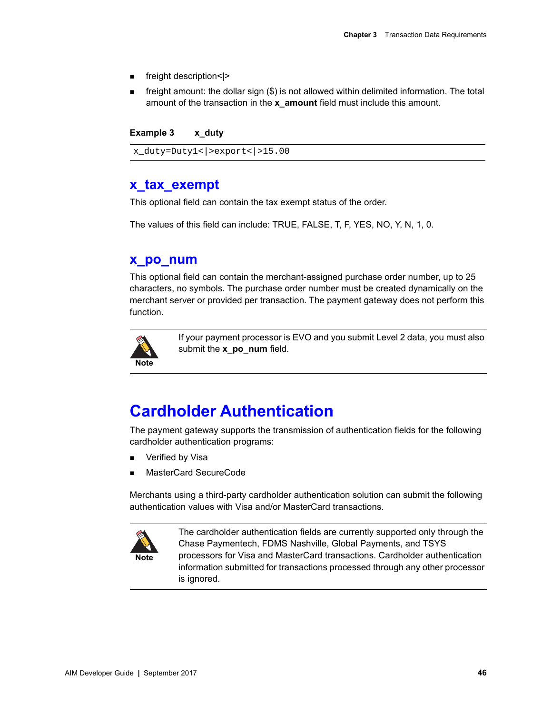- freight description<|>
- **F** freight amount: the dollar sign  $(\$)$  is not allowed within delimited information. The total amount of the transaction in the **x\_amount** field must include this amount.

**Example 3 x\_duty**

x\_duty=Duty1<|>export<|>15.00

### **x\_tax\_exempt**

This optional field can contain the tax exempt status of the order.

The values of this field can include: TRUE, FALSE, T, F, YES, NO, Y, N, 1, 0.

### **x\_po\_num**

This optional field can contain the merchant-assigned purchase order number, up to 25 characters, no symbols. The purchase order number must be created dynamically on the merchant server or provided per transaction. The payment gateway does not perform this function.



If your payment processor is EVO and you submit Level 2 data, you must also submit the **x** po num field.

# <span id="page-45-0"></span>**Cardholder Authentication**

The payment gateway supports the transmission of authentication fields for the following cardholder authentication programs:

- Verified by Visa
- MasterCard SecureCode

Merchants using a third-party cardholder authentication solution can submit the following authentication values with Visa and/or MasterCard transactions.



The cardholder authentication fields are currently supported only through the Chase Paymentech, FDMS Nashville, Global Payments, and TSYS processors for Visa and MasterCard transactions. Cardholder authentication information submitted for transactions processed through any other processor is ignored.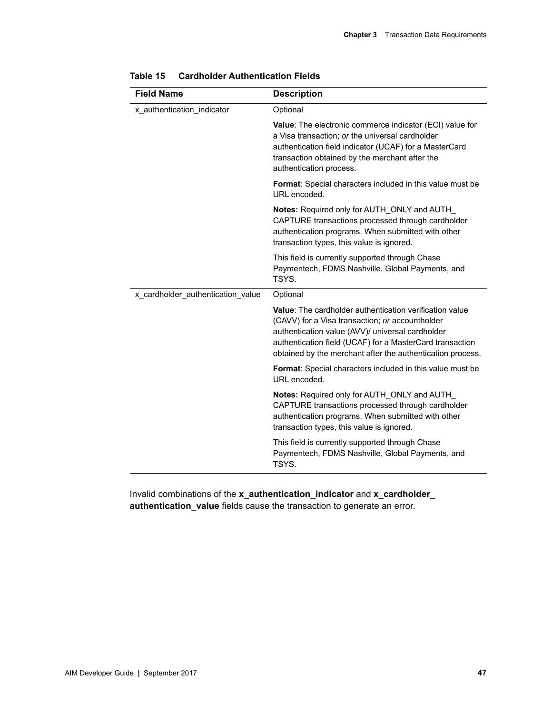| <b>Field Name</b>                 | <b>Description</b>                                                                                                                                                                                                                                                                              |
|-----------------------------------|-------------------------------------------------------------------------------------------------------------------------------------------------------------------------------------------------------------------------------------------------------------------------------------------------|
| x_authentication_indicator        | Optional                                                                                                                                                                                                                                                                                        |
|                                   | Value: The electronic commerce indicator (ECI) value for<br>a Visa transaction; or the universal cardholder<br>authentication field indicator (UCAF) for a MasterCard<br>transaction obtained by the merchant after the<br>authentication process.                                              |
|                                   | Format: Special characters included in this value must be<br>URL encoded.                                                                                                                                                                                                                       |
|                                   | Notes: Required only for AUTH_ONLY and AUTH_<br>CAPTURE transactions processed through cardholder<br>authentication programs. When submitted with other<br>transaction types, this value is ignored.                                                                                            |
|                                   | This field is currently supported through Chase<br>Paymentech, FDMS Nashville, Global Payments, and<br>TSYS.                                                                                                                                                                                    |
| x_cardholder_authentication_value | Optional                                                                                                                                                                                                                                                                                        |
|                                   | <b>Value:</b> The cardholder authentication verification value<br>(CAVV) for a Visa transaction; or accountholder<br>authentication value (AVV)/ universal cardholder<br>authentication field (UCAF) for a MasterCard transaction<br>obtained by the merchant after the authentication process. |
|                                   | <b>Format:</b> Special characters included in this value must be<br>URL encoded.                                                                                                                                                                                                                |
|                                   | Notes: Required only for AUTH ONLY and AUTH<br>CAPTURE transactions processed through cardholder<br>authentication programs. When submitted with other<br>transaction types, this value is ignored.                                                                                             |
|                                   | This field is currently supported through Chase<br>Paymentech, FDMS Nashville, Global Payments, and<br>TSYS.                                                                                                                                                                                    |

| Table 15 | <b>Cardholder Authentication Fields</b> |
|----------|-----------------------------------------|
|          |                                         |

Invalid combinations of the **x\_authentication\_indicator** and **x\_cardholder\_ authentication\_value** fields cause the transaction to generate an error.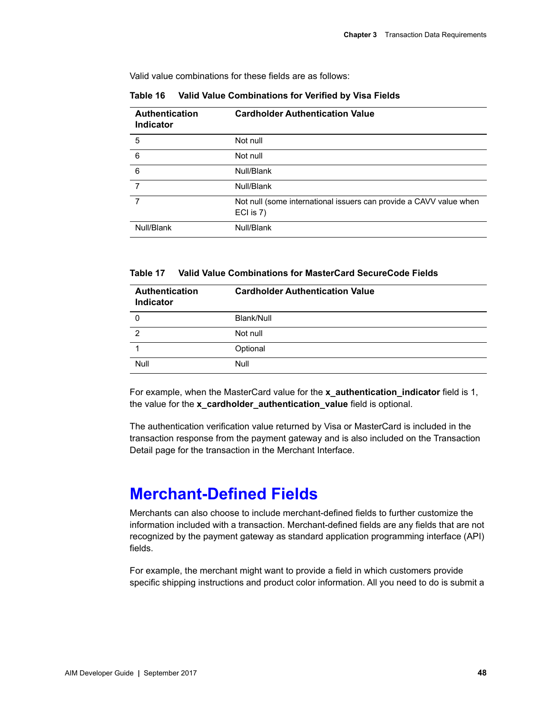Valid value combinations for these fields are as follows:

| Authentication<br><b>Indicator</b> | <b>Cardholder Authentication Value</b>                                          |
|------------------------------------|---------------------------------------------------------------------------------|
| 5                                  | Not null                                                                        |
| 6                                  | Not null                                                                        |
| $6\phantom{1}6$                    | Null/Blank                                                                      |
| 7                                  | Null/Blank                                                                      |
| 7                                  | Not null (some international issuers can provide a CAVV value when<br>ECI is 7) |
| Null/Blank                         | Null/Blank                                                                      |

**Table 16 Valid Value Combinations for Verified by Visa Fields**

**Table 17 Valid Value Combinations for MasterCard SecureCode Fields**

| <b>Authentication</b><br><b>Indicator</b> | <b>Cardholder Authentication Value</b> |
|-------------------------------------------|----------------------------------------|
| 0                                         | Blank/Null                             |
| 2                                         | Not null                               |
|                                           | Optional                               |
| Null                                      | Null                                   |

For example, when the MasterCard value for the **x\_authentication\_indicator** field is 1, the value for the x cardholder authentication value field is optional.

The authentication verification value returned by Visa or MasterCard is included in the transaction response from the payment gateway and is also included on the Transaction Detail page for the transaction in the Merchant Interface.

# **Merchant-Defined Fields**

Merchants can also choose to include merchant-defined fields to further customize the information included with a transaction. Merchant-defined fields are any fields that are not recognized by the payment gateway as standard application programming interface (API) fields.

For example, the merchant might want to provide a field in which customers provide specific shipping instructions and product color information. All you need to do is submit a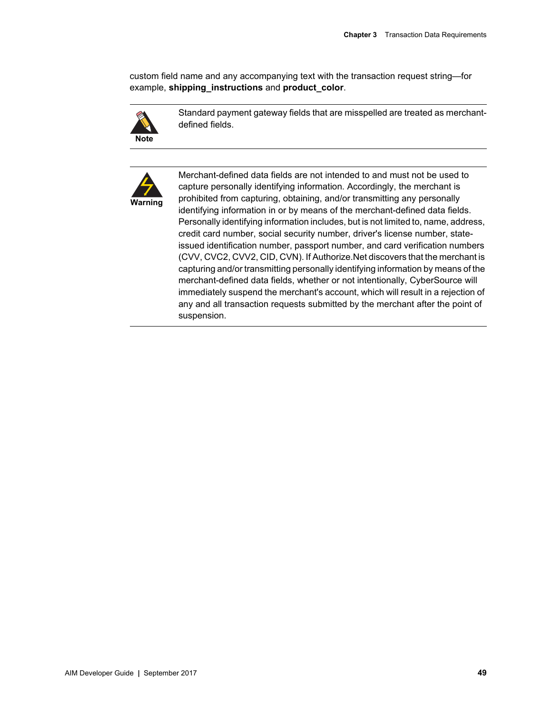custom field name and any accompanying text with the transaction request string—for example, **shipping\_instructions** and **product\_color**.



Standard payment gateway fields that are misspelled are treated as merchantdefined fields.



Merchant-defined data fields are not intended to and must not be used to capture personally identifying information. Accordingly, the merchant is prohibited from capturing, obtaining, and/or transmitting any personally identifying information in or by means of the merchant-defined data fields. Personally identifying information includes, but is not limited to, name, address, credit card number, social security number, driver's license number, stateissued identification number, passport number, and card verification numbers (CVV, CVC2, CVV2, CID, CVN). If Authorize.Net discovers that the merchant is capturing and/or transmitting personally identifying information by means of the merchant-defined data fields, whether or not intentionally, CyberSource will immediately suspend the merchant's account, which will result in a rejection of any and all transaction requests submitted by the merchant after the point of suspension.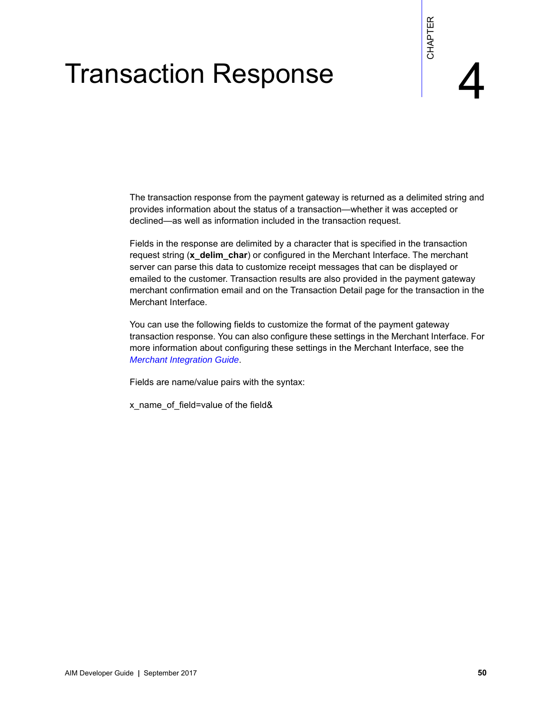# Transaction Response

The transaction response from the payment gateway is returned as a delimited string and provides information about the status of a transaction—whether it was accepted or declined—as well as information included in the transaction request.

AIM Developer Guide **|** September 2017 **50** CHAPTER Fields in the response are delimited by a character that is specified in the transaction request string (**x\_delim\_char**) or configured in the Merchant Interface. The merchant server can parse this data to customize receipt messages that can be displayed or emailed to the customer. Transaction results are also provided in the payment gateway merchant confirmation email and on the Transaction Detail page for the transaction in the Merchant Interface.

You can use the following fields to customize the format of the payment gateway transaction response. You can also configure these settings in the Merchant Interface. For more information about configuring these settings in the Merchant Interface, see the *[Merchant Integration Guide](http://www.authorize.net/support/merchant/)*.

Fields are name/value pairs with the syntax:

x\_name\_of\_field=value of the field&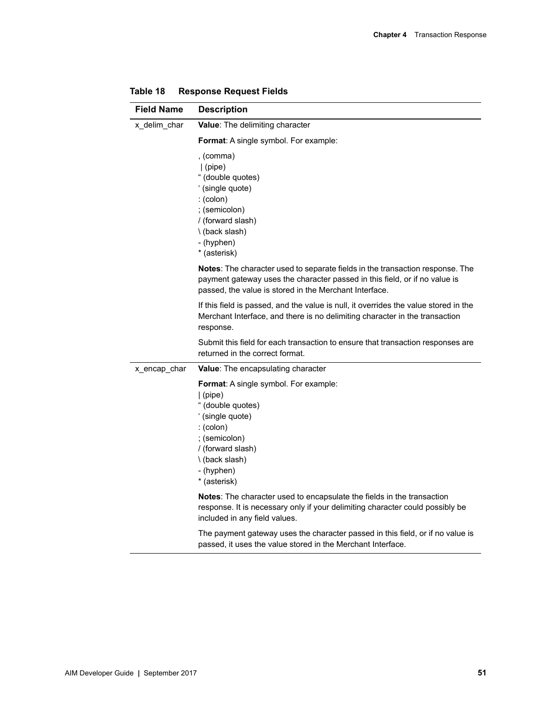| <b>Field Name</b> | <b>Description</b>                                                                                                                                                                                                    |
|-------------------|-----------------------------------------------------------------------------------------------------------------------------------------------------------------------------------------------------------------------|
| x_delim_char      | Value: The delimiting character                                                                                                                                                                                       |
|                   | Format: A single symbol. For example:                                                                                                                                                                                 |
|                   | , (comma)<br>$ $ (pipe)<br>" (double quotes)<br>' (single quote)<br>$:(\text{colon})$<br>; (semicolon)<br>/ (forward slash)<br>\(back slash)<br>- (hyphen)<br>* (asterisk)                                            |
|                   | Notes: The character used to separate fields in the transaction response. The<br>payment gateway uses the character passed in this field, or if no value is<br>passed, the value is stored in the Merchant Interface. |
|                   | If this field is passed, and the value is null, it overrides the value stored in the<br>Merchant Interface, and there is no delimiting character in the transaction<br>response.                                      |
|                   | Submit this field for each transaction to ensure that transaction responses are<br>returned in the correct format.                                                                                                    |
| x_encap_char      | <b>Value:</b> The encapsulating character                                                                                                                                                                             |
|                   | Format: A single symbol. For example:<br>$ $ (pipe)<br>" (double quotes)<br>' (single quote)<br>$:(\text{colon})$<br>; (semicolon)<br>/ (forward slash)<br>\(back slash)<br>- (hyphen)<br>* (asterisk)                |
|                   | Notes: The character used to encapsulate the fields in the transaction<br>response. It is necessary only if your delimiting character could possibly be<br>included in any field values.                              |
|                   | The payment gateway uses the character passed in this field, or if no value is<br>passed, it uses the value stored in the Merchant Interface.                                                                         |

**Table 18 Response Request Fields**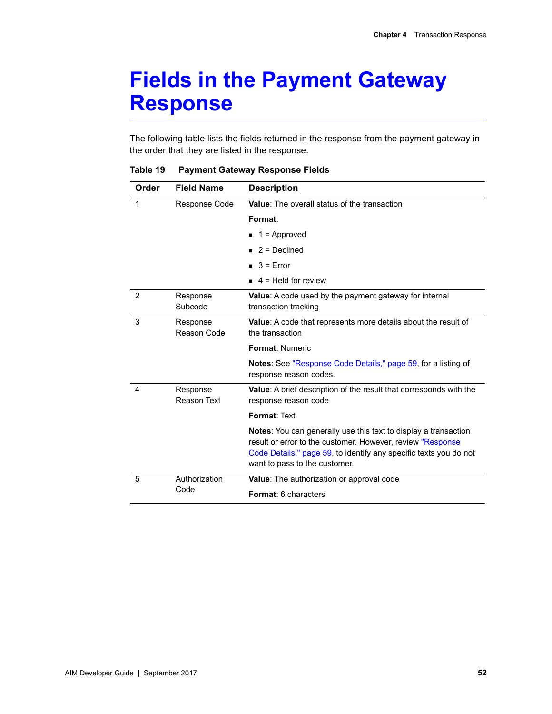# **Fields in the Payment Gateway Response**

The following table lists the fields returned in the response from the payment gateway in the order that they are listed in the response.

| Order | <b>Field Name</b>       | <b>Description</b>                                                                                                                                                                                                                  |
|-------|-------------------------|-------------------------------------------------------------------------------------------------------------------------------------------------------------------------------------------------------------------------------------|
|       | Response Code           | Value: The overall status of the transaction                                                                                                                                                                                        |
|       |                         | Format:                                                                                                                                                                                                                             |
|       |                         | $\blacksquare$ 1 = Approved                                                                                                                                                                                                         |
|       |                         | $2 =$ Declined                                                                                                                                                                                                                      |
|       |                         | $\Box$ 3 = Error                                                                                                                                                                                                                    |
|       |                         | $\blacksquare$ 4 = Held for review                                                                                                                                                                                                  |
| 2     | Response<br>Subcode     | Value: A code used by the payment gateway for internal<br>transaction tracking                                                                                                                                                      |
| 3     | Response<br>Reason Code | Value: A code that represents more details about the result of<br>the transaction                                                                                                                                                   |
|       |                         | <b>Format: Numeric</b>                                                                                                                                                                                                              |
|       |                         | <b>Notes:</b> See "Response Code Details," page 59, for a listing of<br>response reason codes.                                                                                                                                      |
| 4     | Response<br>Reason Text | Value: A brief description of the result that corresponds with the<br>response reason code                                                                                                                                          |
|       |                         | Format: Text                                                                                                                                                                                                                        |
|       |                         | Notes: You can generally use this text to display a transaction<br>result or error to the customer. However, review "Response<br>Code Details," page 59, to identify any specific texts you do not<br>want to pass to the customer. |
| 5     | Authorization           | Value: The authorization or approval code                                                                                                                                                                                           |
|       | Code                    | <b>Format: 6 characters</b>                                                                                                                                                                                                         |

**Table 19 Payment Gateway Response Fields**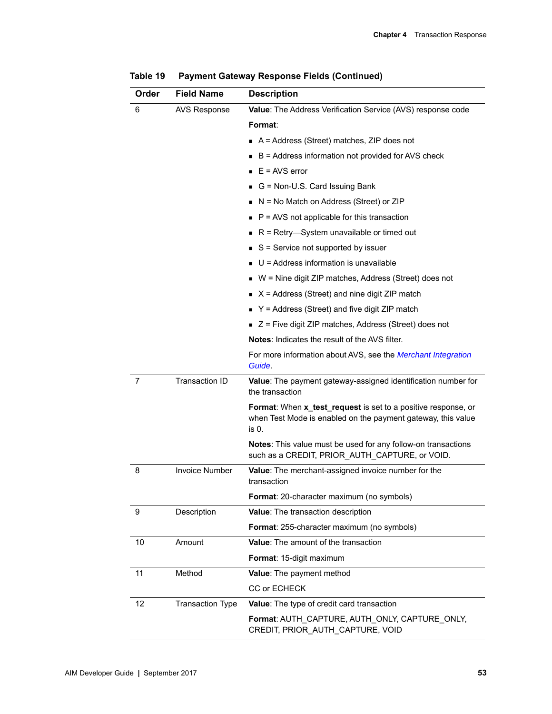| Order | <b>Field Name</b>       | <b>Description</b>                                                                                                                     |
|-------|-------------------------|----------------------------------------------------------------------------------------------------------------------------------------|
| 6     | <b>AVS Response</b>     | Value: The Address Verification Service (AVS) response code                                                                            |
|       |                         | Format:                                                                                                                                |
|       |                         | A = Address (Street) matches, ZIP does not                                                                                             |
|       |                         | B = Address information not provided for AVS check                                                                                     |
|       |                         | $E = AVS error$                                                                                                                        |
|       |                         | G = Non-U.S. Card Issuing Bank                                                                                                         |
|       |                         | N = No Match on Address (Street) or ZIP                                                                                                |
|       |                         | $P = AVS$ not applicable for this transaction<br>π                                                                                     |
|       |                         | $R$ = Retry—System unavailable or timed out                                                                                            |
|       |                         | $S =$ Service not supported by issuer                                                                                                  |
|       |                         | $U =$ Address information is unavailable                                                                                               |
|       |                         | W = Nine digit ZIP matches, Address (Street) does not                                                                                  |
|       |                         | $X =$ Address (Street) and nine digit ZIP match                                                                                        |
|       |                         | Y = Address (Street) and five digit ZIP match                                                                                          |
|       |                         | $\blacksquare$ Z = Five digit ZIP matches, Address (Street) does not                                                                   |
|       |                         | <b>Notes:</b> Indicates the result of the AVS filter.                                                                                  |
|       |                         | For more information about AVS, see the Merchant Integration<br>Guide.                                                                 |
| 7     | <b>Transaction ID</b>   | Value: The payment gateway-assigned identification number for<br>the transaction                                                       |
|       |                         | Format: When x_test_request is set to a positive response, or<br>when Test Mode is enabled on the payment gateway, this value<br>is 0. |
|       |                         | Notes: This value must be used for any follow-on transactions<br>such as a CREDIT, PRIOR_AUTH_CAPTURE, or VOID.                        |
| 8     | <b>Invoice Number</b>   | Value: The merchant-assigned invoice number for the<br>transaction                                                                     |
|       |                         | Format: 20-character maximum (no symbols)                                                                                              |
| 9     | Description             | Value: The transaction description                                                                                                     |
|       |                         | Format: 255-character maximum (no symbols)                                                                                             |
| 10    | Amount                  | <b>Value:</b> The amount of the transaction                                                                                            |
|       |                         | Format: 15-digit maximum                                                                                                               |
| 11    | Method                  | Value: The payment method                                                                                                              |
|       |                         | CC or ECHECK                                                                                                                           |
| 12    | <b>Transaction Type</b> | Value: The type of credit card transaction                                                                                             |
|       |                         | Format: AUTH CAPTURE, AUTH ONLY, CAPTURE ONLY,<br>CREDIT, PRIOR_AUTH_CAPTURE, VOID                                                     |

**Table 19 Payment Gateway Response Fields (Continued)**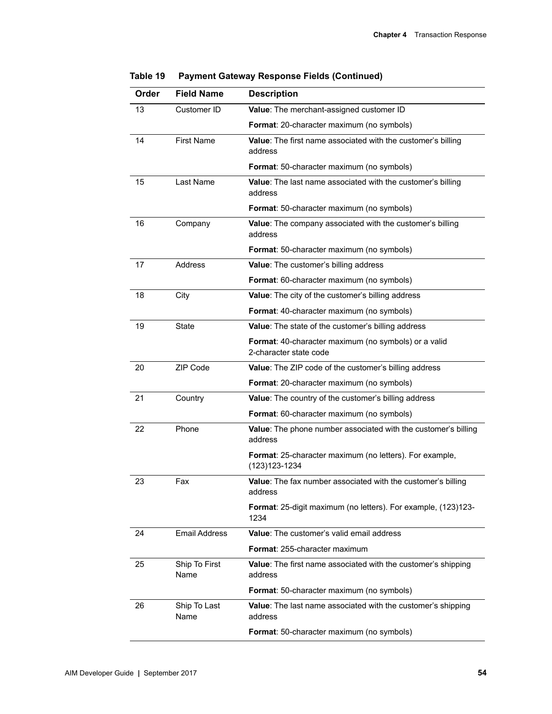| Order | <b>Field Name</b>     | <b>Description</b>                                                             |
|-------|-----------------------|--------------------------------------------------------------------------------|
| 13    | Customer ID           | Value: The merchant-assigned customer ID                                       |
|       |                       | Format: 20-character maximum (no symbols)                                      |
| 14    | <b>First Name</b>     | Value: The first name associated with the customer's billing<br>address        |
|       |                       | <b>Format:</b> 50-character maximum (no symbols)                               |
| 15    | Last Name             | Value: The last name associated with the customer's billing<br>address         |
|       |                       | Format: 50-character maximum (no symbols)                                      |
| 16    | Company               | Value: The company associated with the customer's billing<br>address           |
|       |                       | Format: 50-character maximum (no symbols)                                      |
| 17    | <b>Address</b>        | Value: The customer's billing address                                          |
|       |                       | Format: 60-character maximum (no symbols)                                      |
| 18    | City                  | Value: The city of the customer's billing address                              |
|       |                       | Format: 40-character maximum (no symbols)                                      |
| 19    | <b>State</b>          | Value: The state of the customer's billing address                             |
|       |                       | Format: 40-character maximum (no symbols) or a valid<br>2-character state code |
| 20    | ZIP Code              | Value: The ZIP code of the customer's billing address                          |
|       |                       | Format: 20-character maximum (no symbols)                                      |
| 21    | Country               | Value: The country of the customer's billing address                           |
|       |                       | Format: 60-character maximum (no symbols)                                      |
| 22    | Phone                 | Value: The phone number associated with the customer's billing<br>address      |
|       |                       | Format: 25-character maximum (no letters). For example,<br>$(123)123 - 1234$   |
| 23    | Fax                   | Value: The fax number associated with the customer's billing<br>address        |
|       |                       | <b>Format:</b> 25-digit maximum (no letters). For example, (123)123-<br>1234   |
| 24    | <b>Email Address</b>  | <b>Value:</b> The customer's valid email address                               |
|       |                       | Format: 255-character maximum                                                  |
| 25    | Ship To First<br>Name | Value: The first name associated with the customer's shipping<br>address       |
|       |                       | Format: 50-character maximum (no symbols)                                      |
| 26    | Ship To Last<br>Name  | <b>Value:</b> The last name associated with the customer's shipping<br>address |
|       |                       | <b>Format:</b> 50-character maximum (no symbols)                               |

**Table 19 Payment Gateway Response Fields (Continued)**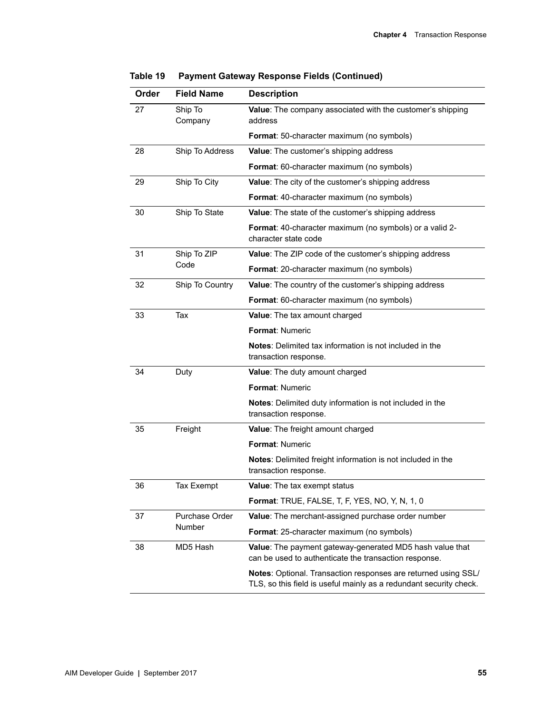| Order | <b>Field Name</b>  | <b>Description</b>                                                                                                                          |
|-------|--------------------|---------------------------------------------------------------------------------------------------------------------------------------------|
| 27    | Ship To<br>Company | Value: The company associated with the customer's shipping<br>address                                                                       |
|       |                    | Format: 50-character maximum (no symbols)                                                                                                   |
| 28    | Ship To Address    | Value: The customer's shipping address                                                                                                      |
|       |                    | Format: 60-character maximum (no symbols)                                                                                                   |
| 29    | Ship To City       | Value: The city of the customer's shipping address                                                                                          |
|       |                    | Format: 40-character maximum (no symbols)                                                                                                   |
| 30    | Ship To State      | Value: The state of the customer's shipping address                                                                                         |
|       |                    | Format: 40-character maximum (no symbols) or a valid 2-<br>character state code                                                             |
| 31    | Ship To ZIP        | Value: The ZIP code of the customer's shipping address                                                                                      |
|       | Code               | Format: 20-character maximum (no symbols)                                                                                                   |
| 32    | Ship To Country    | Value: The country of the customer's shipping address                                                                                       |
|       |                    | Format: 60-character maximum (no symbols)                                                                                                   |
| 33    | Tax                | <b>Value:</b> The tax amount charged                                                                                                        |
|       |                    | <b>Format: Numeric</b>                                                                                                                      |
|       |                    | Notes: Delimited tax information is not included in the<br>transaction response.                                                            |
| 34    | Duty               | Value: The duty amount charged                                                                                                              |
|       |                    | <b>Format: Numeric</b>                                                                                                                      |
|       |                    | Notes: Delimited duty information is not included in the<br>transaction response.                                                           |
| 35    | Freight            | Value: The freight amount charged                                                                                                           |
|       |                    | <b>Format: Numeric</b>                                                                                                                      |
|       |                    | Notes: Delimited freight information is not included in the<br>transaction response.                                                        |
| 36    | <b>Tax Exempt</b>  | Value: The tax exempt status                                                                                                                |
|       |                    | <b>Format:</b> TRUE, FALSE, T, F, YES, NO, Y, N, 1, 0                                                                                       |
| 37    | Purchase Order     | Value: The merchant-assigned purchase order number                                                                                          |
|       | Number             | <b>Format:</b> 25-character maximum (no symbols)                                                                                            |
| 38    | MD5 Hash           | <b>Value:</b> The payment gateway-generated MD5 hash value that<br>can be used to authenticate the transaction response.                    |
|       |                    | <b>Notes:</b> Optional. Transaction responses are returned using SSL/<br>TLS, so this field is useful mainly as a redundant security check. |

| Table 19 |  |  |  |  | <b>Payment Gateway Response Fields (Continued)</b> |  |
|----------|--|--|--|--|----------------------------------------------------|--|
|----------|--|--|--|--|----------------------------------------------------|--|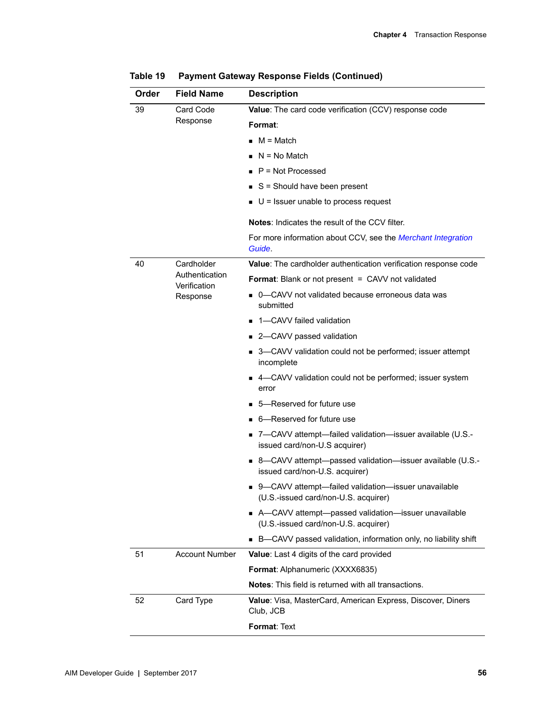| Order | <b>Field Name</b>              | <b>Description</b>                                                                            |
|-------|--------------------------------|-----------------------------------------------------------------------------------------------|
| 39    | Card Code                      | Value: The card code verification (CCV) response code                                         |
|       | Response                       | Format:                                                                                       |
|       |                                | $M = Match$                                                                                   |
|       |                                | $\blacksquare$ N = No Match                                                                   |
|       |                                | $\blacksquare$ P = Not Processed                                                              |
|       |                                | $S =$ Should have been present                                                                |
|       |                                | $\blacksquare$ U = Issuer unable to process request                                           |
|       |                                | <b>Notes:</b> Indicates the result of the CCV filter.                                         |
|       |                                | For more information about CCV, see the Merchant Integration<br>Guide.                        |
| 40    | Cardholder                     | Value: The cardholder authentication verification response code                               |
|       | Authentication<br>Verification | <b>Format:</b> Blank or not present = CAVV not validated                                      |
|       | Response                       | ■ 0—CAVV not validated because erroneous data was<br>submitted                                |
|       |                                | ■ 1–CAVV failed validation                                                                    |
|       |                                | ■ 2-CAVV passed validation                                                                    |
|       |                                | ■ 3-CAVV validation could not be performed; issuer attempt<br>incomplete                      |
|       |                                | ■ 4-CAVV validation could not be performed; issuer system<br>error                            |
|       |                                | ■ 5—Reserved for future use                                                                   |
|       |                                | $\blacksquare$ 6—Reserved for future use                                                      |
|       |                                | ■ 7-CAVV attempt-failed validation-issuer available (U.S.-<br>issued card/non-U.S acquirer)   |
|       |                                | ■ 8-CAVV attempt-passed validation-issuer available (U.S.-<br>issued card/non-U.S. acquirer)  |
|       |                                | ■ 9-CAVV attempt-failed validation-issuer unavailable<br>(U.S.-issued card/non-U.S. acquirer) |
|       |                                | ■ A—CAVV attempt—passed validation—issuer unavailable<br>(U.S.-issued card/non-U.S. acquirer) |
|       |                                | ■ B-CAVV passed validation, information only, no liability shift                              |
| 51    | <b>Account Number</b>          | <b>Value:</b> Last 4 digits of the card provided                                              |
|       |                                | <b>Format: Alphanumeric (XXXX6835)</b>                                                        |
|       |                                | Notes: This field is returned with all transactions.                                          |
| 52    | Card Type                      | <b>Value:</b> Visa, MasterCard, American Express, Discover, Diners<br>Club, JCB               |
|       |                                | Format: Text                                                                                  |

**Table 19 Payment Gateway Response Fields (Continued)**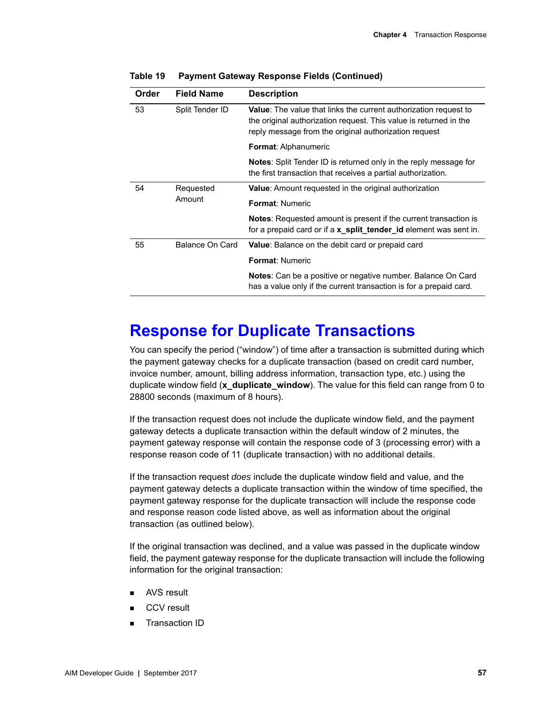| Order  | <b>Field Name</b> | <b>Description</b>                                                                                                                                                                                    |  |
|--------|-------------------|-------------------------------------------------------------------------------------------------------------------------------------------------------------------------------------------------------|--|
| 53     | Split Tender ID   | <b>Value:</b> The value that links the current authorization request to<br>the original authorization request. This value is returned in the<br>reply message from the original authorization request |  |
|        |                   | <b>Format: Alphanumeric</b>                                                                                                                                                                           |  |
|        |                   | <b>Notes:</b> Split Tender ID is returned only in the reply message for<br>the first transaction that receives a partial authorization.                                                               |  |
| 54     | Requested         | Value: Amount requested in the original authorization                                                                                                                                                 |  |
| Amount |                   | <b>Format: Numeric</b>                                                                                                                                                                                |  |
|        |                   | <b>Notes:</b> Requested amount is present if the current transaction is<br>for a prepaid card or if a <b>x_split_tender_id</b> element was sent in.                                                   |  |
| 55     | Balance On Card   | <b>Value:</b> Balance on the debit card or prepaid card                                                                                                                                               |  |
|        |                   | <b>Format: Numeric</b>                                                                                                                                                                                |  |
|        |                   | <b>Notes:</b> Can be a positive or negative number. Balance On Card<br>has a value only if the current transaction is for a prepaid card.                                                             |  |

**Table 19 Payment Gateway Response Fields (Continued)**

# <span id="page-56-0"></span>**Response for Duplicate Transactions**

You can specify the period ("window") of time after a transaction is submitted during which the payment gateway checks for a duplicate transaction (based on credit card number, invoice number, amount, billing address information, transaction type, etc.) using the duplicate window field (**x\_duplicate\_window**). The value for this field can range from 0 to 28800 seconds (maximum of 8 hours).

If the transaction request does not include the duplicate window field, and the payment gateway detects a duplicate transaction within the default window of 2 minutes, the payment gateway response will contain the response code of 3 (processing error) with a response reason code of 11 (duplicate transaction) with no additional details.

If the transaction request *does* include the duplicate window field and value, and the payment gateway detects a duplicate transaction within the window of time specified, the payment gateway response for the duplicate transaction will include the response code and response reason code listed above, as well as information about the original transaction (as outlined below).

If the original transaction was declined, and a value was passed in the duplicate window field, the payment gateway response for the duplicate transaction will include the following information for the original transaction:

- AVS result
- CCV result
- Transaction ID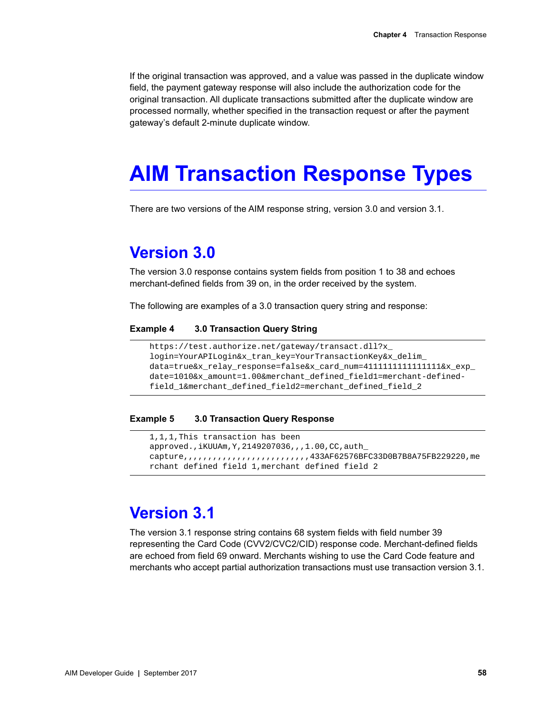If the original transaction was approved, and a value was passed in the duplicate window field, the payment gateway response will also include the authorization code for the original transaction. All duplicate transactions submitted after the duplicate window are processed normally, whether specified in the transaction request or after the payment gateway's default 2-minute duplicate window.

# **AIM Transaction Response Types**

There are two versions of the AIM response string, version 3.0 and version 3.1.

# **Version 3.0**

The version 3.0 response contains system fields from position 1 to 38 and echoes merchant-defined fields from 39 on, in the order received by the system.

The following are examples of a 3.0 transaction query string and response:

### **Example 4 3.0 Transaction Query String**

```
https://test.authorize.net/gateway/transact.dll?x_
login=YourAPILogin&x_tran_key=YourTransactionKey&x_delim_
data=true&x_relay_response=false&x_card_num=4111111111111111&x_exp_
date=1010&x_amount=1.00&merchant_defined_field1=merchant-defined-
field_1&merchant_defined_field2=merchant_defined_field_2
```
### **Example 5 3.0 Transaction Query Response**

```
1,1,1,This transaction has been 
approved.,iKUUAm,Y,2149207036,,,1.00,CC,auth_
capture,,,,,,,,,,,,,,,,,,,,,,,,,,433AF62576BFC33D0B7B8A75FB229220,me
rchant defined field 1,merchant defined field 2
```
# **Version 3.1**

The version 3.1 response string contains 68 system fields with field number 39 representing the Card Code (CVV2/CVC2/CID) response code. Merchant-defined fields are echoed from field 69 onward. Merchants wishing to use the Card Code feature and merchants who accept partial authorization transactions must use transaction version 3.1.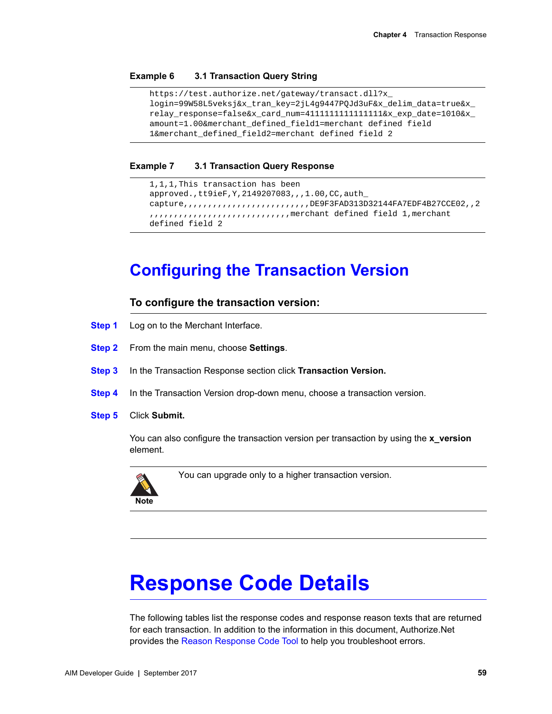### **Example 6 3.1 Transaction Query String**

```
https://test.authorize.net/gateway/transact.dll?x_
login=99W58L5veksj&x_tran_key=2jL4g9447PQJd3uF&x_delim_data=true&x_
relay_response=false&x_card_num=4111111111111111&x_exp_date=1010&x_
amount=1.00&merchant_defined_field1=merchant defined field 
1&merchant_defined_field2=merchant defined field 2
```
### **Example 7 3.1 Transaction Query Response**

```
1,1,1,This transaction has been 
approved.,tt9ieF,Y,2149207083,,,1.00,CC,auth_
capture,,,,,,,,,,,,,,,,,,,,,,,,,,DE9F3FAD313D32144FA7EDF4B27CCE02,,2
,,,,,,,,,,,,,,,,,,,,,,,,,,,,,merchant defined field 1,merchant 
defined field 2
```
# **Configuring the Transaction Version**

### **To configure the transaction version:**

- **Step 1** Log on to the Merchant Interface.
- **Step 2** From the main menu, choose **Settings**.
- **Step 3** In the Transaction Response section click **Transaction Version.**
- **Step 4** In the Transaction Version drop-down menu, choose a transaction version.
- **Step 5** Click **Submit.**

You can also configure the transaction version per transaction by using the **x\_version** element.



You can upgrade only to a higher transaction version.

# <span id="page-58-0"></span>**Response Code Details**

The following tables list the response codes and response reason texts that are returned for each transaction. In addition to the information in this document, Authorize.Net provides the [Reason Response Code Tool](http://developer.authorize.net/tools/responsereasoncode) to help you troubleshoot errors.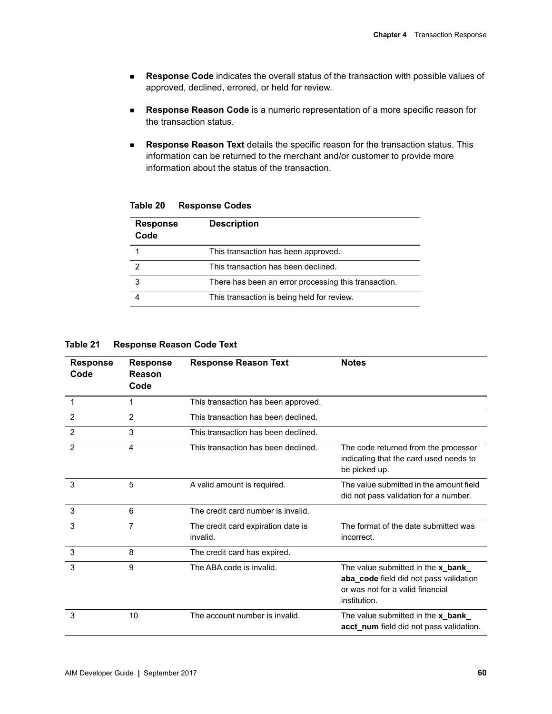- **Response Code** indicates the overall status of the transaction with possible values of approved, declined, errored, or held for review.
- **Response Reason Code** is a numeric representation of a more specific reason for the transaction status.
- **Response Reason Text** details the specific reason for the transaction status. This information can be returned to the merchant and/or customer to provide more information about the status of the transaction.

| <b>Response</b><br>Code | <b>Description</b>                                   |
|-------------------------|------------------------------------------------------|
|                         | This transaction has been approved.                  |
| 2                       | This transaction has been declined.                  |
| 3                       | There has been an error processing this transaction. |
|                         | This transaction is being held for review.           |

**Table 20 Response Codes**

**Table 21 Response Reason Code Text**

| <b>Response</b><br>Code | <b>Response</b><br>Reason<br>Code | <b>Response Reason Text</b>                    | <b>Notes</b>                                                                                                                            |
|-------------------------|-----------------------------------|------------------------------------------------|-----------------------------------------------------------------------------------------------------------------------------------------|
| $\mathbf 1$             | 1                                 | This transaction has been approved.            |                                                                                                                                         |
| $\overline{2}$          | $\overline{2}$                    | This transaction has been declined.            |                                                                                                                                         |
| $\overline{2}$          | 3                                 | This transaction has been declined.            |                                                                                                                                         |
| 2                       | 4                                 | This transaction has been declined.            | The code returned from the processor<br>indicating that the card used needs to<br>be picked up.                                         |
| 3                       | 5                                 | A valid amount is required.                    | The value submitted in the amount field<br>did not pass validation for a number.                                                        |
| 3                       | 6                                 | The credit card number is invalid.             |                                                                                                                                         |
| 3                       | $\overline{7}$                    | The credit card expiration date is<br>invalid. | The format of the date submitted was<br>incorrect.                                                                                      |
| 3                       | 8                                 | The credit card has expired.                   |                                                                                                                                         |
| 3                       | 9                                 | The ABA code is invalid.                       | The value submitted in the <b>x_bank_</b><br>aba_code field did not pass validation<br>or was not for a valid financial<br>institution. |
| 3                       | 10                                | The account number is invalid.                 | The value submitted in the x_bank_<br>acct_num field did not pass validation.                                                           |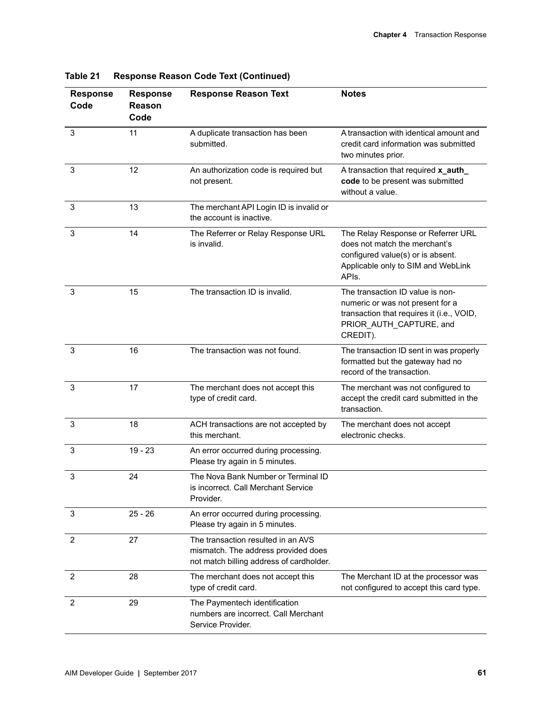| <b>Response</b><br>Code | <b>Response</b><br>Reason<br>Code | <b>Response Reason Text</b>                                                                                           | <b>Notes</b>                                                                                                                                             |
|-------------------------|-----------------------------------|-----------------------------------------------------------------------------------------------------------------------|----------------------------------------------------------------------------------------------------------------------------------------------------------|
| 3                       | 11                                | A duplicate transaction has been<br>submitted.                                                                        | A transaction with identical amount and<br>credit card information was submitted<br>two minutes prior.                                                   |
| 3                       | 12                                | An authorization code is required but<br>not present.                                                                 | A transaction that required x_auth_<br>code to be present was submitted<br>without a value.                                                              |
| 3                       | 13                                | The merchant API Login ID is invalid or<br>the account is inactive.                                                   |                                                                                                                                                          |
| 3                       | 14                                | The Referrer or Relay Response URL<br>is invalid.                                                                     | The Relay Response or Referrer URL<br>does not match the merchant's<br>configured value(s) or is absent.<br>Applicable only to SIM and WebLink<br>APIs.  |
| 3                       | 15                                | The transaction ID is invalid.                                                                                        | The transaction ID value is non-<br>numeric or was not present for a<br>transaction that requires it (i.e., VOID,<br>PRIOR AUTH CAPTURE, and<br>CREDIT). |
| 3                       | 16                                | The transaction was not found.                                                                                        | The transaction ID sent in was properly<br>formatted but the gateway had no<br>record of the transaction.                                                |
| 3                       | 17                                | The merchant does not accept this<br>type of credit card.                                                             | The merchant was not configured to<br>accept the credit card submitted in the<br>transaction.                                                            |
| 3                       | 18                                | ACH transactions are not accepted by<br>this merchant.                                                                | The merchant does not accept<br>electronic checks.                                                                                                       |
| 3                       | $19 - 23$                         | An error occurred during processing.<br>Please try again in 5 minutes.                                                |                                                                                                                                                          |
| 3                       | 24                                | The Nova Bank Number or Terminal ID<br>is incorrect. Call Merchant Service<br>Provider.                               |                                                                                                                                                          |
| 3                       | $25 - 26$                         | An error occurred during processing.<br>Please try again in 5 minutes.                                                |                                                                                                                                                          |
| 2                       | 27                                | The transaction resulted in an AVS<br>mismatch. The address provided does<br>not match billing address of cardholder. |                                                                                                                                                          |
| $\overline{2}$          | 28                                | The merchant does not accept this<br>type of credit card.                                                             | The Merchant ID at the processor was<br>not configured to accept this card type.                                                                         |
| 2                       | 29                                | The Paymentech identification<br>numbers are incorrect. Call Merchant<br>Service Provider.                            |                                                                                                                                                          |

**Table 21 Response Reason Code Text (Continued)**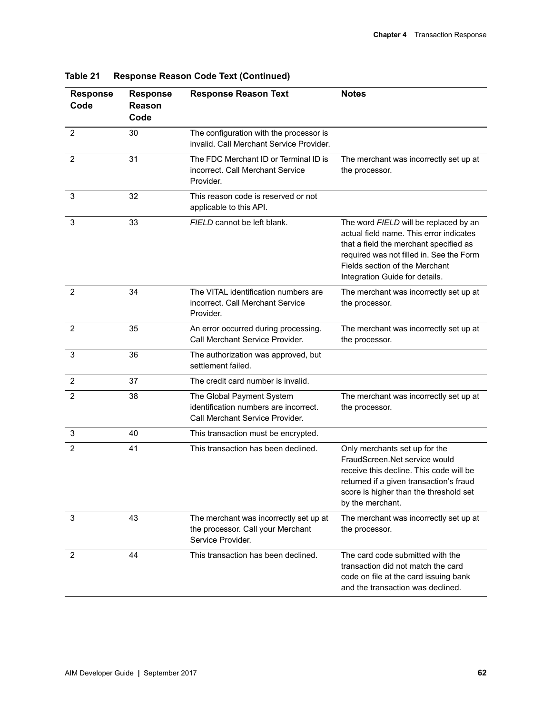| <b>Response</b><br>Code | <b>Response</b><br>Reason<br>Code | <b>Response Reason Text</b>                                                                           | <b>Notes</b>                                                                                                                                                                                                                               |
|-------------------------|-----------------------------------|-------------------------------------------------------------------------------------------------------|--------------------------------------------------------------------------------------------------------------------------------------------------------------------------------------------------------------------------------------------|
| $\overline{2}$          | 30                                | The configuration with the processor is<br>invalid. Call Merchant Service Provider.                   |                                                                                                                                                                                                                                            |
| $\overline{2}$          | 31                                | The FDC Merchant ID or Terminal ID is<br>incorrect. Call Merchant Service<br>Provider.                | The merchant was incorrectly set up at<br>the processor.                                                                                                                                                                                   |
| 3                       | 32                                | This reason code is reserved or not<br>applicable to this API.                                        |                                                                                                                                                                                                                                            |
| 3                       | 33                                | FIELD cannot be left blank.                                                                           | The word FIELD will be replaced by an<br>actual field name. This error indicates<br>that a field the merchant specified as<br>required was not filled in. See the Form<br>Fields section of the Merchant<br>Integration Guide for details. |
| 2                       | 34                                | The VITAL identification numbers are<br>incorrect. Call Merchant Service<br>Provider.                 | The merchant was incorrectly set up at<br>the processor.                                                                                                                                                                                   |
| $\overline{2}$          | 35                                | An error occurred during processing.<br>Call Merchant Service Provider.                               | The merchant was incorrectly set up at<br>the processor.                                                                                                                                                                                   |
| 3                       | 36                                | The authorization was approved, but<br>settlement failed.                                             |                                                                                                                                                                                                                                            |
| 2                       | 37                                | The credit card number is invalid.                                                                    |                                                                                                                                                                                                                                            |
| 2                       | 38                                | The Global Payment System<br>identification numbers are incorrect.<br>Call Merchant Service Provider. | The merchant was incorrectly set up at<br>the processor.                                                                                                                                                                                   |
| 3                       | 40                                | This transaction must be encrypted.                                                                   |                                                                                                                                                                                                                                            |
| $\overline{2}$          | 41                                | This transaction has been declined.                                                                   | Only merchants set up for the<br>FraudScreen.Net service would<br>receive this decline. This code will be<br>returned if a given transaction's fraud<br>score is higher than the threshold set<br>by the merchant.                         |
| 3                       | 43                                | The merchant was incorrectly set up at<br>the processor. Call your Merchant<br>Service Provider.      | The merchant was incorrectly set up at<br>the processor.                                                                                                                                                                                   |
| 2                       | 44                                | This transaction has been declined.                                                                   | The card code submitted with the<br>transaction did not match the card<br>code on file at the card issuing bank<br>and the transaction was declined.                                                                                       |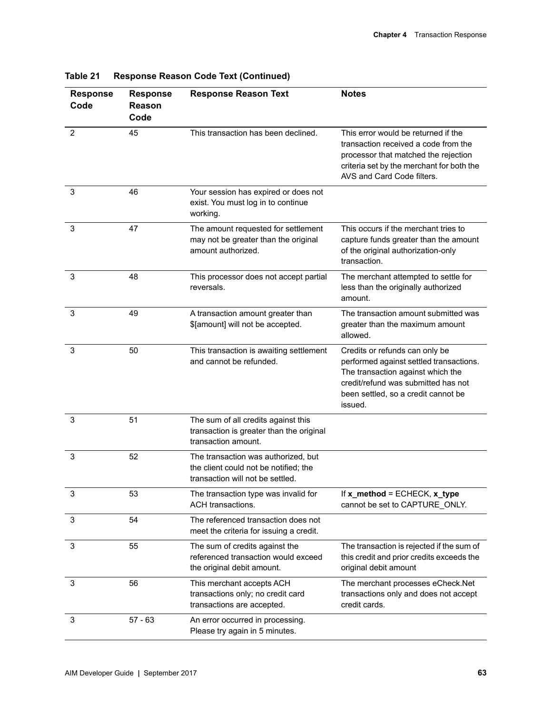| <b>Response</b><br>Code | <b>Response</b><br>Reason<br>Code | <b>Response Reason Text</b>                                                                                      | <b>Notes</b>                                                                                                                                                                                            |
|-------------------------|-----------------------------------|------------------------------------------------------------------------------------------------------------------|---------------------------------------------------------------------------------------------------------------------------------------------------------------------------------------------------------|
| 2                       | 45                                | This transaction has been declined.                                                                              | This error would be returned if the<br>transaction received a code from the<br>processor that matched the rejection<br>criteria set by the merchant for both the<br>AVS and Card Code filters.          |
| 3                       | 46                                | Your session has expired or does not<br>exist. You must log in to continue<br>working.                           |                                                                                                                                                                                                         |
| 3                       | 47                                | The amount requested for settlement<br>may not be greater than the original<br>amount authorized.                | This occurs if the merchant tries to<br>capture funds greater than the amount<br>of the original authorization-only<br>transaction.                                                                     |
| 3                       | 48                                | This processor does not accept partial<br>reversals.                                                             | The merchant attempted to settle for<br>less than the originally authorized<br>amount.                                                                                                                  |
| 3                       | 49                                | A transaction amount greater than<br>\$[amount] will not be accepted.                                            | The transaction amount submitted was<br>greater than the maximum amount<br>allowed.                                                                                                                     |
| 3                       | 50                                | This transaction is awaiting settlement<br>and cannot be refunded.                                               | Credits or refunds can only be<br>performed against settled transactions.<br>The transaction against which the<br>credit/refund was submitted has not<br>been settled, so a credit cannot be<br>issued. |
| 3                       | 51                                | The sum of all credits against this<br>transaction is greater than the original<br>transaction amount.           |                                                                                                                                                                                                         |
| 3                       | 52                                | The transaction was authorized, but<br>the client could not be notified; the<br>transaction will not be settled. |                                                                                                                                                                                                         |
| 3                       | 53                                | The transaction type was invalid for<br>ACH transactions.                                                        | If x_method = ECHECK, x_type<br>cannot be set to CAPTURE_ONLY.                                                                                                                                          |
| 3                       | 54                                | The referenced transaction does not<br>meet the criteria for issuing a credit.                                   |                                                                                                                                                                                                         |
| 3                       | 55                                | The sum of credits against the<br>referenced transaction would exceed<br>the original debit amount.              | The transaction is rejected if the sum of<br>this credit and prior credits exceeds the<br>original debit amount                                                                                         |
| 3                       | 56                                | This merchant accepts ACH<br>transactions only; no credit card<br>transactions are accepted.                     | The merchant processes eCheck.Net<br>transactions only and does not accept<br>credit cards.                                                                                                             |
| 3                       | $57 - 63$                         | An error occurred in processing.<br>Please try again in 5 minutes.                                               |                                                                                                                                                                                                         |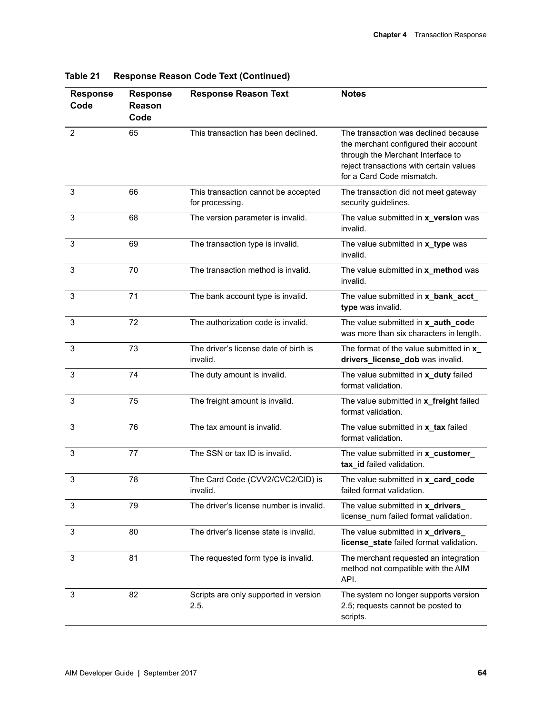| <b>Response</b><br>Code | <b>Response</b><br>Reason<br>Code | <b>Response Reason Text</b>                            | <b>Notes</b>                                                                                                                                                                               |
|-------------------------|-----------------------------------|--------------------------------------------------------|--------------------------------------------------------------------------------------------------------------------------------------------------------------------------------------------|
| 2                       | 65                                | This transaction has been declined.                    | The transaction was declined because<br>the merchant configured their account<br>through the Merchant Interface to<br>reject transactions with certain values<br>for a Card Code mismatch. |
| 3                       | 66                                | This transaction cannot be accepted<br>for processing. | The transaction did not meet gateway<br>security guidelines.                                                                                                                               |
| 3                       | 68                                | The version parameter is invalid.                      | The value submitted in x_version was<br>invalid.                                                                                                                                           |
| 3                       | 69                                | The transaction type is invalid.                       | The value submitted in x_type was<br>invalid.                                                                                                                                              |
| 3                       | 70                                | The transaction method is invalid.                     | The value submitted in x_method was<br>invalid.                                                                                                                                            |
| 3                       | 71                                | The bank account type is invalid.                      | The value submitted in x_bank_acct_<br>type was invalid.                                                                                                                                   |
| 3                       | 72                                | The authorization code is invalid.                     | The value submitted in x_auth_code<br>was more than six characters in length.                                                                                                              |
| 3                       | 73                                | The driver's license date of birth is<br>invalid.      | The format of the value submitted in x_<br>drivers_license_dob was invalid.                                                                                                                |
| 3                       | 74                                | The duty amount is invalid.                            | The value submitted in x_duty failed<br>format validation.                                                                                                                                 |
| 3                       | 75                                | The freight amount is invalid.                         | The value submitted in x_freight failed<br>format validation.                                                                                                                              |
| 3                       | 76                                | The tax amount is invalid.                             | The value submitted in x_tax failed<br>format validation.                                                                                                                                  |
| 3                       | 77                                | The SSN or tax ID is invalid.                          | The value submitted in x_customer_<br>tax_id failed validation.                                                                                                                            |
| 3                       | 78                                | The Card Code (CVV2/CVC2/CID) is<br>invalid.           | The value submitted in x_card_code<br>failed format validation.                                                                                                                            |
| 3                       | 79                                | The driver's license number is invalid.                | The value submitted in x_drivers<br>license_num failed format validation.                                                                                                                  |
| 3                       | 80                                | The driver's license state is invalid.                 | The value submitted in x_drivers_<br>license_state failed format validation.                                                                                                               |
| 3                       | 81                                | The requested form type is invalid.                    | The merchant requested an integration<br>method not compatible with the AIM<br>API.                                                                                                        |
| 3                       | 82                                | Scripts are only supported in version<br>2.5.          | The system no longer supports version<br>2.5; requests cannot be posted to<br>scripts.                                                                                                     |

| <b>Response Reason Code Text (Continued)</b> | Table 21 |  |  |  |  |
|----------------------------------------------|----------|--|--|--|--|
|----------------------------------------------|----------|--|--|--|--|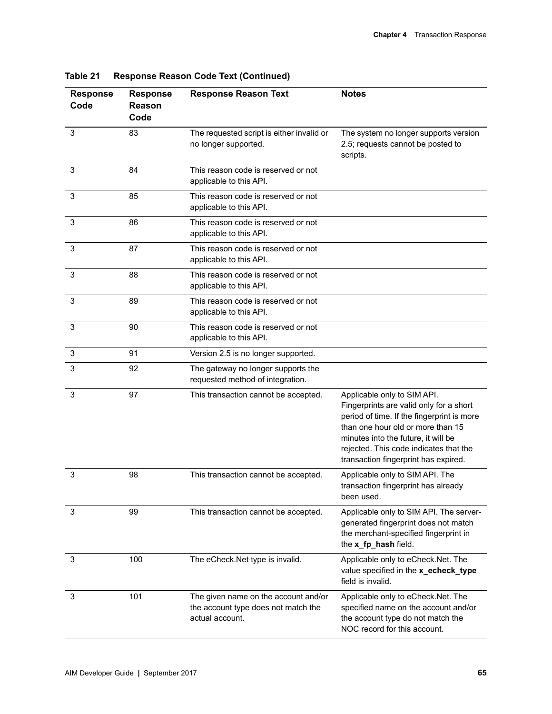| <b>Response</b><br>Code | <b>Response</b><br>Reason<br>Code | <b>Response Reason Text</b><br><b>Notes</b>                                                    |                                                                                                                                                                                                                                                                                    |
|-------------------------|-----------------------------------|------------------------------------------------------------------------------------------------|------------------------------------------------------------------------------------------------------------------------------------------------------------------------------------------------------------------------------------------------------------------------------------|
| 3                       | 83                                | The requested script is either invalid or<br>no longer supported.                              | The system no longer supports version<br>2.5; requests cannot be posted to<br>scripts.                                                                                                                                                                                             |
| 3                       | 84                                | This reason code is reserved or not<br>applicable to this API.                                 |                                                                                                                                                                                                                                                                                    |
| 3                       | 85                                | This reason code is reserved or not<br>applicable to this API.                                 |                                                                                                                                                                                                                                                                                    |
| 3                       | 86                                | This reason code is reserved or not<br>applicable to this API.                                 |                                                                                                                                                                                                                                                                                    |
| 3                       | 87                                | This reason code is reserved or not<br>applicable to this API.                                 |                                                                                                                                                                                                                                                                                    |
| 3                       | 88                                | This reason code is reserved or not<br>applicable to this API.                                 |                                                                                                                                                                                                                                                                                    |
| 3                       | 89                                | This reason code is reserved or not<br>applicable to this API.                                 |                                                                                                                                                                                                                                                                                    |
| 3                       | 90                                | This reason code is reserved or not<br>applicable to this API.                                 |                                                                                                                                                                                                                                                                                    |
| 3                       | 91                                | Version 2.5 is no longer supported.                                                            |                                                                                                                                                                                                                                                                                    |
| 3                       | 92                                | The gateway no longer supports the<br>requested method of integration.                         |                                                                                                                                                                                                                                                                                    |
| 3                       | 97                                | This transaction cannot be accepted.                                                           | Applicable only to SIM API.<br>Fingerprints are valid only for a short<br>period of time. If the fingerprint is more<br>than one hour old or more than 15<br>minutes into the future, it will be<br>rejected. This code indicates that the<br>transaction fingerprint has expired. |
| 3                       | 98                                | This transaction cannot be accepted.                                                           | Applicable only to SIM API. The<br>transaction fingerprint has already<br>been used.                                                                                                                                                                                               |
| 3                       | 99                                | This transaction cannot be accepted.                                                           | Applicable only to SIM API. The server-<br>generated fingerprint does not match<br>the merchant-specified fingerprint in<br>the x_fp_hash field.                                                                                                                                   |
| 3                       | 100                               | The eCheck.Net type is invalid.                                                                | Applicable only to eCheck.Net. The<br>value specified in the x_echeck_type<br>field is invalid.                                                                                                                                                                                    |
| 3                       | 101                               | The given name on the account and/or<br>the account type does not match the<br>actual account. | Applicable only to eCheck.Net. The<br>specified name on the account and/or<br>the account type do not match the<br>NOC record for this account.                                                                                                                                    |

**Table 21 Response Reason Code Text (Continued)**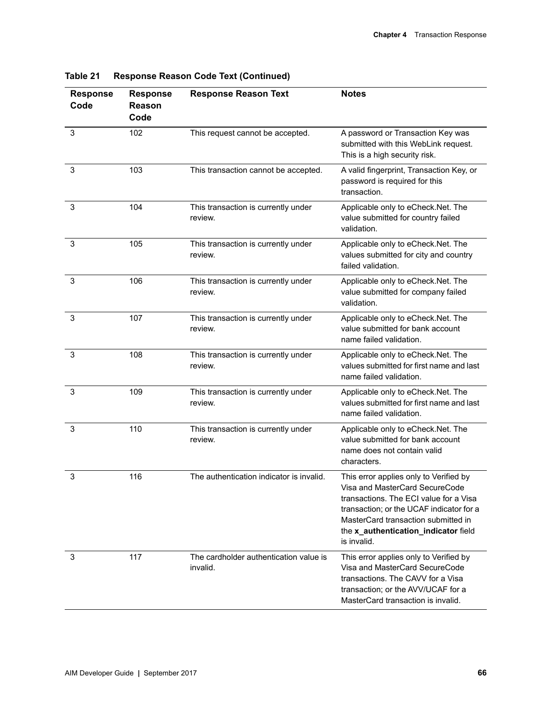| <b>Response</b><br>Code | <b>Response</b><br>Reason<br>Code | <b>Response Reason Text</b>                        | <b>Notes</b>                                                                                                                                                                                                                                                 |
|-------------------------|-----------------------------------|----------------------------------------------------|--------------------------------------------------------------------------------------------------------------------------------------------------------------------------------------------------------------------------------------------------------------|
| $\mathbf{3}$            | 102                               | This request cannot be accepted.                   | A password or Transaction Key was<br>submitted with this WebLink request.<br>This is a high security risk.                                                                                                                                                   |
| 3                       | 103                               | This transaction cannot be accepted.               | A valid fingerprint, Transaction Key, or<br>password is required for this<br>transaction.                                                                                                                                                                    |
| 3                       | 104                               | This transaction is currently under<br>review.     | Applicable only to eCheck.Net. The<br>value submitted for country failed<br>validation.                                                                                                                                                                      |
| 3                       | 105                               | This transaction is currently under<br>review.     | Applicable only to eCheck.Net. The<br>values submitted for city and country<br>failed validation.                                                                                                                                                            |
| 3                       | 106                               | This transaction is currently under<br>review.     | Applicable only to eCheck.Net. The<br>value submitted for company failed<br>validation.                                                                                                                                                                      |
| 3                       | 107                               | This transaction is currently under<br>review.     | Applicable only to eCheck.Net. The<br>value submitted for bank account<br>name failed validation.                                                                                                                                                            |
| 3                       | 108                               | This transaction is currently under<br>review.     | Applicable only to eCheck.Net. The<br>values submitted for first name and last<br>name failed validation.                                                                                                                                                    |
| 3                       | 109                               | This transaction is currently under<br>review.     | Applicable only to eCheck.Net. The<br>values submitted for first name and last<br>name failed validation.                                                                                                                                                    |
| 3                       | 110                               | This transaction is currently under<br>review.     | Applicable only to eCheck.Net. The<br>value submitted for bank account<br>name does not contain valid<br>characters.                                                                                                                                         |
| 3                       | 116                               | The authentication indicator is invalid.           | This error applies only to Verified by<br>Visa and MasterCard SecureCode<br>transactions. The ECI value for a Visa<br>transaction; or the UCAF indicator for a<br>MasterCard transaction submitted in<br>the x_authentication_indicator field<br>is invalid. |
| 3                       | 117                               | The cardholder authentication value is<br>invalid. | This error applies only to Verified by<br>Visa and MasterCard SecureCode<br>transactions. The CAVV for a Visa<br>transaction; or the AVV/UCAF for a<br>MasterCard transaction is invalid.                                                                    |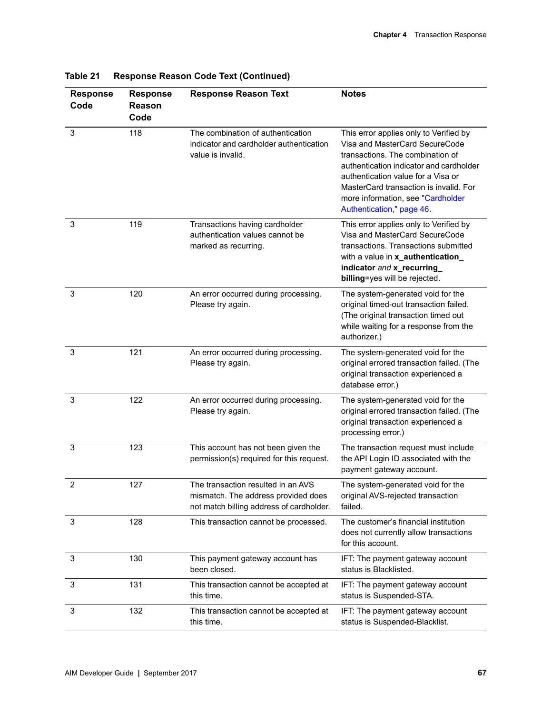| <b>Response</b><br>Code | <b>Response</b><br><b>Reason</b><br>Code | <b>Response Reason Text</b>                                                                                           | <b>Notes</b>                                                                                                                                                                                                                                                                                             |
|-------------------------|------------------------------------------|-----------------------------------------------------------------------------------------------------------------------|----------------------------------------------------------------------------------------------------------------------------------------------------------------------------------------------------------------------------------------------------------------------------------------------------------|
| 3                       | 118                                      | The combination of authentication<br>indicator and cardholder authentication<br>value is invalid.                     | This error applies only to Verified by<br>Visa and MasterCard SecureCode<br>transactions. The combination of<br>authentication indicator and cardholder<br>authentication value for a Visa or<br>MasterCard transaction is invalid. For<br>more information, see "Cardholder<br>Authentication," page 46 |
| 3                       | 119                                      | Transactions having cardholder<br>authentication values cannot be<br>marked as recurring.                             | This error applies only to Verified by<br>Visa and MasterCard SecureCode<br>transactions. Transactions submitted<br>with a value in x_authentication_<br>indicator and x_recurring_<br>billing=yes will be rejected.                                                                                     |
| 3                       | 120                                      | An error occurred during processing.<br>Please try again.                                                             | The system-generated void for the<br>original timed-out transaction failed.<br>(The original transaction timed out<br>while waiting for a response from the<br>authorizer.)                                                                                                                              |
| 3                       | 121                                      | An error occurred during processing.<br>Please try again.                                                             | The system-generated void for the<br>original errored transaction failed. (The<br>original transaction experienced a<br>database error.)                                                                                                                                                                 |
| 3                       | 122                                      | An error occurred during processing.<br>Please try again.                                                             | The system-generated void for the<br>original errored transaction failed. (The<br>original transaction experienced a<br>processing error.)                                                                                                                                                               |
| 3                       | 123                                      | This account has not been given the<br>permission(s) required for this request.                                       | The transaction request must include<br>the API Login ID associated with the<br>payment gateway account.                                                                                                                                                                                                 |
| $\overline{2}$          | 127                                      | The transaction resulted in an AVS<br>mismatch. The address provided does<br>not match billing address of cardholder. | The system-generated void for the<br>original AVS-rejected transaction<br>failed.                                                                                                                                                                                                                        |
| 3                       | 128                                      | This transaction cannot be processed.                                                                                 | The customer's financial institution<br>does not currently allow transactions<br>for this account.                                                                                                                                                                                                       |
| 3                       | 130                                      | This payment gateway account has<br>been closed.                                                                      | IFT: The payment gateway account<br>status is Blacklisted.                                                                                                                                                                                                                                               |
| 3                       | 131                                      | This transaction cannot be accepted at<br>this time.                                                                  | IFT: The payment gateway account<br>status is Suspended-STA.                                                                                                                                                                                                                                             |
| 3                       | 132                                      | This transaction cannot be accepted at<br>this time.                                                                  | IFT: The payment gateway account<br>status is Suspended-Blacklist.                                                                                                                                                                                                                                       |

**Table 21 Response Reason Code Text (Continued)**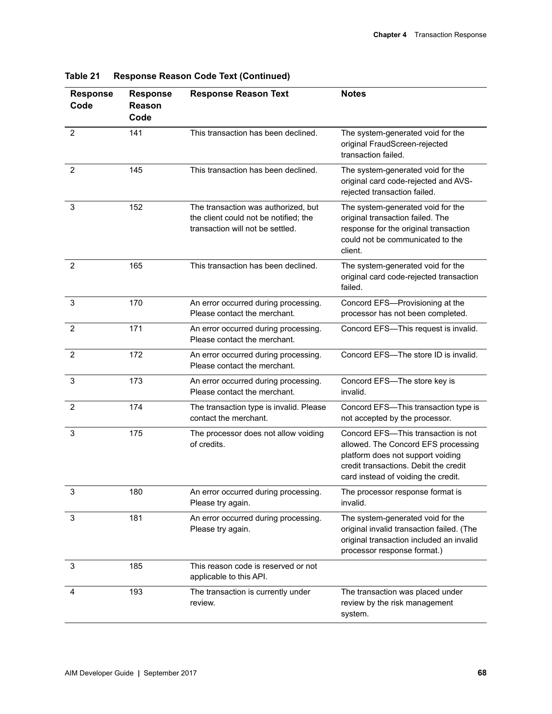| <b>Response</b><br>Code | <b>Response</b><br><b>Reason</b><br>Code | <b>Response Reason Text</b>                                                                                      | <b>Notes</b>                                                                                                                                                                                    |
|-------------------------|------------------------------------------|------------------------------------------------------------------------------------------------------------------|-------------------------------------------------------------------------------------------------------------------------------------------------------------------------------------------------|
| $\overline{2}$          | 141                                      | This transaction has been declined.                                                                              | The system-generated void for the<br>original FraudScreen-rejected<br>transaction failed.                                                                                                       |
| $\overline{2}$          | 145                                      | This transaction has been declined.                                                                              | The system-generated void for the<br>original card code-rejected and AVS-<br>rejected transaction failed.                                                                                       |
| 3                       | 152                                      | The transaction was authorized, but<br>the client could not be notified; the<br>transaction will not be settled. | The system-generated void for the<br>original transaction failed. The<br>response for the original transaction<br>could not be communicated to the<br>client.                                   |
| 2                       | 165                                      | This transaction has been declined.                                                                              | The system-generated void for the<br>original card code-rejected transaction<br>failed.                                                                                                         |
| 3                       | 170                                      | An error occurred during processing.<br>Please contact the merchant.                                             | Concord EFS-Provisioning at the<br>processor has not been completed.                                                                                                                            |
| $\overline{2}$          | 171                                      | An error occurred during processing.<br>Please contact the merchant.                                             | Concord EFS-This request is invalid.                                                                                                                                                            |
| $\overline{2}$          | 172                                      | An error occurred during processing.<br>Please contact the merchant.                                             | Concord EFS-The store ID is invalid.                                                                                                                                                            |
| 3                       | 173                                      | An error occurred during processing.<br>Please contact the merchant.                                             | Concord EFS-The store key is<br>invalid.                                                                                                                                                        |
| $\overline{2}$          | 174                                      | The transaction type is invalid. Please<br>contact the merchant.                                                 | Concord EFS-This transaction type is<br>not accepted by the processor.                                                                                                                          |
| 3                       | 175                                      | The processor does not allow voiding<br>of credits.                                                              | Concord EFS-This transaction is not<br>allowed. The Concord EFS processing<br>platform does not support voiding<br>credit transactions. Debit the credit<br>card instead of voiding the credit. |
| 3                       | 180                                      | An error occurred during processing.<br>Please try again.                                                        | The processor response format is<br>invalid.                                                                                                                                                    |
| 3                       | 181                                      | An error occurred during processing.<br>Please try again.                                                        | The system-generated void for the<br>original invalid transaction failed. (The<br>original transaction included an invalid<br>processor response format.)                                       |
| 3                       | 185                                      | This reason code is reserved or not<br>applicable to this API.                                                   |                                                                                                                                                                                                 |
| 4                       | 193                                      | The transaction is currently under<br>review.                                                                    | The transaction was placed under<br>review by the risk management<br>system.                                                                                                                    |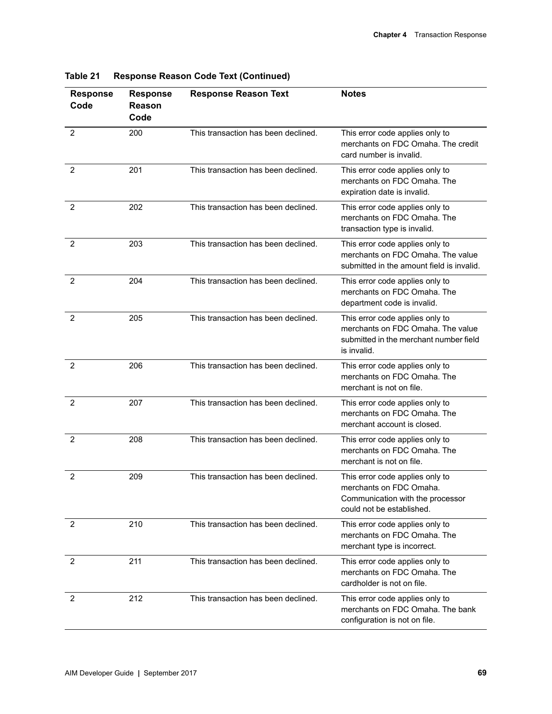| <b>Response</b><br>Code | <b>Response</b><br>Reason<br>Code | <b>Response Reason Text</b>         | <b>Notes</b>                                                                                                                  |
|-------------------------|-----------------------------------|-------------------------------------|-------------------------------------------------------------------------------------------------------------------------------|
| $\overline{2}$          | 200                               | This transaction has been declined. | This error code applies only to<br>merchants on FDC Omaha. The credit<br>card number is invalid.                              |
| 2                       | 201                               | This transaction has been declined. | This error code applies only to<br>merchants on FDC Omaha. The<br>expiration date is invalid.                                 |
| 2                       | 202                               | This transaction has been declined. | This error code applies only to<br>merchants on FDC Omaha. The<br>transaction type is invalid.                                |
| $\overline{2}$          | 203                               | This transaction has been declined. | This error code applies only to<br>merchants on FDC Omaha. The value<br>submitted in the amount field is invalid.             |
| 2                       | 204                               | This transaction has been declined. | This error code applies only to<br>merchants on FDC Omaha. The<br>department code is invalid.                                 |
| $\overline{2}$          | 205                               | This transaction has been declined. | This error code applies only to<br>merchants on FDC Omaha. The value<br>submitted in the merchant number field<br>is invalid. |
| $\overline{2}$          | 206                               | This transaction has been declined. | This error code applies only to<br>merchants on FDC Omaha. The<br>merchant is not on file.                                    |
| 2                       | 207                               | This transaction has been declined. | This error code applies only to<br>merchants on FDC Omaha. The<br>merchant account is closed.                                 |
| 2                       | 208                               | This transaction has been declined. | This error code applies only to<br>merchants on FDC Omaha. The<br>merchant is not on file.                                    |
| $\overline{2}$          | 209                               | This transaction has been declined. | This error code applies only to<br>merchants on FDC Omaha.<br>Communication with the processor<br>could not be established.   |
| 2                       | 210                               | This transaction has been declined. | This error code applies only to<br>merchants on FDC Omaha. The<br>merchant type is incorrect.                                 |
| 2                       | 211                               | This transaction has been declined. | This error code applies only to<br>merchants on FDC Omaha. The<br>cardholder is not on file.                                  |
| 2                       | 212                               | This transaction has been declined. | This error code applies only to<br>merchants on FDC Omaha. The bank<br>configuration is not on file.                          |

| Table 21 |  |  | <b>Response Reason Code Text (Continued)</b> |
|----------|--|--|----------------------------------------------|
|          |  |  |                                              |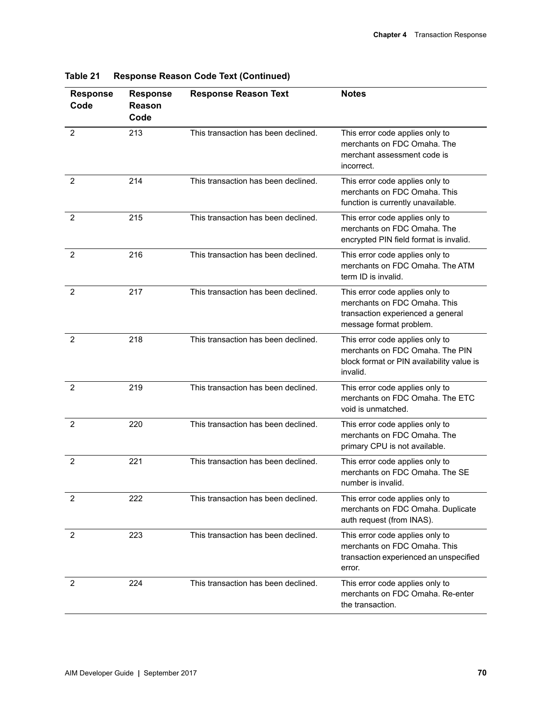| <b>Response</b><br>Code | <b>Response</b><br><b>Reason</b><br>Code | <b>Response Reason Text</b>         | <b>Notes</b>                                                                                                                    |
|-------------------------|------------------------------------------|-------------------------------------|---------------------------------------------------------------------------------------------------------------------------------|
| $\overline{2}$          | 213                                      | This transaction has been declined. | This error code applies only to<br>merchants on FDC Omaha. The<br>merchant assessment code is<br>incorrect.                     |
| $\overline{2}$          | 214                                      | This transaction has been declined. | This error code applies only to<br>merchants on FDC Omaha. This<br>function is currently unavailable.                           |
| $\overline{2}$          | 215                                      | This transaction has been declined. | This error code applies only to<br>merchants on FDC Omaha. The<br>encrypted PIN field format is invalid.                        |
| 2                       | 216                                      | This transaction has been declined. | This error code applies only to<br>merchants on FDC Omaha. The ATM<br>term ID is invalid.                                       |
| 2                       | 217                                      | This transaction has been declined. | This error code applies only to<br>merchants on FDC Omaha. This<br>transaction experienced a general<br>message format problem. |
| 2                       | 218                                      | This transaction has been declined. | This error code applies only to<br>merchants on FDC Omaha. The PIN<br>block format or PIN availability value is<br>invalid.     |
| 2                       | 219                                      | This transaction has been declined. | This error code applies only to<br>merchants on FDC Omaha. The ETC<br>void is unmatched.                                        |
| 2                       | 220                                      | This transaction has been declined. | This error code applies only to<br>merchants on FDC Omaha. The<br>primary CPU is not available.                                 |
| $\overline{2}$          | 221                                      | This transaction has been declined. | This error code applies only to<br>merchants on FDC Omaha. The SE<br>number is invalid.                                         |
| 2                       | 222                                      | This transaction has been declined. | This error code applies only to<br>merchants on FDC Omaha. Duplicate<br>auth request (from INAS).                               |
| 2                       | 223                                      | This transaction has been declined. | This error code applies only to<br>merchants on FDC Omaha. This<br>transaction experienced an unspecified<br>error.             |
| 2                       | 224                                      | This transaction has been declined. | This error code applies only to<br>merchants on FDC Omaha. Re-enter<br>the transaction.                                         |

| <b>Response Reason Code Text (Continued)</b> | Table 21 |  |  |  |  |
|----------------------------------------------|----------|--|--|--|--|
|----------------------------------------------|----------|--|--|--|--|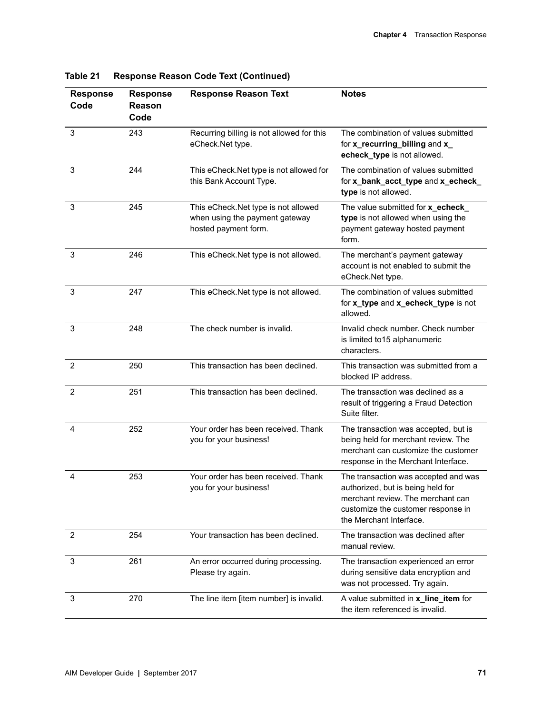| <b>Response</b><br>Code | <b>Response</b><br>Reason<br>Code | <b>Response Reason Text</b>                                                                   | <b>Notes</b>                                                                                                                                                                    |
|-------------------------|-----------------------------------|-----------------------------------------------------------------------------------------------|---------------------------------------------------------------------------------------------------------------------------------------------------------------------------------|
| 3                       | 243                               | Recurring billing is not allowed for this<br>eCheck.Net type.                                 | The combination of values submitted<br>for x_recurring_billing and x_<br>echeck_type is not allowed.                                                                            |
| 3                       | 244                               | This eCheck. Net type is not allowed for<br>this Bank Account Type.                           | The combination of values submitted<br>for x_bank_acct_type and x_echeck_<br>type is not allowed.                                                                               |
| 3                       | 245                               | This eCheck.Net type is not allowed<br>when using the payment gateway<br>hosted payment form. | The value submitted for x_echeck_<br>type is not allowed when using the<br>payment gateway hosted payment<br>form.                                                              |
| 3                       | 246                               | This eCheck.Net type is not allowed.                                                          | The merchant's payment gateway<br>account is not enabled to submit the<br>eCheck.Net type.                                                                                      |
| 3                       | 247                               | This eCheck.Net type is not allowed.                                                          | The combination of values submitted<br>for x_type and x_echeck_type is not<br>allowed.                                                                                          |
| 3                       | 248                               | The check number is invalid.                                                                  | Invalid check number. Check number<br>is limited to 15 alphanumeric<br>characters.                                                                                              |
| $\overline{2}$          | 250                               | This transaction has been declined.                                                           | This transaction was submitted from a<br>blocked IP address.                                                                                                                    |
| $\overline{2}$          | 251                               | This transaction has been declined.                                                           | The transaction was declined as a<br>result of triggering a Fraud Detection<br>Suite filter.                                                                                    |
| 4                       | 252                               | Your order has been received. Thank<br>you for your business!                                 | The transaction was accepted, but is<br>being held for merchant review. The<br>merchant can customize the customer<br>response in the Merchant Interface.                       |
| 4                       | 253                               | Your order has been received. Thank<br>you for your business!                                 | The transaction was accepted and was<br>authorized, but is being held for<br>merchant review. The merchant can<br>customize the customer response in<br>the Merchant Interface. |
| 2                       | 254                               | Your transaction has been declined.                                                           | The transaction was declined after<br>manual review.                                                                                                                            |
| 3                       | 261                               | An error occurred during processing.<br>Please try again.                                     | The transaction experienced an error<br>during sensitive data encryption and<br>was not processed. Try again.                                                                   |
| 3                       | 270                               | The line item [item number] is invalid.                                                       | A value submitted in x_line_item for<br>the item referenced is invalid.                                                                                                         |

**Table 21 Response Reason Code Text (Continued)**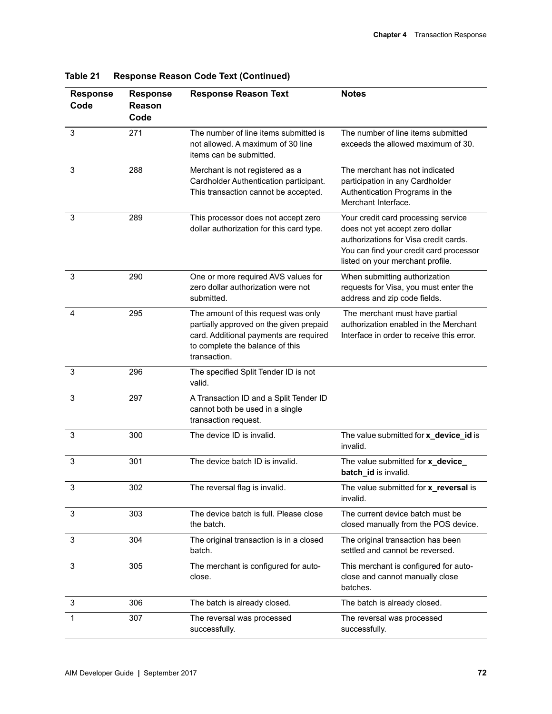| <b>Response</b><br>Code | <b>Response</b><br><b>Reason</b><br>Code | <b>Response Reason Text</b>                                                                                                                                                 | <b>Notes</b>                                                                                                                                                                                   |
|-------------------------|------------------------------------------|-----------------------------------------------------------------------------------------------------------------------------------------------------------------------------|------------------------------------------------------------------------------------------------------------------------------------------------------------------------------------------------|
| 3                       | 271                                      | The number of line items submitted is<br>not allowed. A maximum of 30 line<br>items can be submitted.                                                                       | The number of line items submitted<br>exceeds the allowed maximum of 30.                                                                                                                       |
| 3                       | 288                                      | Merchant is not registered as a<br>Cardholder Authentication participant.<br>This transaction cannot be accepted.                                                           | The merchant has not indicated<br>participation in any Cardholder<br>Authentication Programs in the<br>Merchant Interface.                                                                     |
| 3                       | 289                                      | This processor does not accept zero<br>dollar authorization for this card type.                                                                                             | Your credit card processing service<br>does not yet accept zero dollar<br>authorizations for Visa credit cards.<br>You can find your credit card processor<br>listed on your merchant profile. |
| 3                       | 290                                      | One or more required AVS values for<br>zero dollar authorization were not<br>submitted.                                                                                     | When submitting authorization<br>requests for Visa, you must enter the<br>address and zip code fields.                                                                                         |
| 4                       | 295                                      | The amount of this request was only<br>partially approved on the given prepaid<br>card. Additional payments are required<br>to complete the balance of this<br>transaction. | The merchant must have partial<br>authorization enabled in the Merchant<br>Interface in order to receive this error.                                                                           |
| 3                       | 296                                      | The specified Split Tender ID is not<br>valid.                                                                                                                              |                                                                                                                                                                                                |
| 3                       | 297                                      | A Transaction ID and a Split Tender ID<br>cannot both be used in a single<br>transaction request.                                                                           |                                                                                                                                                                                                |
| 3                       | 300                                      | The device ID is invalid.                                                                                                                                                   | The value submitted for x_device_id is<br>invalid.                                                                                                                                             |
| 3                       | 301                                      | The device batch ID is invalid.                                                                                                                                             | The value submitted for x_device_<br>batch_id is invalid.                                                                                                                                      |
| 3                       | 302                                      | The reversal flag is invalid.                                                                                                                                               | The value submitted for x_reversal is<br>invalid.                                                                                                                                              |
| 3                       | 303                                      | The device batch is full. Please close<br>the batch.                                                                                                                        | The current device batch must be<br>closed manually from the POS device.                                                                                                                       |
| 3                       | 304                                      | The original transaction is in a closed<br>batch.                                                                                                                           | The original transaction has been<br>settled and cannot be reversed.                                                                                                                           |
| 3                       | 305                                      | The merchant is configured for auto-<br>close.                                                                                                                              | This merchant is configured for auto-<br>close and cannot manually close<br>batches.                                                                                                           |
| 3                       | 306                                      | The batch is already closed.                                                                                                                                                | The batch is already closed.                                                                                                                                                                   |
| 1                       | 307                                      | The reversal was processed<br>successfully.                                                                                                                                 | The reversal was processed<br>successfully.                                                                                                                                                    |

**Table 21 Response Reason Code Text (Continued)**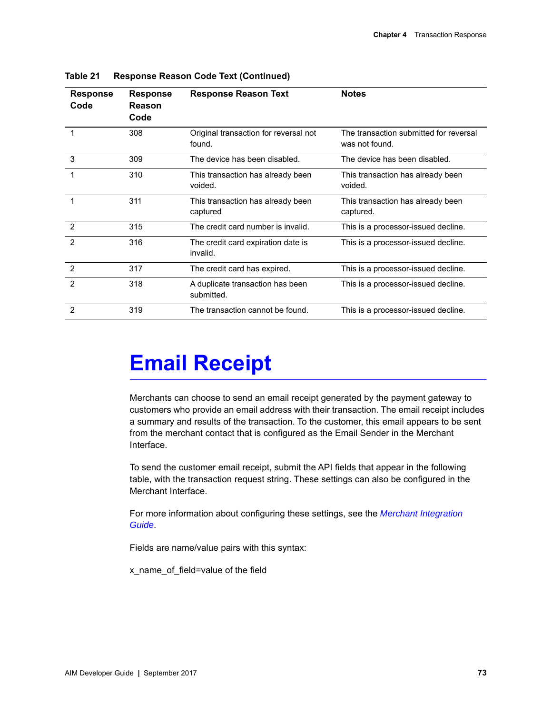| <b>Response</b><br>Code | <b>Response</b><br>Reason<br>Code | <b>Response Reason Text</b>                     | <b>Notes</b>                                             |
|-------------------------|-----------------------------------|-------------------------------------------------|----------------------------------------------------------|
|                         | 308                               | Original transaction for reversal not<br>found. | The transaction submitted for reversal<br>was not found. |
| 3                       | 309                               | The device has been disabled.                   | The device has been disabled.                            |
| $\mathbf 1$             | 310                               | This transaction has already been<br>voided.    | This transaction has already been<br>voided.             |
|                         | 311                               | This transaction has already been<br>captured   | This transaction has already been<br>captured.           |
| $\overline{2}$          | 315                               | The credit card number is invalid.              | This is a processor-issued decline.                      |
| $\mathcal{P}$           | 316                               | The credit card expiration date is<br>invalid.  | This is a processor-issued decline.                      |
| $\mathcal{P}$           | 317                               | The credit card has expired.                    | This is a processor-issued decline.                      |
| $\mathcal{P}$           | 318                               | A duplicate transaction has been<br>submitted.  | This is a processor-issued decline.                      |
| $\mathcal{P}$           | 319                               | The transaction cannot be found.                | This is a processor-issued decline.                      |

**Table 21 Response Reason Code Text (Continued)**

## **Email Receipt**

Merchants can choose to send an email receipt generated by the payment gateway to customers who provide an email address with their transaction. The email receipt includes a summary and results of the transaction. To the customer, this email appears to be sent from the merchant contact that is configured as the Email Sender in the Merchant Interface.

To send the customer email receipt, submit the API fields that appear in the following table, with the transaction request string. These settings can also be configured in the Merchant Interface.

For more information about configuring these settings, see the *[Merchant Integration](http://www.authorize.net/support/merchant/)  [Guide](http://www.authorize.net/support/merchant/)*.

Fields are name/value pairs with this syntax:

x\_name\_of\_field=value of the field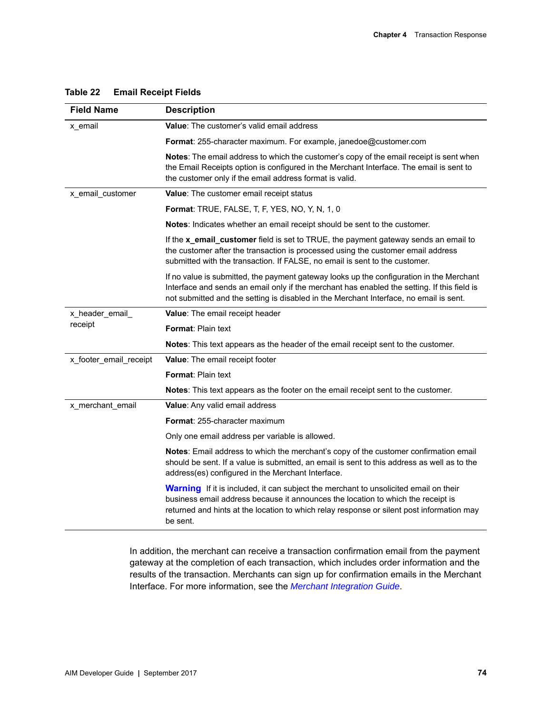| <b>Field Name</b>      | <b>Description</b>                                                                                                                                                                                                                                                                       |
|------------------------|------------------------------------------------------------------------------------------------------------------------------------------------------------------------------------------------------------------------------------------------------------------------------------------|
| x_email                | <b>Value:</b> The customer's valid email address                                                                                                                                                                                                                                         |
|                        | Format: 255-character maximum. For example, janedoe@customer.com                                                                                                                                                                                                                         |
|                        | Notes: The email address to which the customer's copy of the email receipt is sent when<br>the Email Receipts option is configured in the Merchant Interface. The email is sent to<br>the customer only if the email address format is valid.                                            |
| x_email_customer       | Value: The customer email receipt status                                                                                                                                                                                                                                                 |
|                        | <b>Format: TRUE, FALSE, T, F, YES, NO, Y, N, 1, 0</b>                                                                                                                                                                                                                                    |
|                        | Notes: Indicates whether an email receipt should be sent to the customer.                                                                                                                                                                                                                |
|                        | If the x_email_customer field is set to TRUE, the payment gateway sends an email to<br>the customer after the transaction is processed using the customer email address<br>submitted with the transaction. If FALSE, no email is sent to the customer.                                   |
|                        | If no value is submitted, the payment gateway looks up the configuration in the Merchant<br>Interface and sends an email only if the merchant has enabled the setting. If this field is<br>not submitted and the setting is disabled in the Merchant Interface, no email is sent.        |
| x_header_email_        | Value: The email receipt header                                                                                                                                                                                                                                                          |
| receipt                | <b>Format: Plain text</b>                                                                                                                                                                                                                                                                |
|                        | Notes: This text appears as the header of the email receipt sent to the customer.                                                                                                                                                                                                        |
| x_footer_email_receipt | Value: The email receipt footer                                                                                                                                                                                                                                                          |
|                        | <b>Format: Plain text</b>                                                                                                                                                                                                                                                                |
|                        | Notes: This text appears as the footer on the email receipt sent to the customer.                                                                                                                                                                                                        |
| x_merchant_email       | Value: Any valid email address                                                                                                                                                                                                                                                           |
|                        | <b>Format: 255-character maximum</b>                                                                                                                                                                                                                                                     |
|                        | Only one email address per variable is allowed.                                                                                                                                                                                                                                          |
|                        | Notes: Email address to which the merchant's copy of the customer confirmation email<br>should be sent. If a value is submitted, an email is sent to this address as well as to the<br>address(es) configured in the Merchant Interface.                                                 |
|                        | <b>Warning</b> If it is included, it can subject the merchant to unsolicited email on their<br>business email address because it announces the location to which the receipt is<br>returned and hints at the location to which relay response or silent post information may<br>be sent. |

#### **Table 22 Email Receipt Fields**

In addition, the merchant can receive a transaction confirmation email from the payment gateway at the completion of each transaction, which includes order information and the results of the transaction. Merchants can sign up for confirmation emails in the Merchant Interface. For more information, see the *[Merchant Integration Guide](http://www.authorize.net/support/merchant/)*.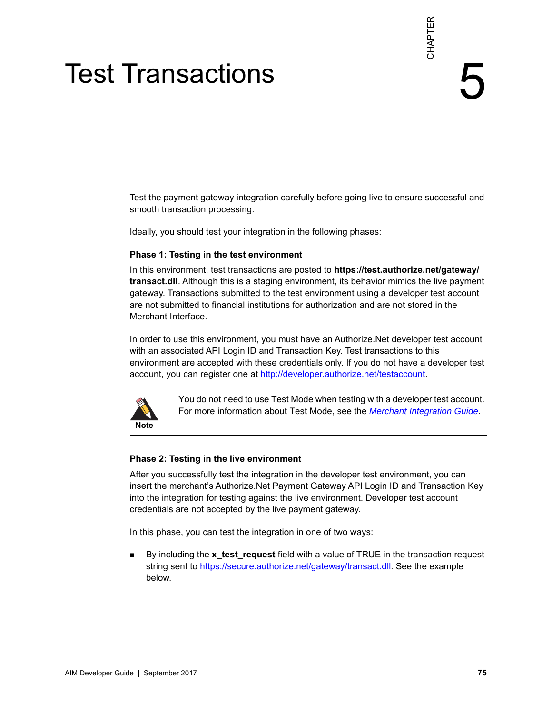## Test Transactions

Test the payment gateway integration carefully before going live to ensure successful and smooth transaction processing.

Ideally, you should test your integration in the following phases:

#### **Phase 1: Testing in the test environment**

<span id="page-74-0"></span>Test for any ment geneval interaction carefully before pains (ii) the to ensure successful and smooth transaction processing.<br>
Heads it is bestep to a smooth transaction processing.<br>
The state is the state of the state win In this environment, test transactions are posted to **https://test.authorize.net/gateway/ transact.dll**. Although this is a staging environment, its behavior mimics the live payment gateway. Transactions submitted to the test environment using a developer test account are not submitted to financial institutions for authorization and are not stored in the Merchant Interface.

In order to use this environment, you must have an Authorize.Net developer test account with an associated API Login ID and Transaction Key. Test transactions to this environment are accepted with these credentials only. If you do not have a developer test account, you can register one at [http://developer.authorize.net/testaccount.](http://developer.authorize.net/testaccount)



You do not need to use Test Mode when testing with a developer test account. For more information about Test Mode, see the *[Merchant Integration Guide](http://www.authorize.net/support/merchant/)*.

#### **Phase 2: Testing in the live environment**

After you successfully test the integration in the developer test environment, you can insert the merchant's Authorize.Net Payment Gateway API Login ID and Transaction Key into the integration for testing against the live environment. Developer test account credentials are not accepted by the live payment gateway.

In this phase, you can test the integration in one of two ways:

 By including the **x\_test\_request** field with a value of TRUE in the transaction request string sent to https://secure.authorize.net/gateway/transact.dll. See the example below.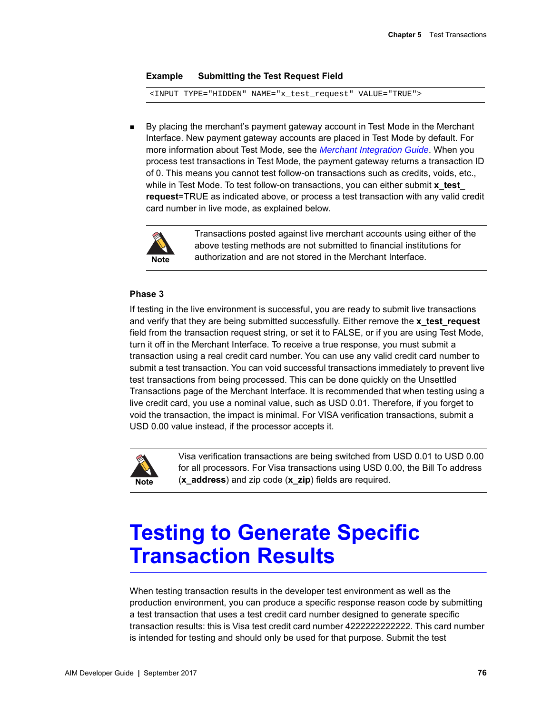#### **Example Submitting the Test Request Field**

<INPUT TYPE="HIDDEN" NAME="x\_test\_request" VALUE="TRUE">

 By placing the merchant's payment gateway account in Test Mode in the Merchant Interface. New payment gateway accounts are placed in Test Mode by default. For more information about Test Mode, see the *[Merchant Integration Guide](http://www.authorize.net/support/merchant/)*. When you process test transactions in Test Mode, the payment gateway returns a transaction ID of 0. This means you cannot test follow-on transactions such as credits, voids, etc., while in Test Mode. To test follow-on transactions, you can either submit **x** test **request**=TRUE as indicated above, or process a test transaction with any valid credit card number in live mode, as explained below.



Transactions posted against live merchant accounts using either of the above testing methods are not submitted to financial institutions for authorization and are not stored in the Merchant Interface.

#### **Phase 3**

If testing in the live environment is successful, you are ready to submit live transactions and verify that they are being submitted successfully. Either remove the **x\_test\_request** field from the transaction request string, or set it to FALSE, or if you are using Test Mode, turn it off in the Merchant Interface. To receive a true response, you must submit a transaction using a real credit card number. You can use any valid credit card number to submit a test transaction. You can void successful transactions immediately to prevent live test transactions from being processed. This can be done quickly on the Unsettled Transactions page of the Merchant Interface. It is recommended that when testing using a live credit card, you use a nominal value, such as USD 0.01. Therefore, if you forget to void the transaction, the impact is minimal. For VISA verification transactions, submit a USD 0.00 value instead, if the processor accepts it.



Visa verification transactions are being switched from USD 0.01 to USD 0.00 for all processors. For Visa transactions using USD 0.00, the Bill To address (**x\_address**) and zip code (**x\_zip**) fields are required.

### **Testing to Generate Specific Transaction Results**

When testing transaction results in the developer test environment as well as the production environment, you can produce a specific response reason code by submitting a test transaction that uses a test credit card number designed to generate specific transaction results: this is Visa test credit card number 4222222222222. This card number is intended for testing and should only be used for that purpose. Submit the test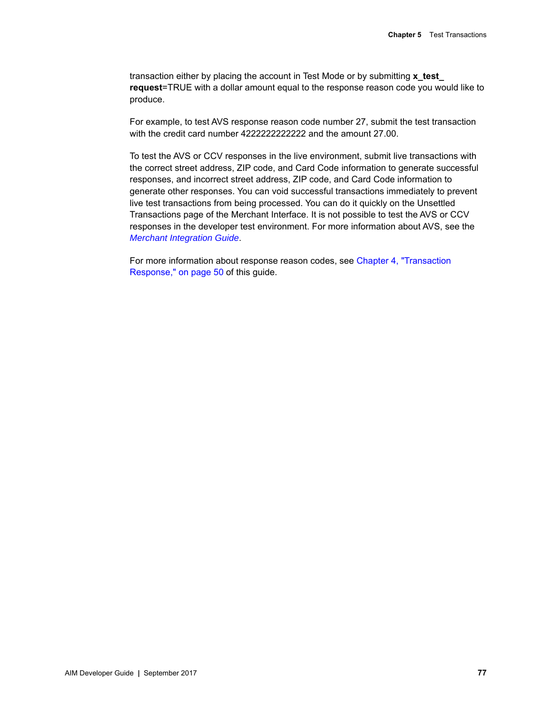transaction either by placing the account in Test Mode or by submitting **x\_test\_ request**=TRUE with a dollar amount equal to the response reason code you would like to produce.

For example, to test AVS response reason code number 27, submit the test transaction with the credit card number 4222222222222 and the amount 27.00.

To test the AVS or CCV responses in the live environment, submit live transactions with the correct street address, ZIP code, and Card Code information to generate successful responses, and incorrect street address, ZIP code, and Card Code information to generate other responses. You can void successful transactions immediately to prevent live test transactions from being processed. You can do it quickly on the Unsettled Transactions page of the Merchant Interface. It is not possible to test the AVS or CCV responses in the developer test environment. For more information about AVS, see the *[Merchant Integration Guide](http://www.authorize.net/support/merchant/)*.

For more information about response reason codes, see [Chapter 4, "Transaction](#page-49-0)  [Response," on page 50](#page-49-0) of this guide.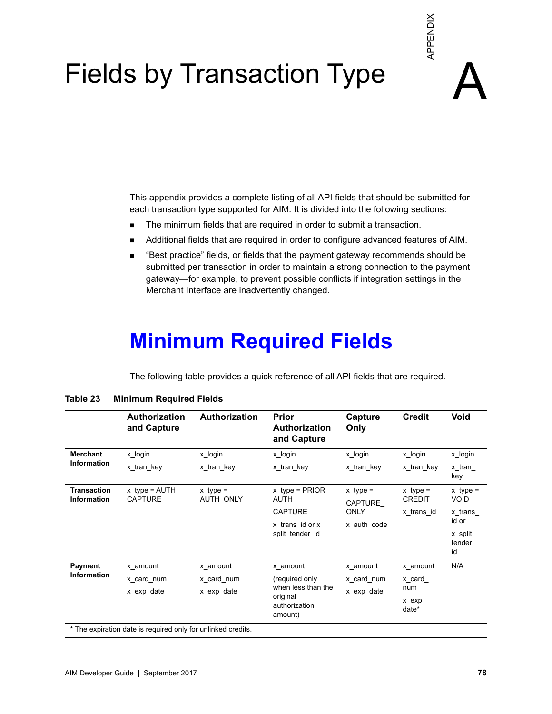## Fields by Transaction Type

- The minimum fields that are required in order to submit a transaction.
- **Additional fields that are required in order to configure advanced features of AIM.**
- "Best practice" fields, or fields that the payment gateway recommends should be submitted per transaction in order to maintain a strong connection to the payment gateway—for example, to prevent possible conflicts if integration settings in the Merchant Interface are inadvertently changed.

## **Minimum Required Fields**

|                                   |                                     |                                               | <b>Fields by Transaction Type</b>                                                                                                                                                                                                                                                                                                                                                                                                                                                                                                                                                                                                               |                 | APPENDIX                      |                                   |
|-----------------------------------|-------------------------------------|-----------------------------------------------|-------------------------------------------------------------------------------------------------------------------------------------------------------------------------------------------------------------------------------------------------------------------------------------------------------------------------------------------------------------------------------------------------------------------------------------------------------------------------------------------------------------------------------------------------------------------------------------------------------------------------------------------------|-----------------|-------------------------------|-----------------------------------|
|                                   | п<br>٠<br>٠                         | Merchant Interface are inadvertently changed. | This appendix provides a complete listing of all API fields that should be submitted for<br>each transaction type supported for AIM. It is divided into the following sections:<br>The minimum fields that are required in order to submit a transaction.<br>Additional fields that are required in order to configure advanced features of AIM.<br>"Best practice" fields, or fields that the payment gateway recommends should be<br>submitted per transaction in order to maintain a strong connection to the payment<br>gateway—for example, to prevent possible conflicts if integration settings in the<br><b>Minimum Required Fields</b> |                 |                               |                                   |
|                                   | <b>Minimum Required Fields</b>      |                                               | The following table provides a quick reference of all API fields that are required.                                                                                                                                                                                                                                                                                                                                                                                                                                                                                                                                                             |                 |                               |                                   |
|                                   | <b>Authorization</b><br>and Capture | Authorization                                 | Prior<br>Authorization<br>and Capture                                                                                                                                                                                                                                                                                                                                                                                                                                                                                                                                                                                                           | Capture<br>Only | Credit                        | Void                              |
| <b>Merchant</b>                   | x login                             | x login                                       | x_login                                                                                                                                                                                                                                                                                                                                                                                                                                                                                                                                                                                                                                         | x_login         | x login                       | x_login                           |
| Information                       | x tran key                          | x tran key                                    | x tran key                                                                                                                                                                                                                                                                                                                                                                                                                                                                                                                                                                                                                                      | x tran key      | x tran key                    | x tran<br>key                     |
| <b>Transaction</b><br>Information | $x_t$ type = AUTH<br><b>CAPTURE</b> | $x$ type =<br>AUTH ONLY                       | x type = $PRIOR$<br>AUTH                                                                                                                                                                                                                                                                                                                                                                                                                                                                                                                                                                                                                        | $x_t$ type =    | $x_t$ type =<br><b>CREDIT</b> | $x$ type =<br><b>VOID</b>         |
|                                   |                                     |                                               | CAPTURE                                                                                                                                                                                                                                                                                                                                                                                                                                                                                                                                                                                                                                         | CAPTURE<br>ONLY | x trans id                    | x trans                           |
|                                   |                                     |                                               | x_trans_id or x_<br>split tender id                                                                                                                                                                                                                                                                                                                                                                                                                                                                                                                                                                                                             | x_auth_code     |                               | id or<br>x_split_<br>tender<br>id |
| Payment                           | x amount                            | x amount                                      | x amount                                                                                                                                                                                                                                                                                                                                                                                                                                                                                                                                                                                                                                        | x amount        | x amount                      | N/A                               |
| Information                       | x card num                          | x card num                                    | (required only                                                                                                                                                                                                                                                                                                                                                                                                                                                                                                                                                                                                                                  | x card num      | x card                        |                                   |
| Table 23                          | x exp date                          | x exp date                                    | when less than the<br>original<br>authorization<br>amount)                                                                                                                                                                                                                                                                                                                                                                                                                                                                                                                                                                                      | x_exp_date      | num<br>x_exp_<br>date*        |                                   |

#### **Table 23 Minimum Required Fields**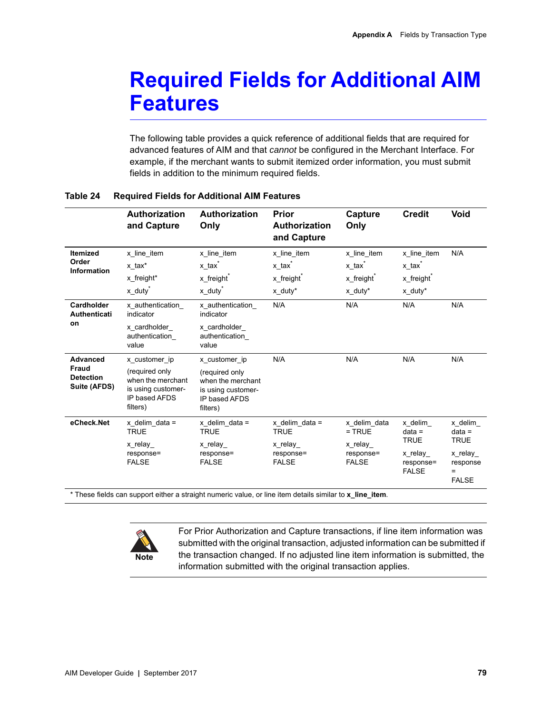## **Required Fields for Additional AIM Features**

The following table provides a quick reference of additional fields that are required for advanced features of AIM and that *cannot* be configured in the Merchant Interface. For example, if the merchant wants to submit itemized order information, you must submit fields in addition to the minimum required fields.

|                                                                     | <b>Authorization</b><br>and Capture                                                                     | Authorization<br>Only                                                                                   | <b>Prior</b><br>Authorization<br>and Capture                                         | Capture<br>Only                                                                      | <b>Credit</b>                                                                        | <b>Void</b>                                                                      |
|---------------------------------------------------------------------|---------------------------------------------------------------------------------------------------------|---------------------------------------------------------------------------------------------------------|--------------------------------------------------------------------------------------|--------------------------------------------------------------------------------------|--------------------------------------------------------------------------------------|----------------------------------------------------------------------------------|
| <b>Itemized</b><br>Order<br><b>Information</b>                      | x line item<br>x tax*<br>x freight*<br>$x$ duty <sup>*</sup>                                            | x line item<br>x_tax <sup>*</sup><br>x_freight <sup>®</sup><br>x_duty <sup>*</sup>                      | x_line_item<br>x_tax <sup>*</sup><br>x_freight <sup>®</sup><br>$x$ duty <sup>*</sup> | x line item<br>x_tax <sup>*</sup><br>x_freight <sup>*</sup><br>$x$ duty <sup>*</sup> | x line item<br>x_tax <sup>*</sup><br>x_freight <sup>®</sup><br>$x$ duty <sup>*</sup> | N/A                                                                              |
| Cardholder<br><b>Authenticati</b><br>on                             | x authentication<br>indicator<br>x cardholder<br>authentication<br>value                                | x authentication<br>indicator<br>x cardholder<br>authentication<br>value                                | N/A                                                                                  | N/A                                                                                  | N/A                                                                                  | N/A                                                                              |
| <b>Advanced</b><br><b>Fraud</b><br><b>Detection</b><br>Suite (AFDS) | x customer ip<br>(required only<br>when the merchant<br>is using customer-<br>IP based AFDS<br>filters) | x customer ip<br>(required only<br>when the merchant<br>is using customer-<br>IP based AFDS<br>filters) | N/A                                                                                  | N/A                                                                                  | N/A                                                                                  | N/A                                                                              |
| eCheck.Net                                                          | x delim data =<br><b>TRUE</b><br>x_relay_<br>response=<br><b>FALSE</b>                                  | x delim data $=$<br><b>TRUE</b><br>x relay<br>response=<br><b>FALSE</b>                                 | $x$ delim data =<br><b>TRUE</b><br>x relay<br>response=<br><b>FALSE</b>              | x delim data<br>$=$ TRUE<br>x relay<br>response=<br><b>FALSE</b>                     | x delim<br>$data =$<br><b>TRUE</b><br>x relay<br>response=<br><b>FALSE</b>           | x delim<br>$data =$<br><b>TRUE</b><br>x relay<br>response<br>$=$<br><b>FALSE</b> |

#### **Table 24 Required Fields for Additional AIM Features**



For Prior Authorization and Capture transactions, if line item information was submitted with the original transaction, adjusted information can be submitted if the transaction changed. If no adjusted line item information is submitted, the information submitted with the original transaction applies.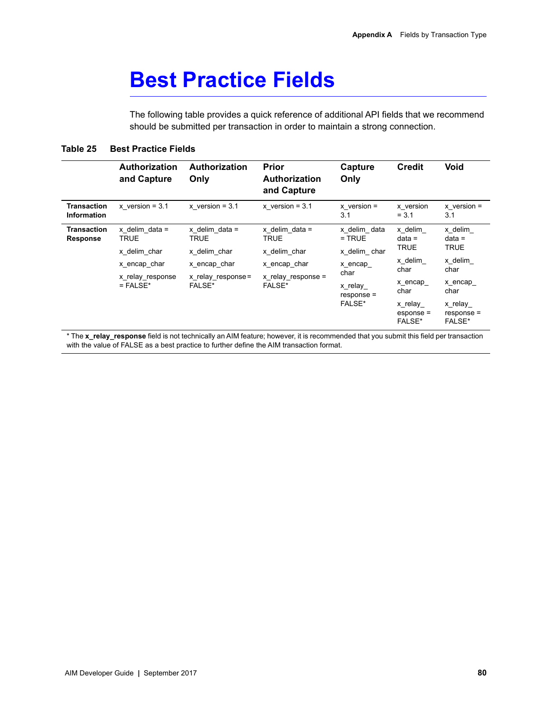### **Best Practice Fields**

The following table provides a quick reference of additional API fields that we recommend should be submitted per transaction in order to maintain a strong connection.

#### **Table 25 Best Practice Fields**

|                                          | <b>Authorization</b><br>and Capture                                                        | <b>Authorization</b><br>Only                                                          | <b>Prior</b><br><b>Authorization</b><br>and Capture                                        | Capture<br>Only                                                                                  | <b>Credit</b>                                                                                                | <b>Void</b>                                                                                                   |
|------------------------------------------|--------------------------------------------------------------------------------------------|---------------------------------------------------------------------------------------|--------------------------------------------------------------------------------------------|--------------------------------------------------------------------------------------------------|--------------------------------------------------------------------------------------------------------------|---------------------------------------------------------------------------------------------------------------|
| <b>Transaction</b><br><b>Information</b> | x version = $3.1$                                                                          | $x$ version = 3.1                                                                     | $x$ version = 3.1                                                                          | $x$ version =<br>3.1                                                                             | x version<br>$= 3.1$                                                                                         | $x$ version =<br>3.1                                                                                          |
| Transaction<br>Response                  | x delim data $=$<br>TRUE<br>x delim char<br>x encap char<br>x relay response<br>$=$ FALSE* | x delim data =<br>TRUE<br>x delim char<br>x encap char<br>x relay response=<br>FALSE* | x delim data $=$<br>TRUE<br>x delim char<br>x encap char<br>x relay response $=$<br>FALSE* | x delim data<br>$=$ TRUE<br>x delim char<br>x encap<br>char<br>x relay<br>$response =$<br>FALSE* | x delim<br>$data =$<br><b>TRUE</b><br>x delim<br>char<br>x encap<br>char<br>x relay<br>$esponse =$<br>FALSE* | x delim<br>$data =$<br><b>TRUE</b><br>x delim<br>char<br>x encap<br>char<br>x relay<br>$response =$<br>FALSE* |

\* The **x\_relay\_response** field is not technically an AIM feature; however, it is recommended that you submit this field per transaction with the value of FALSE as a best practice to further define the AIM transaction format.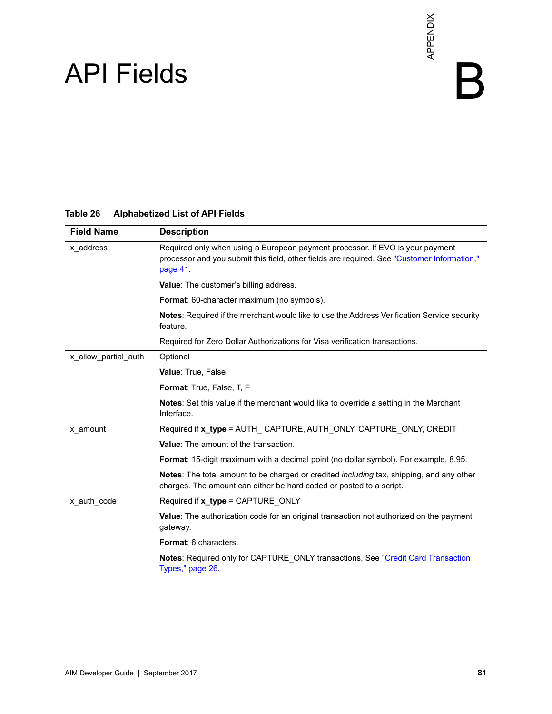# $API$  Fields  $\begin{array}{ccc} \mathbb{R}^{\times} & \mathbb{R}^{\times} \ \mathbb{R}^{\times} & \mathbb{R} \end{array}$

#### **Table 26 Alphabetized List of API Fields**

| <b>Alphabetized List of API Fields</b>                                                                                                                                                   |  |  |  |
|------------------------------------------------------------------------------------------------------------------------------------------------------------------------------------------|--|--|--|
| <b>Description</b>                                                                                                                                                                       |  |  |  |
| Required only when using a European payment processor. If EVO is your payment<br>processor and you submit this field, other fields are required. See "Customer Information,"<br>page 41. |  |  |  |
| Value: The customer's billing address.                                                                                                                                                   |  |  |  |
| Format: 60-character maximum (no symbols).                                                                                                                                               |  |  |  |
| Notes: Required if the merchant would like to use the Address Verification Service security<br>feature.                                                                                  |  |  |  |
| Required for Zero Dollar Authorizations for Visa verification transactions.                                                                                                              |  |  |  |
| Optional                                                                                                                                                                                 |  |  |  |
| Value: True, False                                                                                                                                                                       |  |  |  |
| Format: True, False, T, F                                                                                                                                                                |  |  |  |
| Notes: Set this value if the merchant would like to override a setting in the Merchant<br>Interface.                                                                                     |  |  |  |
| Required if x_type = AUTH_ CAPTURE, AUTH_ONLY, CAPTURE_ONLY, CREDIT                                                                                                                      |  |  |  |
| Value: The amount of the transaction.                                                                                                                                                    |  |  |  |
| Format: 15-digit maximum with a decimal point (no dollar symbol). For example, 8.95.                                                                                                     |  |  |  |
| Notes: The total amount to be charged or credited <i>including</i> tax, shipping, and any other<br>charges. The amount can either be hard coded or posted to a script.                   |  |  |  |
| Required if x_type = CAPTURE_ONLY                                                                                                                                                        |  |  |  |
| Value: The authorization code for an original transaction not authorized on the payment<br>gateway.                                                                                      |  |  |  |
| Format: 6 characters.                                                                                                                                                                    |  |  |  |
| Notes: Required only for CAPTURE_ONLY transactions. See "Credit Card Transaction<br>Types," page 26.                                                                                     |  |  |  |
|                                                                                                                                                                                          |  |  |  |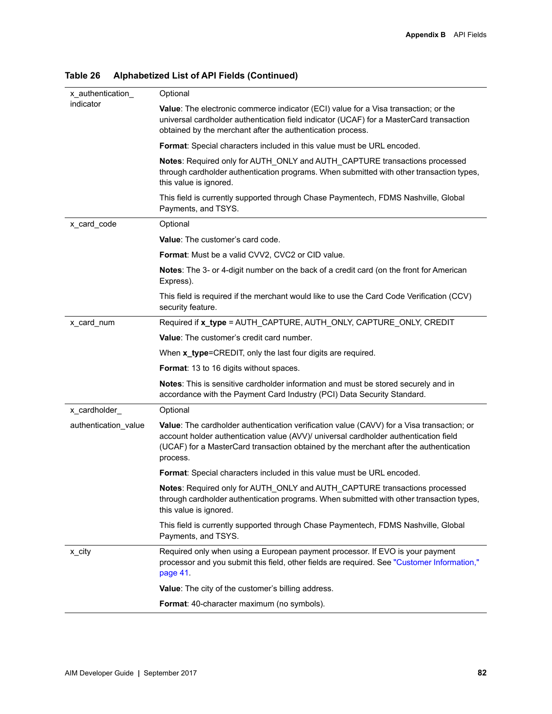| x_authentication_    | Optional                                                                                                                                                                                                                                                                               |
|----------------------|----------------------------------------------------------------------------------------------------------------------------------------------------------------------------------------------------------------------------------------------------------------------------------------|
| indicator            | Value: The electronic commerce indicator (ECI) value for a Visa transaction; or the<br>universal cardholder authentication field indicator (UCAF) for a MasterCard transaction<br>obtained by the merchant after the authentication process.                                           |
|                      | Format: Special characters included in this value must be URL encoded.                                                                                                                                                                                                                 |
|                      | Notes: Required only for AUTH_ONLY and AUTH_CAPTURE transactions processed<br>through cardholder authentication programs. When submitted with other transaction types,<br>this value is ignored.                                                                                       |
|                      | This field is currently supported through Chase Paymentech, FDMS Nashville, Global<br>Payments, and TSYS.                                                                                                                                                                              |
| x card code          | Optional                                                                                                                                                                                                                                                                               |
|                      | Value: The customer's card code.                                                                                                                                                                                                                                                       |
|                      | Format: Must be a valid CVV2, CVC2 or CID value.                                                                                                                                                                                                                                       |
|                      | Notes: The 3- or 4-digit number on the back of a credit card (on the front for American<br>Express).                                                                                                                                                                                   |
|                      | This field is required if the merchant would like to use the Card Code Verification (CCV)<br>security feature.                                                                                                                                                                         |
| x_card_num           | Required if x_type = AUTH_CAPTURE, AUTH_ONLY, CAPTURE_ONLY, CREDIT                                                                                                                                                                                                                     |
|                      | Value: The customer's credit card number.                                                                                                                                                                                                                                              |
|                      | When x_type=CREDIT, only the last four digits are required.                                                                                                                                                                                                                            |
|                      | Format: 13 to 16 digits without spaces.                                                                                                                                                                                                                                                |
|                      | Notes: This is sensitive cardholder information and must be stored securely and in<br>accordance with the Payment Card Industry (PCI) Data Security Standard.                                                                                                                          |
| x_cardholder_        | Optional                                                                                                                                                                                                                                                                               |
| authentication_value | Value: The cardholder authentication verification value (CAVV) for a Visa transaction; or<br>account holder authentication value (AVV)/ universal cardholder authentication field<br>(UCAF) for a MasterCard transaction obtained by the merchant after the authentication<br>process. |
|                      | Format: Special characters included in this value must be URL encoded.                                                                                                                                                                                                                 |
|                      | Notes: Required only for AUTH_ONLY and AUTH_CAPTURE transactions processed<br>through cardholder authentication programs. When submitted with other transaction types,<br>this value is ignored.                                                                                       |
|                      | This field is currently supported through Chase Paymentech, FDMS Nashville, Global<br>Payments, and TSYS.                                                                                                                                                                              |
| x_city               | Required only when using a European payment processor. If EVO is your payment<br>processor and you submit this field, other fields are required. See "Customer Information,"<br>page 41.                                                                                               |
|                      | Value: The city of the customer's billing address.                                                                                                                                                                                                                                     |
|                      | Format: 40-character maximum (no symbols).                                                                                                                                                                                                                                             |
|                      |                                                                                                                                                                                                                                                                                        |

**Table 26 Alphabetized List of API Fields (Continued)**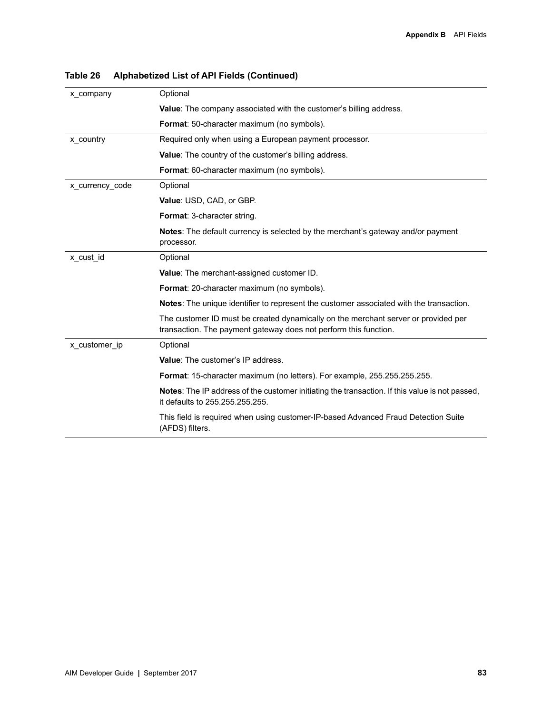| x company       | Optional                                                                                                                                               |
|-----------------|--------------------------------------------------------------------------------------------------------------------------------------------------------|
|                 | <b>Value:</b> The company associated with the customer's billing address.                                                                              |
|                 | <b>Format:</b> 50-character maximum (no symbols).                                                                                                      |
| x country       | Required only when using a European payment processor.                                                                                                 |
|                 | <b>Value:</b> The country of the customer's billing address.                                                                                           |
|                 | <b>Format:</b> 60-character maximum (no symbols).                                                                                                      |
| x_currency_code | Optional                                                                                                                                               |
|                 | Value: USD, CAD, or GBP.                                                                                                                               |
|                 | Format: 3-character string.                                                                                                                            |
|                 | <b>Notes:</b> The default currency is selected by the merchant's gateway and/or payment<br>processor.                                                  |
| x cust id       | Optional                                                                                                                                               |
|                 | <b>Value:</b> The merchant-assigned customer ID.                                                                                                       |
|                 | <b>Format:</b> 20-character maximum (no symbols).                                                                                                      |
|                 | Notes: The unique identifier to represent the customer associated with the transaction.                                                                |
|                 | The customer ID must be created dynamically on the merchant server or provided per<br>transaction. The payment gateway does not perform this function. |
| x customer ip   | Optional                                                                                                                                               |
|                 | Value: The customer's IP address.                                                                                                                      |
|                 | Format: 15-character maximum (no letters). For example, 255.255.255.255.                                                                               |
|                 | <b>Notes:</b> The IP address of the customer initiating the transaction. If this value is not passed,<br>it defaults to 255.255.255.255.               |
|                 | This field is required when using customer-IP-based Advanced Fraud Detection Suite<br>(AFDS) filters.                                                  |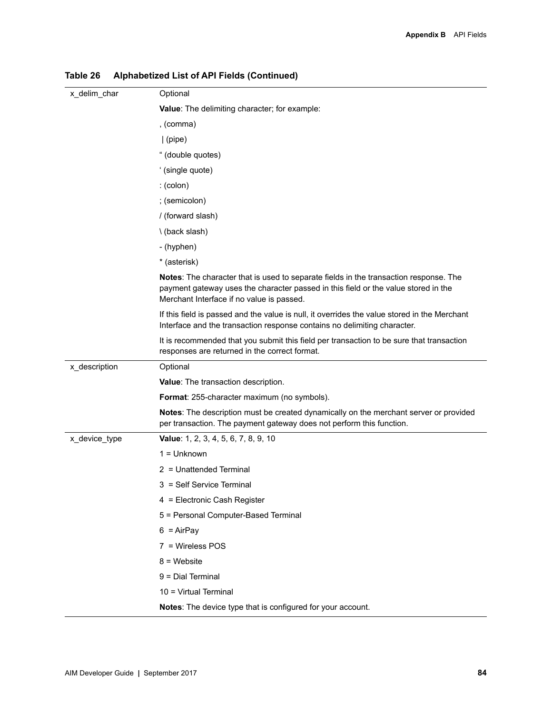| x_delim_char  | Optional                                                                                                                                                                                                                        |
|---------------|---------------------------------------------------------------------------------------------------------------------------------------------------------------------------------------------------------------------------------|
|               | Value: The delimiting character; for example:                                                                                                                                                                                   |
|               | , (comma)                                                                                                                                                                                                                       |
|               | $ $ (pipe)                                                                                                                                                                                                                      |
|               | " (double quotes)                                                                                                                                                                                                               |
|               | ' (single quote)                                                                                                                                                                                                                |
|               | $:(\text{colon})$                                                                                                                                                                                                               |
|               | ; (semicolon)                                                                                                                                                                                                                   |
|               | / (forward slash)                                                                                                                                                                                                               |
|               | \ (back slash)                                                                                                                                                                                                                  |
|               | - (hyphen)                                                                                                                                                                                                                      |
|               | * (asterisk)                                                                                                                                                                                                                    |
|               | <b>Notes:</b> The character that is used to separate fields in the transaction response. The<br>payment gateway uses the character passed in this field or the value stored in the<br>Merchant Interface if no value is passed. |
|               | If this field is passed and the value is null, it overrides the value stored in the Merchant<br>Interface and the transaction response contains no delimiting character.                                                        |
|               | It is recommended that you submit this field per transaction to be sure that transaction<br>responses are returned in the correct format.                                                                                       |
| x_description | Optional                                                                                                                                                                                                                        |
|               | Value: The transaction description.                                                                                                                                                                                             |
|               | Format: 255-character maximum (no symbols).                                                                                                                                                                                     |
|               | Notes: The description must be created dynamically on the merchant server or provided<br>per transaction. The payment gateway does not perform this function.                                                                   |
| x_device_type | Value: 1, 2, 3, 4, 5, 6, 7, 8, 9, 10                                                                                                                                                                                            |
|               | $1 =$ Unknown                                                                                                                                                                                                                   |
|               | 2 = Unattended Terminal                                                                                                                                                                                                         |
|               | 3 = Self Service Terminal                                                                                                                                                                                                       |
|               | 4 = Electronic Cash Register                                                                                                                                                                                                    |
|               | 5 = Personal Computer-Based Terminal                                                                                                                                                                                            |
|               | $6 = AirPay$                                                                                                                                                                                                                    |
|               | 7 = Wireless POS                                                                                                                                                                                                                |
|               | $8 =$ Website                                                                                                                                                                                                                   |
|               | 9 = Dial Terminal                                                                                                                                                                                                               |
|               | 10 = Virtual Terminal                                                                                                                                                                                                           |
|               | Notes: The device type that is configured for your account.                                                                                                                                                                     |

**Table 26 Alphabetized List of API Fields (Continued)**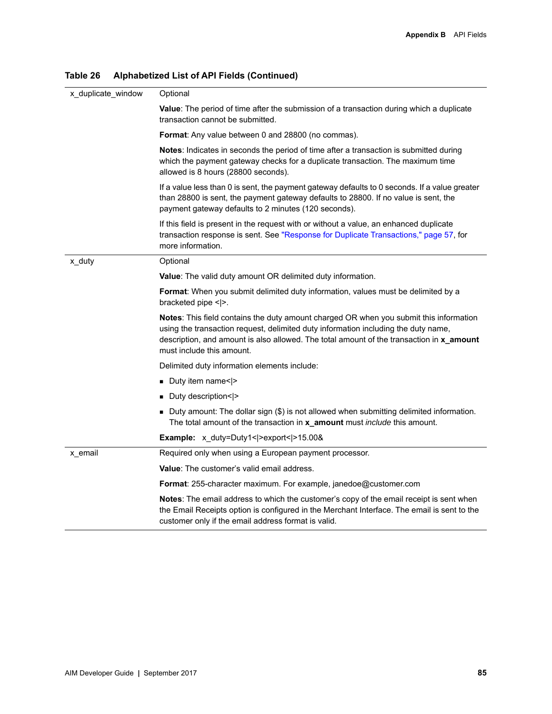| x_duplicate_window | Optional                                                                                                                                                                                                                                                                                                     |  |  |  |  |
|--------------------|--------------------------------------------------------------------------------------------------------------------------------------------------------------------------------------------------------------------------------------------------------------------------------------------------------------|--|--|--|--|
|                    | Value: The period of time after the submission of a transaction during which a duplicate<br>transaction cannot be submitted.                                                                                                                                                                                 |  |  |  |  |
|                    | Format: Any value between 0 and 28800 (no commas).                                                                                                                                                                                                                                                           |  |  |  |  |
|                    | Notes: Indicates in seconds the period of time after a transaction is submitted during<br>which the payment gateway checks for a duplicate transaction. The maximum time<br>allowed is 8 hours (28800 seconds).                                                                                              |  |  |  |  |
|                    | If a value less than 0 is sent, the payment gateway defaults to 0 seconds. If a value greater<br>than 28800 is sent, the payment gateway defaults to 28800. If no value is sent, the<br>payment gateway defaults to 2 minutes (120 seconds).                                                                 |  |  |  |  |
|                    | If this field is present in the request with or without a value, an enhanced duplicate<br>transaction response is sent. See "Response for Duplicate Transactions," page 57, for<br>more information.                                                                                                         |  |  |  |  |
| x_duty             | Optional                                                                                                                                                                                                                                                                                                     |  |  |  |  |
|                    | <b>Value:</b> The valid duty amount OR delimited duty information.                                                                                                                                                                                                                                           |  |  |  |  |
|                    | Format: When you submit delimited duty information, values must be delimited by a<br>bracketed pipe < >.                                                                                                                                                                                                     |  |  |  |  |
|                    | <b>Notes:</b> This field contains the duty amount charged OR when you submit this information<br>using the transaction request, delimited duty information including the duty name,<br>description, and amount is also allowed. The total amount of the transaction in x_amount<br>must include this amount. |  |  |  |  |
|                    | Delimited duty information elements include:                                                                                                                                                                                                                                                                 |  |  |  |  |
|                    | Duty item name< >                                                                                                                                                                                                                                                                                            |  |  |  |  |
|                    | Duty description< >                                                                                                                                                                                                                                                                                          |  |  |  |  |
|                    | ■ Duty amount: The dollar sign (\$) is not allowed when submitting delimited information.<br>The total amount of the transaction in x_amount must include this amount.                                                                                                                                       |  |  |  |  |
|                    | <b>Example:</b> x duty=Duty1< $ >$ export< $ >15.00\$ &                                                                                                                                                                                                                                                      |  |  |  |  |
| x_email            | Required only when using a European payment processor.                                                                                                                                                                                                                                                       |  |  |  |  |
|                    | <b>Value:</b> The customer's valid email address.                                                                                                                                                                                                                                                            |  |  |  |  |
|                    | <b>Format:</b> 255-character maximum. For example, janedoe@customer.com                                                                                                                                                                                                                                      |  |  |  |  |
|                    | Notes: The email address to which the customer's copy of the email receipt is sent when<br>the Email Receipts option is configured in the Merchant Interface. The email is sent to the<br>customer only if the email address format is valid.                                                                |  |  |  |  |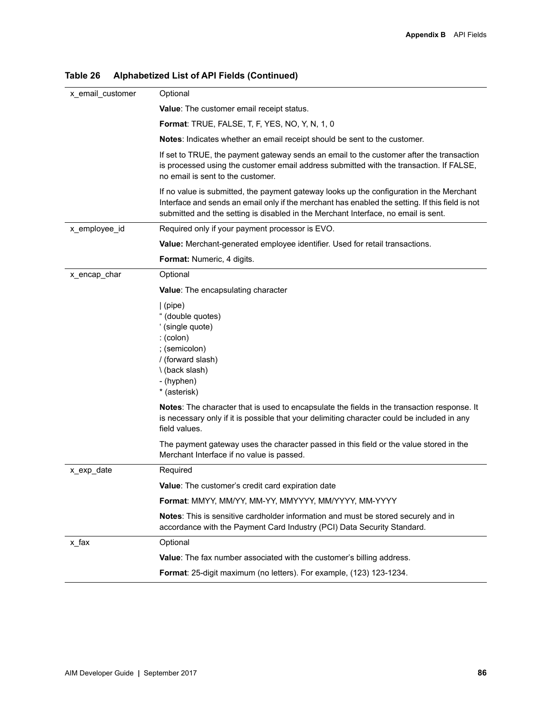| x_email_customer | Optional                                                                                                                                                                                                                                                                          |
|------------------|-----------------------------------------------------------------------------------------------------------------------------------------------------------------------------------------------------------------------------------------------------------------------------------|
|                  | Value: The customer email receipt status.                                                                                                                                                                                                                                         |
|                  | <b>Format:</b> TRUE, FALSE, T, F, YES, NO, Y, N, 1, 0                                                                                                                                                                                                                             |
|                  | Notes: Indicates whether an email receipt should be sent to the customer.                                                                                                                                                                                                         |
|                  | If set to TRUE, the payment gateway sends an email to the customer after the transaction<br>is processed using the customer email address submitted with the transaction. If FALSE,<br>no email is sent to the customer.                                                          |
|                  | If no value is submitted, the payment gateway looks up the configuration in the Merchant<br>Interface and sends an email only if the merchant has enabled the setting. If this field is not<br>submitted and the setting is disabled in the Merchant Interface, no email is sent. |
| x_employee_id    | Required only if your payment processor is EVO.                                                                                                                                                                                                                                   |
|                  | Value: Merchant-generated employee identifier. Used for retail transactions.                                                                                                                                                                                                      |
|                  | Format: Numeric, 4 digits.                                                                                                                                                                                                                                                        |
| x encap char     | Optional                                                                                                                                                                                                                                                                          |
|                  | <b>Value:</b> The encapsulating character                                                                                                                                                                                                                                         |
|                  | (pipe)<br>" (double quotes)<br>' (single quote)<br>$:(\text{colon})$<br>; (semicolon)<br>/ (forward slash)<br>\(back slash)<br>- (hyphen)<br>* (asterisk)                                                                                                                         |
|                  | Notes: The character that is used to encapsulate the fields in the transaction response. It<br>is necessary only if it is possible that your delimiting character could be included in any<br>field values.                                                                       |
|                  | The payment gateway uses the character passed in this field or the value stored in the<br>Merchant Interface if no value is passed.                                                                                                                                               |
| x_exp_date       | Required                                                                                                                                                                                                                                                                          |
|                  | Value: The customer's credit card expiration date                                                                                                                                                                                                                                 |
|                  | Format: MMYY, MM/YY, MM-YY, MMYYYY, MM/YYYY, MM-YYYY                                                                                                                                                                                                                              |
|                  | Notes: This is sensitive cardholder information and must be stored securely and in<br>accordance with the Payment Card Industry (PCI) Data Security Standard.                                                                                                                     |
| x fax            | Optional                                                                                                                                                                                                                                                                          |
|                  | Value: The fax number associated with the customer's billing address.                                                                                                                                                                                                             |
|                  | Format: 25-digit maximum (no letters). For example, (123) 123-1234.                                                                                                                                                                                                               |
|                  |                                                                                                                                                                                                                                                                                   |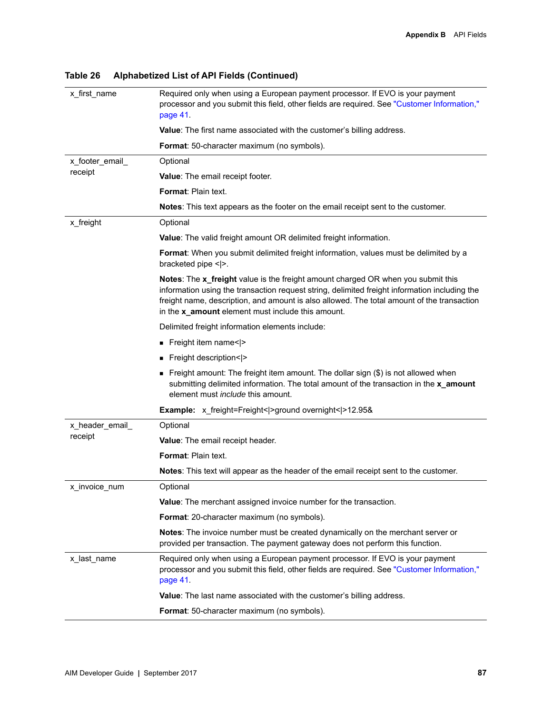| x first name    | Required only when using a European payment processor. If EVO is your payment<br>processor and you submit this field, other fields are required. See "Customer Information,"<br>page 41.                                                                                                                                             |  |  |  |  |
|-----------------|--------------------------------------------------------------------------------------------------------------------------------------------------------------------------------------------------------------------------------------------------------------------------------------------------------------------------------------|--|--|--|--|
|                 | Value: The first name associated with the customer's billing address.                                                                                                                                                                                                                                                                |  |  |  |  |
|                 | <b>Format:</b> 50-character maximum (no symbols).                                                                                                                                                                                                                                                                                    |  |  |  |  |
| x_footer_email_ | Optional                                                                                                                                                                                                                                                                                                                             |  |  |  |  |
| receipt         | Value: The email receipt footer.                                                                                                                                                                                                                                                                                                     |  |  |  |  |
|                 | Format: Plain text.                                                                                                                                                                                                                                                                                                                  |  |  |  |  |
|                 | <b>Notes:</b> This text appears as the footer on the email receipt sent to the customer.                                                                                                                                                                                                                                             |  |  |  |  |
| x_freight       | Optional                                                                                                                                                                                                                                                                                                                             |  |  |  |  |
|                 | <b>Value:</b> The valid freight amount OR delimited freight information.                                                                                                                                                                                                                                                             |  |  |  |  |
|                 | Format: When you submit delimited freight information, values must be delimited by a<br>bracketed pipe < >.                                                                                                                                                                                                                          |  |  |  |  |
|                 | Notes: The x_freight value is the freight amount charged OR when you submit this<br>information using the transaction request string, delimited freight information including the<br>freight name, description, and amount is also allowed. The total amount of the transaction<br>in the x_amount element must include this amount. |  |  |  |  |
|                 | Delimited freight information elements include:                                                                                                                                                                                                                                                                                      |  |  |  |  |
|                 | Freight item name< >                                                                                                                                                                                                                                                                                                                 |  |  |  |  |
|                 | Freight description< >                                                                                                                                                                                                                                                                                                               |  |  |  |  |
|                 | ■ Freight amount: The freight item amount. The dollar sign $(\$)$ is not allowed when<br>submitting delimited information. The total amount of the transaction in the x_amount<br>element must <i>include</i> this amount.                                                                                                           |  |  |  |  |
|                 | <b>Example:</b> x_freight=Freight< >ground overnight< >12.95&                                                                                                                                                                                                                                                                        |  |  |  |  |
| x_header_email_ | Optional                                                                                                                                                                                                                                                                                                                             |  |  |  |  |
| receipt         | Value: The email receipt header.                                                                                                                                                                                                                                                                                                     |  |  |  |  |
|                 | <b>Format: Plain text.</b>                                                                                                                                                                                                                                                                                                           |  |  |  |  |
|                 | <b>Notes:</b> This text will appear as the header of the email receipt sent to the customer.                                                                                                                                                                                                                                         |  |  |  |  |
| x_invoice_num   | Optional                                                                                                                                                                                                                                                                                                                             |  |  |  |  |
|                 | Value: The merchant assigned invoice number for the transaction.                                                                                                                                                                                                                                                                     |  |  |  |  |
|                 | Format: 20-character maximum (no symbols).                                                                                                                                                                                                                                                                                           |  |  |  |  |
|                 | Notes: The invoice number must be created dynamically on the merchant server or<br>provided per transaction. The payment gateway does not perform this function.                                                                                                                                                                     |  |  |  |  |
| x_last_name     | Required only when using a European payment processor. If EVO is your payment<br>processor and you submit this field, other fields are required. See "Customer Information,"<br>page 41.                                                                                                                                             |  |  |  |  |
|                 | Value: The last name associated with the customer's billing address.                                                                                                                                                                                                                                                                 |  |  |  |  |
|                 | Format: 50-character maximum (no symbols).                                                                                                                                                                                                                                                                                           |  |  |  |  |
|                 |                                                                                                                                                                                                                                                                                                                                      |  |  |  |  |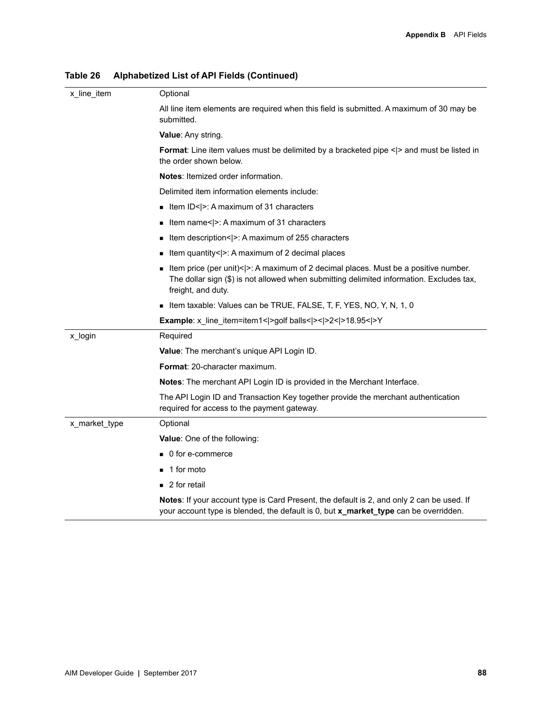| x_line_item   | Optional                                                                                                                                                                                                  |
|---------------|-----------------------------------------------------------------------------------------------------------------------------------------------------------------------------------------------------------|
|               | All line item elements are required when this field is submitted. A maximum of 30 may be<br>submitted.                                                                                                    |
|               | <b>Value: Any string.</b>                                                                                                                                                                                 |
|               | <b>Format:</b> Line item values must be delimited by a bracketed pipe < > and must be listed in<br>the order shown below.                                                                                 |
|               | <b>Notes:</b> Itemized order information.                                                                                                                                                                 |
|               | Delimited item information elements include:                                                                                                                                                              |
|               | Item ID< $\vert$ >: A maximum of 31 characters                                                                                                                                                            |
|               | Item name< $\ge$ : A maximum of 31 characters                                                                                                                                                             |
|               | Item description< >: A maximum of 255 characters<br>٠                                                                                                                                                     |
|               | Item quantity< >: A maximum of 2 decimal places                                                                                                                                                           |
|               | Item price (per unit)< $ >$ : A maximum of 2 decimal places. Must be a positive number.<br>The dollar sign (\$) is not allowed when submitting delimited information. Excludes tax,<br>freight, and duty. |
|               | If the taxable: Values can be TRUE, FALSE, T, F, YES, NO, Y, N, 1, 0                                                                                                                                      |
|               | Example: x_line_item=item1< >golf balls< >< >2< >18.95< >Y                                                                                                                                                |
| x_login       | Required                                                                                                                                                                                                  |
|               | Value: The merchant's unique API Login ID.                                                                                                                                                                |
|               | <b>Format: 20-character maximum.</b>                                                                                                                                                                      |
|               | Notes: The merchant API Login ID is provided in the Merchant Interface.                                                                                                                                   |
|               | The API Login ID and Transaction Key together provide the merchant authentication<br>required for access to the payment gateway.                                                                          |
| x_market_type | Optional                                                                                                                                                                                                  |
|               | Value: One of the following:                                                                                                                                                                              |
|               | ■ 0 for e-commerce                                                                                                                                                                                        |
|               | 1 for moto                                                                                                                                                                                                |
|               | $\blacksquare$ 2 for retail                                                                                                                                                                               |
|               | Notes: If your account type is Card Present, the default is 2, and only 2 can be used. If<br>your account type is blended, the default is 0, but x_market_type can be overridden.                         |

**Table 26 Alphabetized List of API Fields (Continued)**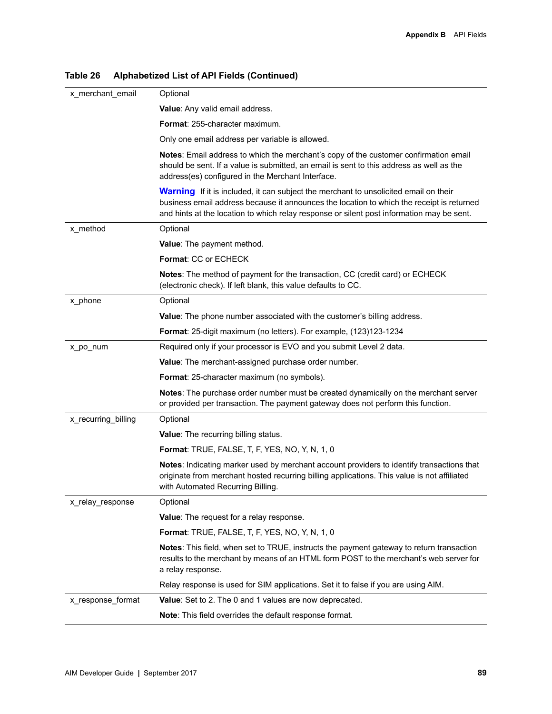| x_merchant_email    | Optional                                                                                                                                                                                                                                                                              |
|---------------------|---------------------------------------------------------------------------------------------------------------------------------------------------------------------------------------------------------------------------------------------------------------------------------------|
|                     | Value: Any valid email address.                                                                                                                                                                                                                                                       |
|                     | Format: 255-character maximum.                                                                                                                                                                                                                                                        |
|                     | Only one email address per variable is allowed.                                                                                                                                                                                                                                       |
|                     | Notes: Email address to which the merchant's copy of the customer confirmation email<br>should be sent. If a value is submitted, an email is sent to this address as well as the<br>address(es) configured in the Merchant Interface.                                                 |
|                     | <b>Warning</b> If it is included, it can subject the merchant to unsolicited email on their<br>business email address because it announces the location to which the receipt is returned<br>and hints at the location to which relay response or silent post information may be sent. |
| x_method            | Optional                                                                                                                                                                                                                                                                              |
|                     | Value: The payment method.                                                                                                                                                                                                                                                            |
|                     | Format: CC or ECHECK                                                                                                                                                                                                                                                                  |
|                     | Notes: The method of payment for the transaction, CC (credit card) or ECHECK<br>(electronic check). If left blank, this value defaults to CC.                                                                                                                                         |
| x_phone             | Optional                                                                                                                                                                                                                                                                              |
|                     | <b>Value:</b> The phone number associated with the customer's billing address.                                                                                                                                                                                                        |
|                     | <b>Format:</b> 25-digit maximum (no letters). For example, (123)123-1234                                                                                                                                                                                                              |
| x_po_num            | Required only if your processor is EVO and you submit Level 2 data.                                                                                                                                                                                                                   |
|                     | Value: The merchant-assigned purchase order number.                                                                                                                                                                                                                                   |
|                     | <b>Format:</b> 25-character maximum (no symbols).                                                                                                                                                                                                                                     |
|                     | Notes: The purchase order number must be created dynamically on the merchant server<br>or provided per transaction. The payment gateway does not perform this function.                                                                                                               |
| x_recurring_billing | Optional                                                                                                                                                                                                                                                                              |
|                     | <b>Value:</b> The recurring billing status.                                                                                                                                                                                                                                           |
|                     | <b>Format: TRUE, FALSE, T, F, YES, NO, Y, N, 1, 0</b>                                                                                                                                                                                                                                 |
|                     | Notes: Indicating marker used by merchant account providers to identify transactions that<br>originate from merchant hosted recurring billing applications. This value is not affiliated<br>with Automated Recurring Billing.                                                         |
| x_relay_response    | Optional                                                                                                                                                                                                                                                                              |
|                     | Value: The request for a relay response.                                                                                                                                                                                                                                              |
|                     | <b>Format:</b> TRUE, FALSE, T, F, YES, NO, Y, N, 1, 0                                                                                                                                                                                                                                 |
|                     | Notes: This field, when set to TRUE, instructs the payment gateway to return transaction<br>results to the merchant by means of an HTML form POST to the merchant's web server for<br>a relay response.                                                                               |
|                     | Relay response is used for SIM applications. Set it to false if you are using AIM.                                                                                                                                                                                                    |
| x_response_format   | Value: Set to 2. The 0 and 1 values are now deprecated.                                                                                                                                                                                                                               |
|                     | Note: This field overrides the default response format.                                                                                                                                                                                                                               |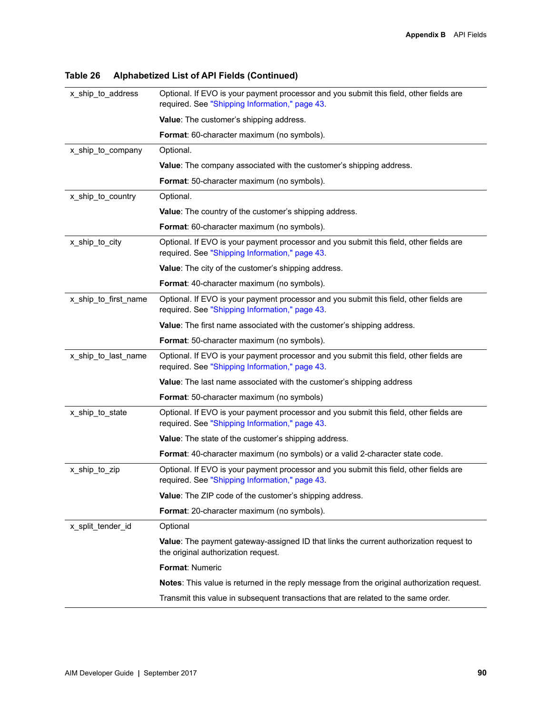| x_ship_to_address    | Optional. If EVO is your payment processor and you submit this field, other fields are<br>required. See "Shipping Information," page 43. |
|----------------------|------------------------------------------------------------------------------------------------------------------------------------------|
|                      | Value: The customer's shipping address.                                                                                                  |
|                      | Format: 60-character maximum (no symbols).                                                                                               |
| x ship to company    | Optional.                                                                                                                                |
|                      | Value: The company associated with the customer's shipping address.                                                                      |
|                      | <b>Format:</b> 50-character maximum (no symbols).                                                                                        |
| x_ship_to_country    | Optional.                                                                                                                                |
|                      | Value: The country of the customer's shipping address.                                                                                   |
|                      | <b>Format:</b> 60-character maximum (no symbols).                                                                                        |
| x_ship_to_city       | Optional. If EVO is your payment processor and you submit this field, other fields are<br>required. See "Shipping Information," page 43. |
|                      | Value: The city of the customer's shipping address.                                                                                      |
|                      | Format: 40-character maximum (no symbols).                                                                                               |
| x ship to first name | Optional. If EVO is your payment processor and you submit this field, other fields are<br>required. See "Shipping Information," page 43. |
|                      | Value: The first name associated with the customer's shipping address.                                                                   |
|                      | Format: 50-character maximum (no symbols).                                                                                               |
| x_ship_to_last_name  | Optional. If EVO is your payment processor and you submit this field, other fields are<br>required. See "Shipping Information," page 43. |
|                      | Value: The last name associated with the customer's shipping address                                                                     |
|                      | <b>Format:</b> 50-character maximum (no symbols)                                                                                         |
| x_ship_to_state      | Optional. If EVO is your payment processor and you submit this field, other fields are<br>required. See "Shipping Information," page 43. |
|                      | Value: The state of the customer's shipping address.                                                                                     |
|                      | Format: 40-character maximum (no symbols) or a valid 2-character state code.                                                             |
| x ship to zip        | Optional. If EVO is your payment processor and you submit this field, other fields are<br>required. See "Shipping Information," page 43. |
|                      | Value: The ZIP code of the customer's shipping address.                                                                                  |
|                      | <b>Format:</b> 20-character maximum (no symbols).                                                                                        |
| x_split_tender_id    | Optional                                                                                                                                 |
|                      | Value: The payment gateway-assigned ID that links the current authorization request to<br>the original authorization request.            |
|                      | Format: Numeric                                                                                                                          |
|                      | Notes: This value is returned in the reply message from the original authorization request.                                              |
|                      | Transmit this value in subsequent transactions that are related to the same order.                                                       |
|                      |                                                                                                                                          |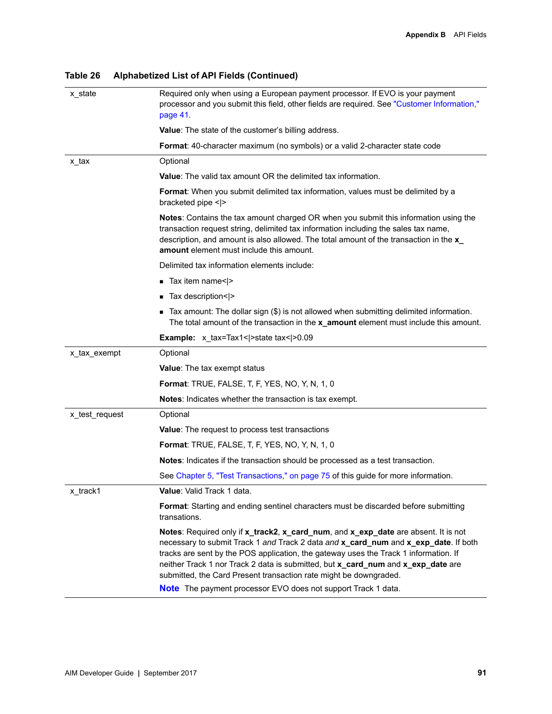| x_state        | Required only when using a European payment processor. If EVO is your payment<br>processor and you submit this field, other fields are required. See "Customer Information,"<br>page 41.                                                                                                                                                                                                                                                                                                    |
|----------------|---------------------------------------------------------------------------------------------------------------------------------------------------------------------------------------------------------------------------------------------------------------------------------------------------------------------------------------------------------------------------------------------------------------------------------------------------------------------------------------------|
|                | <b>Value:</b> The state of the customer's billing address.                                                                                                                                                                                                                                                                                                                                                                                                                                  |
|                | Format: 40-character maximum (no symbols) or a valid 2-character state code                                                                                                                                                                                                                                                                                                                                                                                                                 |
| x tax          | Optional                                                                                                                                                                                                                                                                                                                                                                                                                                                                                    |
|                | Value: The valid tax amount OR the delimited tax information.                                                                                                                                                                                                                                                                                                                                                                                                                               |
|                | Format: When you submit delimited tax information, values must be delimited by a<br>bracketed pipe $\le$  >                                                                                                                                                                                                                                                                                                                                                                                 |
|                | <b>Notes:</b> Contains the tax amount charged OR when you submit this information using the<br>transaction request string, delimited tax information including the sales tax name,<br>description, and amount is also allowed. The total amount of the transaction in the x_<br>amount element must include this amount.                                                                                                                                                                    |
|                | Delimited tax information elements include:                                                                                                                                                                                                                                                                                                                                                                                                                                                 |
|                | ■ Tax item name< >                                                                                                                                                                                                                                                                                                                                                                                                                                                                          |
|                | Tax description< >                                                                                                                                                                                                                                                                                                                                                                                                                                                                          |
|                | ■ Tax amount: The dollar sign (\$) is not allowed when submitting delimited information.<br>The total amount of the transaction in the x_amount element must include this amount.                                                                                                                                                                                                                                                                                                           |
|                | <b>Example:</b> $x_{\text{max}}$ = Tax1 <   > state tax <   > 0.09                                                                                                                                                                                                                                                                                                                                                                                                                          |
| x_tax_exempt   | Optional                                                                                                                                                                                                                                                                                                                                                                                                                                                                                    |
|                | <b>Value:</b> The tax exempt status                                                                                                                                                                                                                                                                                                                                                                                                                                                         |
|                | <b>Format: TRUE, FALSE, T, F, YES, NO, Y, N, 1, 0</b>                                                                                                                                                                                                                                                                                                                                                                                                                                       |
|                | Notes: Indicates whether the transaction is tax exempt.                                                                                                                                                                                                                                                                                                                                                                                                                                     |
| x_test_request | Optional                                                                                                                                                                                                                                                                                                                                                                                                                                                                                    |
|                | <b>Value:</b> The request to process test transactions                                                                                                                                                                                                                                                                                                                                                                                                                                      |
|                | <b>Format:</b> TRUE, FALSE, T, F, YES, NO, Y, N, 1, 0                                                                                                                                                                                                                                                                                                                                                                                                                                       |
|                | <b>Notes:</b> Indicates if the transaction should be processed as a test transaction.                                                                                                                                                                                                                                                                                                                                                                                                       |
|                | See Chapter 5, "Test Transactions," on page 75 of this guide for more information.                                                                                                                                                                                                                                                                                                                                                                                                          |
| x_track1       | Value: Valid Track 1 data.                                                                                                                                                                                                                                                                                                                                                                                                                                                                  |
|                | Format: Starting and ending sentinel characters must be discarded before submitting<br>transations.                                                                                                                                                                                                                                                                                                                                                                                         |
|                | Notes: Required only if x_track2, x_card_num, and x_exp_date are absent. It is not<br>necessary to submit Track 1 and Track 2 data and x_card_num and x_exp_date. If both<br>tracks are sent by the POS application, the gateway uses the Track 1 information. If<br>neither Track 1 nor Track 2 data is submitted, but x_card_num and x_exp_date are<br>submitted, the Card Present transaction rate might be downgraded.<br>Note The payment processor EVO does not support Track 1 data. |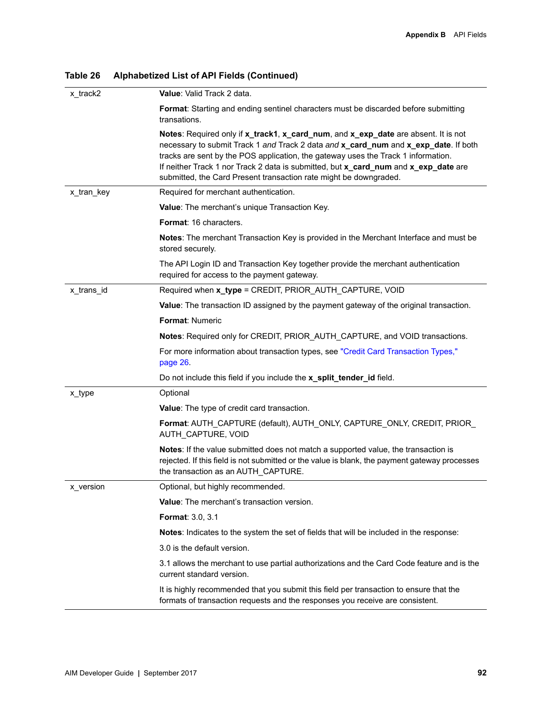| Table 26 | Alphabetized List of API Fields (Continued) |  |  |  |
|----------|---------------------------------------------|--|--|--|
|----------|---------------------------------------------|--|--|--|

| x_track2   | Value: Valid Track 2 data.                                                                                                                                                                                                                                                                                                                                                                                                 |
|------------|----------------------------------------------------------------------------------------------------------------------------------------------------------------------------------------------------------------------------------------------------------------------------------------------------------------------------------------------------------------------------------------------------------------------------|
|            | Format: Starting and ending sentinel characters must be discarded before submitting<br>transations.                                                                                                                                                                                                                                                                                                                        |
|            | Notes: Required only if x_track1, x_card_num, and x_exp_date are absent. It is not<br>necessary to submit Track 1 and Track 2 data and x_card_num and x_exp_date. If both<br>tracks are sent by the POS application, the gateway uses the Track 1 information.<br>If neither Track 1 nor Track 2 data is submitted, but x_card_num and x_exp_date are<br>submitted, the Card Present transaction rate might be downgraded. |
| x_tran_key | Required for merchant authentication.                                                                                                                                                                                                                                                                                                                                                                                      |
|            | Value: The merchant's unique Transaction Key.                                                                                                                                                                                                                                                                                                                                                                              |
|            | Format: 16 characters.                                                                                                                                                                                                                                                                                                                                                                                                     |
|            | Notes: The merchant Transaction Key is provided in the Merchant Interface and must be<br>stored securely.                                                                                                                                                                                                                                                                                                                  |
|            | The API Login ID and Transaction Key together provide the merchant authentication<br>required for access to the payment gateway.                                                                                                                                                                                                                                                                                           |
| x_trans_id | Required when x_type = CREDIT, PRIOR_AUTH_CAPTURE, VOID                                                                                                                                                                                                                                                                                                                                                                    |
|            | Value: The transaction ID assigned by the payment gateway of the original transaction.                                                                                                                                                                                                                                                                                                                                     |
|            | <b>Format: Numeric</b>                                                                                                                                                                                                                                                                                                                                                                                                     |
|            | Notes: Required only for CREDIT, PRIOR_AUTH_CAPTURE, and VOID transactions.                                                                                                                                                                                                                                                                                                                                                |
|            | For more information about transaction types, see "Credit Card Transaction Types,"<br>page 26.                                                                                                                                                                                                                                                                                                                             |
|            | Do not include this field if you include the x_split_tender_id field.                                                                                                                                                                                                                                                                                                                                                      |
| x_type     | Optional                                                                                                                                                                                                                                                                                                                                                                                                                   |
|            | Value: The type of credit card transaction.                                                                                                                                                                                                                                                                                                                                                                                |
|            | Format: AUTH_CAPTURE (default), AUTH_ONLY, CAPTURE_ONLY, CREDIT, PRIOR_<br>AUTH CAPTURE, VOID                                                                                                                                                                                                                                                                                                                              |
|            | Notes: If the value submitted does not match a supported value, the transaction is<br>rejected. If this field is not submitted or the value is blank, the payment gateway processes<br>the transaction as an AUTH_CAPTURE.                                                                                                                                                                                                 |
| x_version  | Optional, but highly recommended.                                                                                                                                                                                                                                                                                                                                                                                          |
|            | Value: The merchant's transaction version.                                                                                                                                                                                                                                                                                                                                                                                 |
|            | <b>Format: 3.0, 3.1</b>                                                                                                                                                                                                                                                                                                                                                                                                    |
|            | Notes: Indicates to the system the set of fields that will be included in the response:                                                                                                                                                                                                                                                                                                                                    |
|            | 3.0 is the default version.                                                                                                                                                                                                                                                                                                                                                                                                |
|            | 3.1 allows the merchant to use partial authorizations and the Card Code feature and is the<br>current standard version.                                                                                                                                                                                                                                                                                                    |
|            | It is highly recommended that you submit this field per transaction to ensure that the<br>formats of transaction requests and the responses you receive are consistent.                                                                                                                                                                                                                                                    |